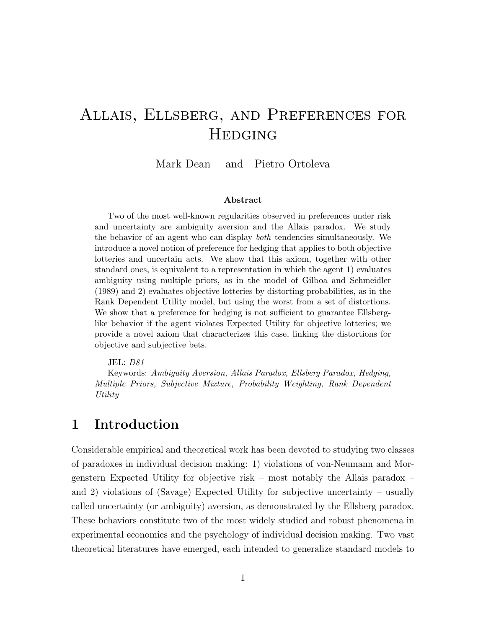# Allais, Ellsberg, and Preferences for **HEDGING**

Mark Dean and Pietro Ortoleva

### Abstract

Two of the most well-known regularities observed in preferences under risk and uncertainty are ambiguity aversion and the Allais paradox. We study the behavior of an agent who can display both tendencies simultaneously. We introduce a novel notion of preference for hedging that applies to both objective lotteries and uncertain acts. We show that this axiom, together with other standard ones, is equivalent to a representation in which the agent 1) evaluates ambiguity using multiple priors, as in the model of Gilboa and Schmeidler (1989) and 2) evaluates objective lotteries by distorting probabilities, as in the Rank Dependent Utility model, but using the worst from a set of distortions. We show that a preference for hedging is not sufficient to guarantee Ellsberglike behavior if the agent violates Expected Utility for objective lotteries; we provide a novel axiom that characterizes this case, linking the distortions for objective and subjective bets.

JEL: D81

Keywords: Ambiguity Aversion, Allais Paradox, Ellsberg Paradox, Hedging, Multiple Priors, Subjective Mixture, Probability Weighting, Rank Dependent Utility

# 1 Introduction

Considerable empirical and theoretical work has been devoted to studying two classes of paradoxes in individual decision making: 1) violations of von-Neumann and Morgenstern Expected Utility for objective risk – most notably the Allais paradox – and 2) violations of (Savage) Expected Utility for subjective uncertainty – usually called uncertainty (or ambiguity) aversion, as demonstrated by the Ellsberg paradox. These behaviors constitute two of the most widely studied and robust phenomena in experimental economics and the psychology of individual decision making. Two vast theoretical literatures have emerged, each intended to generalize standard models to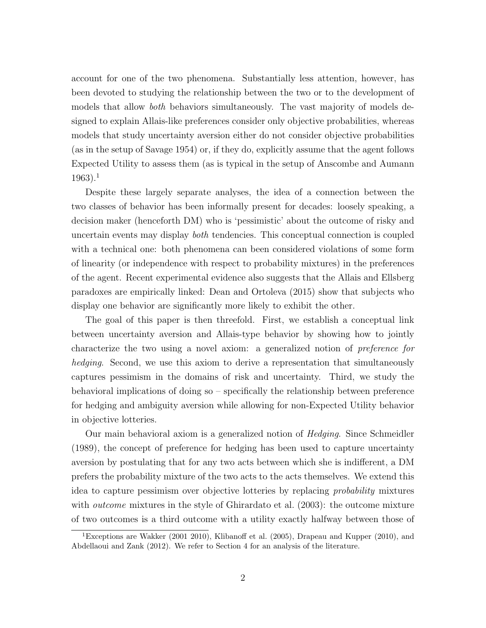account for one of the two phenomena. Substantially less attention, however, has been devoted to studying the relationship between the two or to the development of models that allow both behaviors simultaneously. The vast majority of models designed to explain Allais-like preferences consider only objective probabilities, whereas models that study uncertainty aversion either do not consider objective probabilities (as in the setup of Savage 1954) or, if they do, explicitly assume that the agent follows Expected Utility to assess them (as is typical in the setup of Anscombe and Aumann  $1963$ ).<sup>1</sup>

Despite these largely separate analyses, the idea of a connection between the two classes of behavior has been informally present for decades: loosely speaking, a decision maker (henceforth DM) who is 'pessimistic' about the outcome of risky and uncertain events may display both tendencies. This conceptual connection is coupled with a technical one: both phenomena can been considered violations of some form of linearity (or independence with respect to probability mixtures) in the preferences of the agent. Recent experimental evidence also suggests that the Allais and Ellsberg paradoxes are empirically linked: Dean and Ortoleva (2015) show that subjects who display one behavior are significantly more likely to exhibit the other.

The goal of this paper is then threefold. First, we establish a conceptual link between uncertainty aversion and Allais-type behavior by showing how to jointly characterize the two using a novel axiom: a generalized notion of preference for hedging. Second, we use this axiom to derive a representation that simultaneously captures pessimism in the domains of risk and uncertainty. Third, we study the behavioral implications of doing so – specifically the relationship between preference for hedging and ambiguity aversion while allowing for non-Expected Utility behavior in objective lotteries.

Our main behavioral axiom is a generalized notion of Hedging. Since Schmeidler (1989), the concept of preference for hedging has been used to capture uncertainty aversion by postulating that for any two acts between which she is indifferent, a DM prefers the probability mixture of the two acts to the acts themselves. We extend this idea to capture pessimism over objective lotteries by replacing probability mixtures with *outcome* mixtures in the style of Ghirardato et al. (2003): the outcome mixture of two outcomes is a third outcome with a utility exactly halfway between those of

<sup>1</sup>Exceptions are Wakker (2001 2010), Klibanoff et al. (2005), Drapeau and Kupper (2010), and Abdellaoui and Zank (2012). We refer to Section 4 for an analysis of the literature.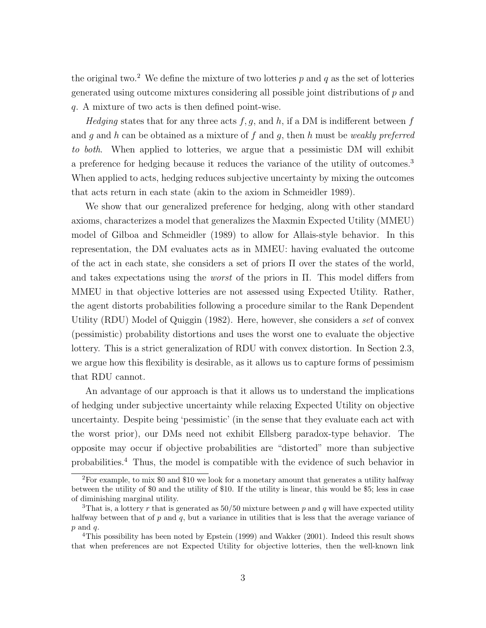the original two.<sup>2</sup> We define the mixture of two lotteries p and q as the set of lotteries generated using outcome mixtures considering all possible joint distributions of  $p$  and q. A mixture of two acts is then defined point-wise.

*Hedging* states that for any three acts  $f, g$ , and  $h$ , if a DM is indifferent between f and q and h can be obtained as a mixture of f and q, then h must be weakly preferred to both. When applied to lotteries, we argue that a pessimistic DM will exhibit a preference for hedging because it reduces the variance of the utility of outcomes.<sup>3</sup> When applied to acts, hedging reduces subjective uncertainty by mixing the outcomes that acts return in each state (akin to the axiom in Schmeidler 1989).

We show that our generalized preference for hedging, along with other standard axioms, characterizes a model that generalizes the Maxmin Expected Utility (MMEU) model of Gilboa and Schmeidler (1989) to allow for Allais-style behavior. In this representation, the DM evaluates acts as in MMEU: having evaluated the outcome of the act in each state, she considers a set of priors Π over the states of the world, and takes expectations using the *worst* of the priors in  $\Pi$ . This model differs from MMEU in that objective lotteries are not assessed using Expected Utility. Rather, the agent distorts probabilities following a procedure similar to the Rank Dependent Utility (RDU) Model of Quiggin (1982). Here, however, she considers a set of convex (pessimistic) probability distortions and uses the worst one to evaluate the objective lottery. This is a strict generalization of RDU with convex distortion. In Section 2.3, we argue how this flexibility is desirable, as it allows us to capture forms of pessimism that RDU cannot.

An advantage of our approach is that it allows us to understand the implications of hedging under subjective uncertainty while relaxing Expected Utility on objective uncertainty. Despite being 'pessimistic' (in the sense that they evaluate each act with the worst prior), our DMs need not exhibit Ellsberg paradox-type behavior. The opposite may occur if objective probabilities are "distorted" more than subjective probabilities.<sup>4</sup> Thus, the model is compatible with the evidence of such behavior in

<sup>2</sup>For example, to mix \$0 and \$10 we look for a monetary amount that generates a utility halfway between the utility of \$0 and the utility of \$10. If the utility is linear, this would be \$5; less in case of diminishing marginal utility.

<sup>&</sup>lt;sup>3</sup>That is, a lottery r that is generated as  $50/50$  mixture between p and q will have expected utility halfway between that of  $p$  and  $q$ , but a variance in utilities that is less that the average variance of  $p$  and  $q$ .

<sup>4</sup>This possibility has been noted by Epstein (1999) and Wakker (2001). Indeed this result shows that when preferences are not Expected Utility for objective lotteries, then the well-known link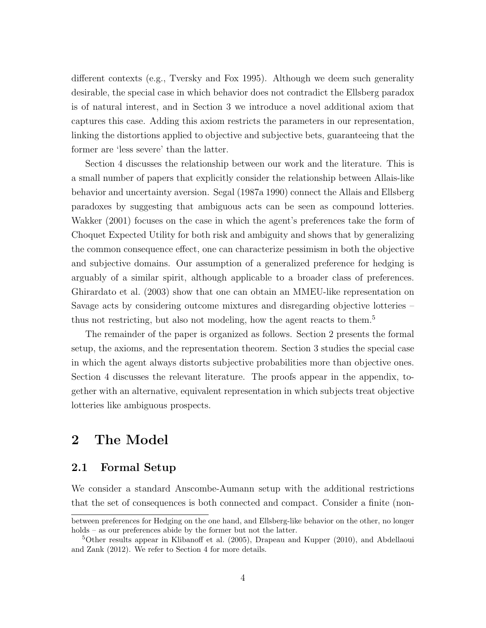different contexts (e.g., Tversky and Fox 1995). Although we deem such generality desirable, the special case in which behavior does not contradict the Ellsberg paradox is of natural interest, and in Section 3 we introduce a novel additional axiom that captures this case. Adding this axiom restricts the parameters in our representation, linking the distortions applied to objective and subjective bets, guaranteeing that the former are 'less severe' than the latter.

Section 4 discusses the relationship between our work and the literature. This is a small number of papers that explicitly consider the relationship between Allais-like behavior and uncertainty aversion. Segal (1987a 1990) connect the Allais and Ellsberg paradoxes by suggesting that ambiguous acts can be seen as compound lotteries. Wakker (2001) focuses on the case in which the agent's preferences take the form of Choquet Expected Utility for both risk and ambiguity and shows that by generalizing the common consequence effect, one can characterize pessimism in both the objective and subjective domains. Our assumption of a generalized preference for hedging is arguably of a similar spirit, although applicable to a broader class of preferences. Ghirardato et al. (2003) show that one can obtain an MMEU-like representation on Savage acts by considering outcome mixtures and disregarding objective lotteries – thus not restricting, but also not modeling, how the agent reacts to them.<sup>5</sup>

The remainder of the paper is organized as follows. Section 2 presents the formal setup, the axioms, and the representation theorem. Section 3 studies the special case in which the agent always distorts subjective probabilities more than objective ones. Section 4 discusses the relevant literature. The proofs appear in the appendix, together with an alternative, equivalent representation in which subjects treat objective lotteries like ambiguous prospects.

# 2 The Model

# 2.1 Formal Setup

We consider a standard Anscombe-Aumann setup with the additional restrictions that the set of consequences is both connected and compact. Consider a finite (non-

between preferences for Hedging on the one hand, and Ellsberg-like behavior on the other, no longer holds – as our preferences abide by the former but not the latter.

<sup>5</sup>Other results appear in Klibanoff et al. (2005), Drapeau and Kupper (2010), and Abdellaoui and Zank (2012). We refer to Section 4 for more details.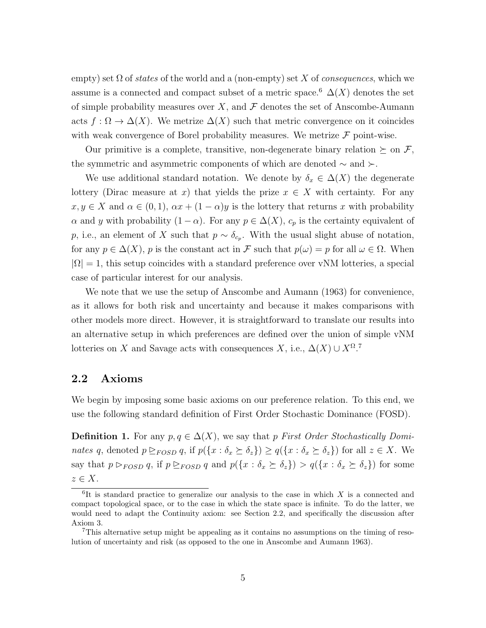empty) set  $\Omega$  of *states* of the world and a (non-empty) set X of *consequences*, which we assume is a connected and compact subset of a metric space.<sup>6</sup>  $\Delta(X)$  denotes the set of simple probability measures over  $X$ , and  $\mathcal F$  denotes the set of Anscombe-Aumann acts  $f : \Omega \to \Delta(X)$ . We metrize  $\Delta(X)$  such that metric convergence on it coincides with weak convergence of Borel probability measures. We metrize  $\mathcal F$  point-wise.

Our primitive is a complete, transitive, non-degenerate binary relation  $\succeq$  on  $\mathcal{F}$ , the symmetric and asymmetric components of which are denoted  $\sim$  and  $\succ$ .

We use additional standard notation. We denote by  $\delta_x \in \Delta(X)$  the degenerate lottery (Dirac measure at x) that yields the prize  $x \in X$  with certainty. For any  $x, y \in X$  and  $\alpha \in (0, 1), \alpha x + (1 - \alpha)y$  is the lottery that returns x with probability  $\alpha$  and y with probability  $(1 - \alpha)$ . For any  $p \in \Delta(X)$ ,  $c_p$  is the certainty equivalent of p, i.e., an element of X such that  $p \sim \delta_{c_p}$ . With the usual slight abuse of notation, for any  $p \in \Delta(X)$ , p is the constant act in F such that  $p(\omega) = p$  for all  $\omega \in \Omega$ . When  $|\Omega| = 1$ , this setup coincides with a standard preference over vNM lotteries, a special case of particular interest for our analysis.

We note that we use the setup of Anscombe and Aumann (1963) for convenience, as it allows for both risk and uncertainty and because it makes comparisons with other models more direct. However, it is straightforward to translate our results into an alternative setup in which preferences are defined over the union of simple vNM lotteries on X and Savage acts with consequences X, i.e.,  $\Delta(X) \cup X^{\Omega}$ .

# 2.2 Axioms

We begin by imposing some basic axioms on our preference relation. To this end, we use the following standard definition of First Order Stochastic Dominance (FOSD).

**Definition 1.** For any  $p, q \in \Delta(X)$ , we say that p First Order Stochastically Dominates q, denoted  $p \trianglerighteq_{FOSD} q$ , if  $p(\lbrace x : \delta_x \succeq \delta_z \rbrace) \geq q(\lbrace x : \delta_x \succeq \delta_z \rbrace)$  for all  $z \in X$ . We say that  $p \rhd_{FOSD} q$ , if  $p \rhd_{FOSD} q$  and  $p(\lbrace x : \delta_x \succeq \delta_z \rbrace) > q(\lbrace x : \delta_x \succeq \delta_z \rbrace)$  for some  $z \in X$ .

 ${}^{6}$ It is standard practice to generalize our analysis to the case in which X is a connected and compact topological space, or to the case in which the state space is infinite. To do the latter, we would need to adapt the Continuity axiom: see Section 2.2, and specifically the discussion after Axiom 3.

<sup>7</sup>This alternative setup might be appealing as it contains no assumptions on the timing of resolution of uncertainty and risk (as opposed to the one in Anscombe and Aumann 1963).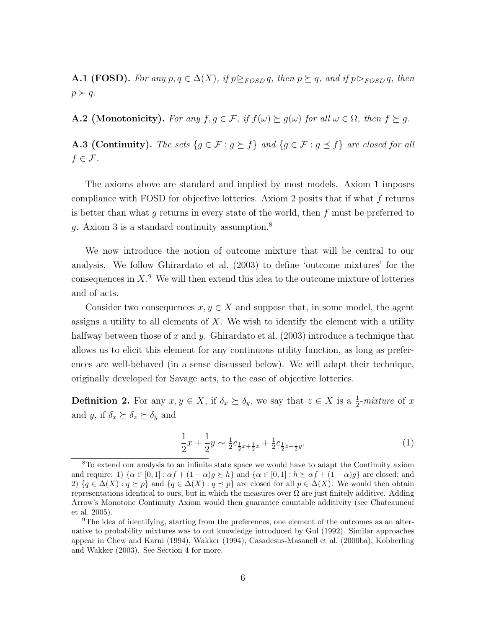**A.1 (FOSD).** For any  $p, q \in \Delta(X)$ , if  $p \geq_{FOSD} q$ , then  $p \geq q$ , and if  $p \geq_{FOSD} q$ , then  $p \succ q$ .

**A.2** (Monotonicity). For any  $f, g \in \mathcal{F}$ , if  $f(\omega) \succeq g(\omega)$  for all  $\omega \in \Omega$ , then  $f \succeq g$ .

**A.3 (Continuity).** The sets  $\{g \in \mathcal{F} : g \succeq f\}$  and  $\{g \in \mathcal{F} : g \preceq f\}$  are closed for all  $f \in \mathcal{F}$ .

The axioms above are standard and implied by most models. Axiom 1 imposes compliance with FOSD for objective lotteries. Axiom 2 posits that if what  $f$  returns is better than what g returns in every state of the world, then f must be preferred to q. Axiom 3 is a standard continuity assumption.<sup>8</sup>

We now introduce the notion of outcome mixture that will be central to our analysis. We follow Ghirardato et al. (2003) to define 'outcome mixtures' for the consequences in  $X$ . We will then extend this idea to the outcome mixture of lotteries and of acts.

Consider two consequences  $x, y \in X$  and suppose that, in some model, the agent assigns a utility to all elements of  $X$ . We wish to identify the element with a utility halfway between those of x and y. Ghirardato et al. (2003) introduce a technique that allows us to elicit this element for any continuous utility function, as long as preferences are well-behaved (in a sense discussed below). We will adapt their technique, originally developed for Savage acts, to the case of objective lotteries.

**Definition 2.** For any  $x, y \in X$ , if  $\delta_x \succeq \delta_y$ , we say that  $z \in X$  is a  $\frac{1}{2}$ -mixture of x and y, if  $\delta_x \succeq \delta_z \succeq \delta_y$  and

$$
\frac{1}{2}x + \frac{1}{2}y \sim \frac{1}{2}c_{\frac{1}{2}x + \frac{1}{2}z} + \frac{1}{2}c_{\frac{1}{2}z + \frac{1}{2}y}.
$$
\n(1)

<sup>8</sup>To extend our analysis to an infinite state space we would have to adapt the Continuity axiom and require: 1)  $\{\alpha \in [0,1]: \alpha f + (1-\alpha)g \succeq h\}$  and  $\{\alpha \in [0,1]: h \succeq \alpha f + (1-\alpha)g\}$  are closed; and 2)  ${q \in \Delta(X) : q \ge p}$  and  ${q \in \Delta(X) : q \le p}$  are closed for all  $p \in \Delta(X)$ . We would then obtain representations identical to ours, but in which the measures over  $\Omega$  are just finitely additive. Adding Arrow's Monotone Continuity Axiom would then guarantee countable additivity (see Chateauneuf et al. 2005).

<sup>9</sup>The idea of identifying, starting from the preferences, one element of the outcomes as an alternative to probability mixtures was to out knowledge introduced by Gul (1992). Similar approaches appear in Chew and Karni (1994), Wakker (1994), Casadesus-Masanell et al. (2000ba), Kobberling and Wakker (2003). See Section 4 for more.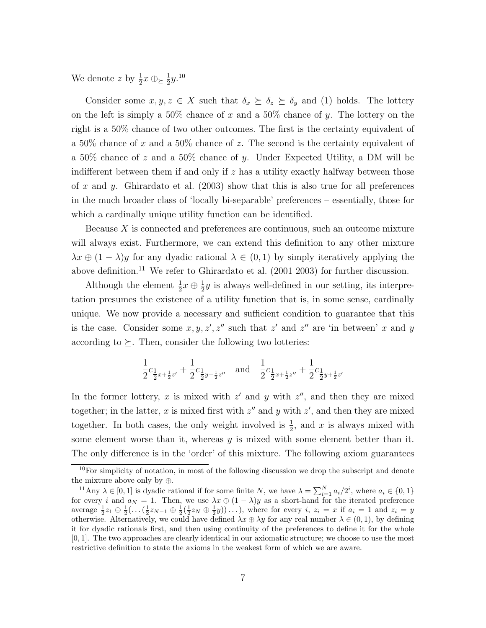We denote z by  $\frac{1}{2}x \oplus_{\geq \frac{1}{2}}$  $\frac{1}{2}y^{10}$ 

Consider some  $x, y, z \in X$  such that  $\delta_x \succeq \delta_z \succeq \delta_y$  and (1) holds. The lottery on the left is simply a 50% chance of x and a 50% chance of y. The lottery on the right is a 50% chance of two other outcomes. The first is the certainty equivalent of a 50% chance of x and a 50% chance of z. The second is the certainty equivalent of a  $50\%$  chance of z and a  $50\%$  chance of y. Under Expected Utility, a DM will be indifferent between them if and only if  $z$  has a utility exactly halfway between those of x and y. Ghirardato et al.  $(2003)$  show that this is also true for all preferences in the much broader class of 'locally bi-separable' preferences – essentially, those for which a cardinally unique utility function can be identified.

Because X is connected and preferences are continuous, such an outcome mixture will always exist. Furthermore, we can extend this definition to any other mixture  $\lambda x \oplus (1 - \lambda)y$  for any dyadic rational  $\lambda \in (0, 1)$  by simply iteratively applying the above definition.<sup>11</sup> We refer to Ghirardato et al.  $(2001 2003)$  for further discussion.

Although the element  $\frac{1}{2}x \oplus \frac{1}{2}$  $\frac{1}{2}y$  is always well-defined in our setting, its interpretation presumes the existence of a utility function that is, in some sense, cardinally unique. We now provide a necessary and sufficient condition to guarantee that this is the case. Consider some  $x, y, z', z''$  such that  $z'$  and  $z''$  are 'in between' x and y according to  $\succeq$ . Then, consider the following two lotteries:

$$
\frac{1}{2}c_{\frac{1}{2}x+\frac{1}{2}z'} + \frac{1}{2}c_{\frac{1}{2}y+\frac{1}{2}z''}
$$
 and 
$$
\frac{1}{2}c_{\frac{1}{2}x+\frac{1}{2}z''} + \frac{1}{2}c_{\frac{1}{2}y+\frac{1}{2}z'}
$$

In the former lottery, x is mixed with  $z'$  and y with  $z''$ , and then they are mixed together; in the latter, x is mixed first with  $z''$  and y with  $z'$ , and then they are mixed together. In both cases, the only weight involved is  $\frac{1}{2}$ , and x is always mixed with some element worse than it, whereas  $y$  is mixed with some element better than it. The only difference is in the 'order' of this mixture. The following axiom guarantees

 $10$ For simplicity of notation, in most of the following discussion we drop the subscript and denote the mixture above only by ⊕.

<sup>&</sup>lt;sup>11</sup>Any  $\lambda \in [0,1]$  is dyadic rational if for some finite N, we have  $\lambda = \sum_{i=1}^{N} a_i/2^i$ , where  $a_i \in \{0,1\}$ for every i and  $a_N = 1$ . Then, we use  $\lambda x \oplus (1 - \lambda)y$  as a short-hand for the iterated preference average  $\frac{1}{2}z_1 \oplus \frac{1}{2}(\ldots(\frac{1}{2}z_{N-1} \oplus \frac{1}{2}(\frac{1}{2}z_N \oplus \frac{1}{2}y))\ldots)$ , where for every  $i, z_i = x$  if  $a_i = 1$  and  $z_i = y$ otherwise. Alternatively, we could have defined  $\lambda x \oplus \lambda y$  for any real number  $\lambda \in (0,1)$ , by defining it for dyadic rationals first, and then using continuity of the preferences to define it for the whole [0, 1]. The two approaches are clearly identical in our axiomatic structure; we choose to use the most restrictive definition to state the axioms in the weakest form of which we are aware.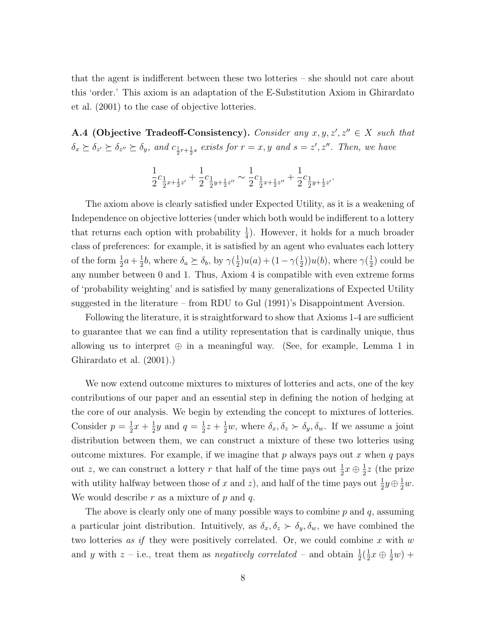that the agent is indifferent between these two lotteries – she should not care about this 'order.' This axiom is an adaptation of the E-Substitution Axiom in Ghirardato et al. (2001) to the case of objective lotteries.

A.4 (Objective Tradeoff-Consistency). Consider any  $x, y, z', z'' \in X$  such that  $\delta_x \succeq \delta_{z'} \succeq \delta_{z''} \succeq \delta_y$ , and  $c_{\frac{1}{2}r+\frac{1}{2}s}$  exists for  $r=x,y$  and  $s=z',z''$ . Then, we have

$$
\frac{1}{2}c_{\frac{1}{2}x+\frac{1}{2}z'}+\frac{1}{2}c_{\frac{1}{2}y+\frac{1}{2}z''}\sim\frac{1}{2}c_{\frac{1}{2}x+\frac{1}{2}z''}+\frac{1}{2}c_{\frac{1}{2}y+\frac{1}{2}z'}.
$$

The axiom above is clearly satisfied under Expected Utility, as it is a weakening of Independence on objective lotteries (under which both would be indifferent to a lottery that returns each option with probability  $\frac{1}{4}$ ). However, it holds for a much broader class of preferences: for example, it is satisfied by an agent who evaluates each lottery of the form  $\frac{1}{2}a + \frac{1}{2}$  $\frac{1}{2}b$ , where  $\delta_a \succeq \delta_b$ , by  $\gamma(\frac{1}{2})$  $(\frac{1}{2})u(a) + (1 - \gamma(\frac{1}{2}))$  $(\frac{1}{2}))u(b)$ , where  $\gamma(\frac{1}{2})$  $(\frac{1}{2})$  could be any number between 0 and 1. Thus, Axiom 4 is compatible with even extreme forms of 'probability weighting' and is satisfied by many generalizations of Expected Utility suggested in the literature – from RDU to Gul (1991)'s Disappointment Aversion.

Following the literature, it is straightforward to show that Axioms 1-4 are sufficient to guarantee that we can find a utility representation that is cardinally unique, thus allowing us to interpret  $\oplus$  in a meaningful way. (See, for example, Lemma 1 in Ghirardato et al. (2001).)

We now extend outcome mixtures to mixtures of lotteries and acts, one of the key contributions of our paper and an essential step in defining the notion of hedging at the core of our analysis. We begin by extending the concept to mixtures of lotteries. Consider  $p=\frac{1}{2}$  $rac{1}{2}x + \frac{1}{2}$  $\frac{1}{2}y$  and  $q=\frac{1}{2}$  $\frac{1}{2}z + \frac{1}{2}w$ , where  $\delta_x, \delta_z \succ \delta_y, \delta_w$ . If we assume a joint distribution between them, we can construct a mixture of these two lotteries using outcome mixtures. For example, if we imagine that  $p$  always pays out x when  $q$  pays out z, we can construct a lottery r that half of the time pays out  $\frac{1}{2}x \oplus \frac{1}{2}$  $\frac{1}{2}z$  (the prize with utility halfway between those of x and z), and half of the time pays out  $\frac{1}{2}y \oplus \frac{1}{2}w$ . We would describe  $r$  as a mixture of  $p$  and  $q$ .

The above is clearly only one of many possible ways to combine  $p$  and  $q$ , assuming a particular joint distribution. Intuitively, as  $\delta_x, \delta_z \succ \delta_y, \delta_w$ , we have combined the two lotteries as if they were positively correlated. Or, we could combine x with  $w$ and y with  $z$  – i.e., treat them as negatively correlated – and obtain  $\frac{1}{2}(\frac{1}{2})$  $\frac{1}{2}x \oplus \frac{1}{2}w$  +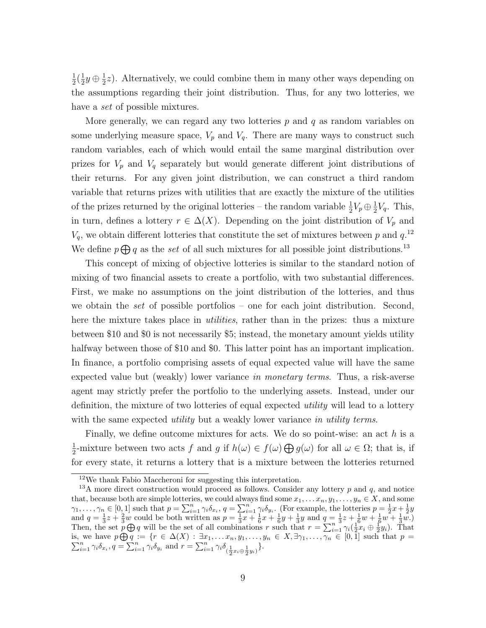1  $\frac{1}{2}(\frac{1}{2})$  $\frac{1}{2}y \oplus \frac{1}{2}$  $\frac{1}{2}z$ ). Alternatively, we could combine them in many other ways depending on the assumptions regarding their joint distribution. Thus, for any two lotteries, we have a *set* of possible mixtures.

More generally, we can regard any two lotteries  $p$  and  $q$  as random variables on some underlying measure space,  $V_p$  and  $V_q$ . There are many ways to construct such random variables, each of which would entail the same marginal distribution over prizes for  $V_p$  and  $V_q$  separately but would generate different joint distributions of their returns. For any given joint distribution, we can construct a third random variable that returns prizes with utilities that are exactly the mixture of the utilities of the prizes returned by the original lotteries – the random variable  $\frac{1}{2}V_p \oplus \frac{1}{2}$  $\frac{1}{2}V_q$ . This, in turn, defines a lottery  $r \in \Delta(X)$ . Depending on the joint distribution of  $V_p$  and  $V_q$ , we obtain different lotteries that constitute the set of mixtures between p and  $q$ <sup>12</sup> We define  $p \bigoplus q$  as the set of all such mixtures for all possible joint distributions.<sup>13</sup>

This concept of mixing of objective lotteries is similar to the standard notion of mixing of two financial assets to create a portfolio, with two substantial differences. First, we make no assumptions on the joint distribution of the lotteries, and thus we obtain the set of possible portfolios – one for each joint distribution. Second, here the mixture takes place in *utilities*, rather than in the prizes: thus a mixture between \$10 and \$0 is not necessarily \$5; instead, the monetary amount yields utility halfway between those of \$10 and \$0. This latter point has an important implication. In finance, a portfolio comprising assets of equal expected value will have the same expected value but (weakly) lower variance in monetary terms. Thus, a risk-averse agent may strictly prefer the portfolio to the underlying assets. Instead, under our definition, the mixture of two lotteries of equal expected *utility* will lead to a lottery with the same expected *utility* but a weakly lower variance in utility terms.

Finally, we define outcome mixtures for acts. We do so point-wise: an act  $h$  is a 1 <sup>1</sup>/<sub>2</sub>-mixture between two acts f and g if  $h(\omega) \in f(\omega) \bigoplus g(\omega)$  for all  $\omega \in \Omega$ ; that is, if for every state, it returns a lottery that is a mixture between the lotteries returned

<sup>12</sup>We thank Fabio Maccheroni for suggesting this interpretation.

<sup>&</sup>lt;sup>13</sup>A more direct construction would proceed as follows. Consider any lottery  $p$  and  $q$ , and notice that, because both are simple lotteries, we could always find some  $x_1, \ldots, x_n, y_1, \ldots, y_n \in X$ , and some  $\gamma_1, \ldots, \gamma_n \in [0, 1]$  such that  $p = \sum_{i=1}^n \gamma_i \delta_{x_i}, q = \sum_{i=1}^n \gamma_i \delta_{y_i}$ . (For example, the lotteries  $p = \frac{1}{2}x + \frac{1}{2}y$ and  $q = \frac{1}{3}z + \frac{2}{3}w$  could be both written as  $p = \frac{1}{3}x + \frac{1}{6}x + \frac{1}{6}y + \frac{1}{3}y$  and  $q = \frac{1}{3}z + \frac{1}{6}w + \frac{1}{6}w + \frac{1}{3}w$ . Then, the set  $p \bigoplus q$  will be the set of all combinations r such that  $r = \sum_{i=1}^{n} \gamma_i (\frac{1}{2} x_i \oplus \frac{1}{2} y_i)$ . That is, we have  $p \bigoplus$  $\sum$ we have  $p \bigoplus_{i=1}^n q_i := \{ r \in \Delta(X) : \exists x_1, \dots, x_n, y_1, \dots, y_n \in X, \exists \gamma_1, \dots, \gamma_n \in [0, 1] \text{ such that } p = \sum_{i=1}^n \gamma_i \delta_{x_i}, q = \sum_{i=1}^n \gamma_i \delta_{y_i} \text{ and } r = \sum_{i=1}^n \gamma_i \delta_{(\frac{1}{2}x_i \oplus \frac{1}{2}y_i)} \}.$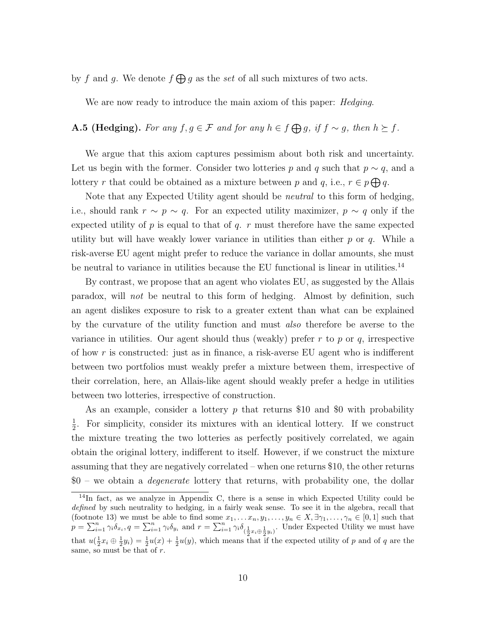by f and g. We denote  $f \bigoplus g$  as the set of all such mixtures of two acts.

We are now ready to introduce the main axiom of this paper: *Hedging*.

### **A.5** (Hedging). For any  $f, g \in \mathcal{F}$  and for any  $h \in f \bigoplus g$ , if  $f \sim g$ , then  $h \succeq f$ .

We argue that this axiom captures pessimism about both risk and uncertainty. Let us begin with the former. Consider two lotteries p and q such that  $p \sim q$ , and a lottery r that could be obtained as a mixture between p and q, i.e.,  $r \in p \bigoplus q$ .

Note that any Expected Utility agent should be neutral to this form of hedging, i.e., should rank  $r \sim p \sim q$ . For an expected utility maximizer,  $p \sim q$  only if the expected utility of  $p$  is equal to that of  $q$ .  $r$  must therefore have the same expected utility but will have weakly lower variance in utilities than either  $p$  or  $q$ . While a risk-averse EU agent might prefer to reduce the variance in dollar amounts, she must be neutral to variance in utilities because the EU functional is linear in utilities.<sup>14</sup>

By contrast, we propose that an agent who violates EU, as suggested by the Allais paradox, will not be neutral to this form of hedging. Almost by definition, such an agent dislikes exposure to risk to a greater extent than what can be explained by the curvature of the utility function and must also therefore be averse to the variance in utilities. Our agent should thus (weakly) prefer  $r$  to  $p$  or  $q$ , irrespective of how r is constructed: just as in finance, a risk-averse EU agent who is indifferent between two portfolios must weakly prefer a mixture between them, irrespective of their correlation, here, an Allais-like agent should weakly prefer a hedge in utilities between two lotteries, irrespective of construction.

As an example, consider a lottery  $p$  that returns \$10 and \$0 with probability 1  $\frac{1}{2}$ . For simplicity, consider its mixtures with an identical lottery. If we construct the mixture treating the two lotteries as perfectly positively correlated, we again obtain the original lottery, indifferent to itself. However, if we construct the mixture assuming that they are negatively correlated – when one returns \$10, the other returns  $$0$  – we obtain a *degenerate* lottery that returns, with probability one, the dollar

<sup>&</sup>lt;sup>14</sup>In fact, as we analyze in Appendix C, there is a sense in which Expected Utility could be defined by such neutrality to hedging, in a fairly weak sense. To see it in the algebra, recall that (footnote 13) we must be able to find some  $x_1, \ldots, x_n, y_1, \ldots, y_n \in X, \exists \gamma_1, \ldots, \gamma_n \in [0,1]$  such that  $p = \sum_{i=1}^n \gamma_i \delta_{x_i}, q = \sum_{i=1}^n \gamma_i \delta_{y_i}$  and  $r = \sum_{i=1}^n \gamma_i \delta_{(\frac{1}{2}x_i \oplus \frac{1}{2}y_i)}$ . Under Expected Utility we must have that  $u(\frac{1}{2}x_i \oplus \frac{1}{2}y_i) = \frac{1}{2}u(x) + \frac{1}{2}u(y)$ , which means that if the expected utility of p and of q are the same, so must be that of r.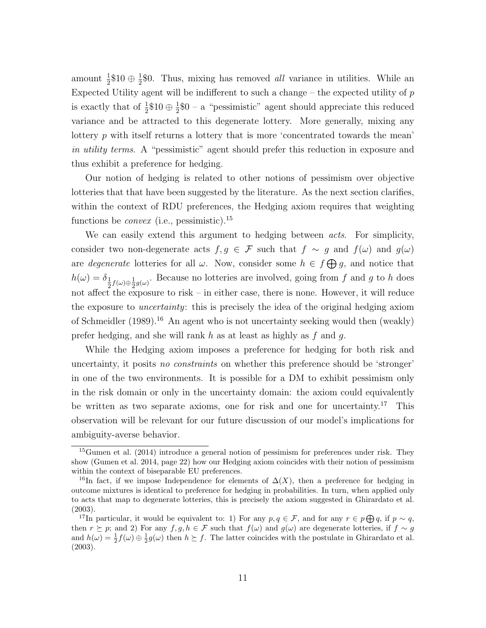amount  $\frac{1}{2}\$10 \oplus \frac{1}{2}$  $\frac{1}{2}$ \$0. Thus, mixing has removed *all* variance in utilities. While an Expected Utility agent will be indifferent to such a change – the expected utility of  $p$ is exactly that of  $\frac{1}{2}\$10 \oplus \frac{1}{2}$  $\frac{1}{2}$ \$0 – a "pessimistic" agent should appreciate this reduced variance and be attracted to this degenerate lottery. More generally, mixing any lottery p with itself returns a lottery that is more 'concentrated towards the mean' in utility terms. A "pessimistic" agent should prefer this reduction in exposure and thus exhibit a preference for hedging.

Our notion of hedging is related to other notions of pessimism over objective lotteries that that have been suggested by the literature. As the next section clarifies, within the context of RDU preferences, the Hedging axiom requires that weighting functions be *convex* (i.e., pessimistic).<sup>15</sup>

We can easily extend this argument to hedging between *acts*. For simplicity, consider two non-degenerate acts  $f, g \in \mathcal{F}$  such that  $f \sim g$  and  $f(\omega)$  and  $g(\omega)$ are *degenerate* lotteries for all  $\omega$ . Now, consider some  $h \in f \bigoplus g$ , and notice that  $h(\omega) = \delta_1$  $\frac{1}{2}f(\omega)\oplus\frac{1}{2}$  $\frac{1}{2}g(\omega)$ . Because no lotteries are involved, going from f and g to h does not affect the exposure to risk – in either case, there is none. However, it will reduce the exposure to uncertainty: this is precisely the idea of the original hedging axiom of Schmeidler (1989).<sup>16</sup> An agent who is not uncertainty seeking would then (weakly) prefer hedging, and she will rank h as at least as highly as f and  $q$ .

While the Hedging axiom imposes a preference for hedging for both risk and uncertainty, it posits no constraints on whether this preference should be 'stronger' in one of the two environments. It is possible for a DM to exhibit pessimism only in the risk domain or only in the uncertainty domain: the axiom could equivalently be written as two separate axioms, one for risk and one for uncertainty.<sup>17</sup> This observation will be relevant for our future discussion of our model's implications for ambiguity-averse behavior.

<sup>&</sup>lt;sup>15</sup>Gumen et al. (2014) introduce a general notion of pessimism for preferences under risk. They show (Gumen et al. 2014, page 22) how our Hedging axiom coincides with their notion of pessimism within the context of biseparable EU preferences.

<sup>&</sup>lt;sup>16</sup>In fact, if we impose Independence for elements of  $\Delta(X)$ , then a preference for hedging in outcome mixtures is identical to preference for hedging in probabilities. In turn, when applied only to acts that map to degenerate lotteries, this is precisely the axiom suggested in Ghirardato et al. (2003).

<sup>&</sup>lt;sup>17</sup>In particular, it would be equivalent to: 1) For any  $p, q \in \mathcal{F}$ , and for any  $r \in p \bigoplus q$ , if  $p \sim q$ , then  $r \succeq p$ ; and 2) For any  $f, g, h \in \mathcal{F}$  such that  $f(\omega)$  and  $g(\omega)$  are degenerate lotteries, if  $f \sim g$ and  $h(\omega) = \frac{1}{2} f(\omega) \oplus \frac{1}{2} g(\omega)$  then  $h \succeq f$ . The latter coincides with the postulate in Ghirardato et al. (2003).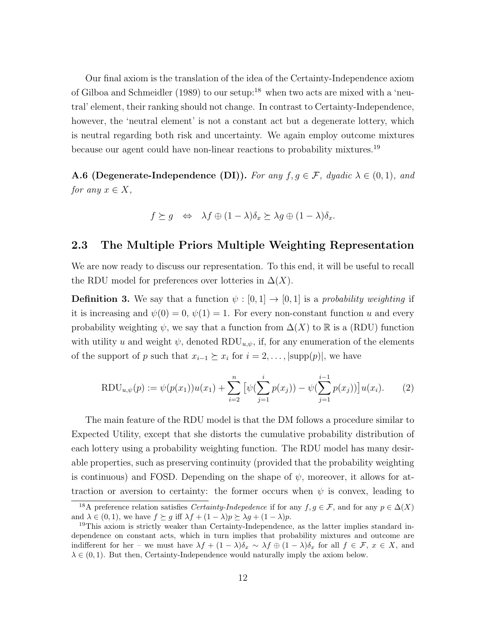Our final axiom is the translation of the idea of the Certainty-Independence axiom of Gilboa and Schmeidler (1989) to our setup:<sup>18</sup> when two acts are mixed with a 'neutral' element, their ranking should not change. In contrast to Certainty-Independence, however, the 'neutral element' is not a constant act but a degenerate lottery, which is neutral regarding both risk and uncertainty. We again employ outcome mixtures because our agent could have non-linear reactions to probability mixtures.<sup>19</sup>

**A.6 (Degenerate-Independence (DI)).** For any  $f, g \in \mathcal{F}$ , dyadic  $\lambda \in (0,1)$ , and for any  $x \in X$ ,

$$
f \succeq g \Leftrightarrow \lambda f \oplus (1 - \lambda)\delta_x \succeq \lambda g \oplus (1 - \lambda)\delta_x.
$$

# 2.3 The Multiple Priors Multiple Weighting Representation

We are now ready to discuss our representation. To this end, it will be useful to recall the RDU model for preferences over lotteries in  $\Delta(X)$ .

**Definition 3.** We say that a function  $\psi : [0,1] \rightarrow [0,1]$  is a probability weighting if it is increasing and  $\psi(0) = 0$ ,  $\psi(1) = 1$ . For every non-constant function u and every probability weighting  $\psi$ , we say that a function from  $\Delta(X)$  to R is a (RDU) function with utility u and weight  $\psi$ , denoted RDU<sub>u, $\psi$ </sub>, if, for any enumeration of the elements of the support of p such that  $x_{i-1} \succeq x_i$  for  $i = 2, \ldots, |\text{supp}(p)|$ , we have

$$
RDU_{u,\psi}(p) := \psi(p(x_1))u(x_1) + \sum_{i=2}^{n} \left[ \psi(\sum_{j=1}^{i} p(x_j)) - \psi(\sum_{j=1}^{i-1} p(x_j)) \right] u(x_i).
$$
 (2)

The main feature of the RDU model is that the DM follows a procedure similar to Expected Utility, except that she distorts the cumulative probability distribution of each lottery using a probability weighting function. The RDU model has many desirable properties, such as preserving continuity (provided that the probability weighting is continuous) and FOSD. Depending on the shape of  $\psi$ , moreover, it allows for attraction or aversion to certainty: the former occurs when  $\psi$  is convex, leading to

<sup>&</sup>lt;sup>18</sup>A preference relation satisfies *Certainty-Indepedence* if for any  $f, g \in \mathcal{F}$ , and for any  $p \in \Delta(X)$ and  $\lambda \in (0, 1)$ , we have  $f \succeq g$  iff  $\lambda f + (1 - \lambda)p \succeq \lambda g + (1 - \lambda)p$ .

<sup>&</sup>lt;sup>19</sup>This axiom is strictly weaker than Certainty-Independence, as the latter implies standard independence on constant acts, which in turn implies that probability mixtures and outcome are indifferent for her – we must have  $\lambda f + (1 - \lambda)\delta_x \sim \lambda f \oplus (1 - \lambda)\delta_x$  for all  $f \in \mathcal{F}$ ,  $x \in X$ , and  $\lambda \in (0, 1)$ . But then, Certainty-Independence would naturally imply the axiom below.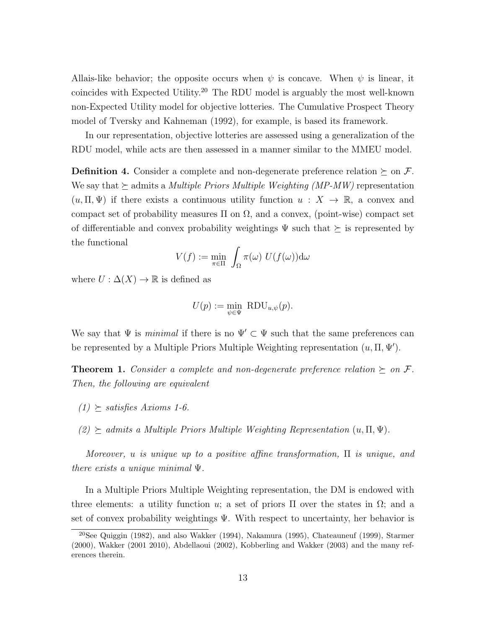Allais-like behavior; the opposite occurs when  $\psi$  is concave. When  $\psi$  is linear, it coincides with Expected Utility.<sup>20</sup> The RDU model is arguably the most well-known non-Expected Utility model for objective lotteries. The Cumulative Prospect Theory model of Tversky and Kahneman (1992), for example, is based its framework.

In our representation, objective lotteries are assessed using a generalization of the RDU model, while acts are then assessed in a manner similar to the MMEU model.

**Definition 4.** Consider a complete and non-degenerate preference relation  $\succeq$  on F. We say that  $\succeq$  admits a *Multiple Priors Multiple Weighting (MP-MW)* representation  $(u, \Pi, \Psi)$  if there exists a continuous utility function  $u : X \to \mathbb{R}$ , a convex and compact set of probability measures  $\Pi$  on  $\Omega$ , and a convex, (point-wise) compact set of differentiable and convex probability weightings  $\Psi$  such that  $\succeq$  is represented by the functional

$$
V(f) := \min_{\pi \in \Pi} \int_{\Omega} \pi(\omega) U(f(\omega)) \, d\omega
$$

where  $U : \Delta(X) \to \mathbb{R}$  is defined as

$$
U(p) := \min_{\psi \in \Psi} \text{ RDU}_{u, \psi}(p).
$$

We say that  $\Psi$  is minimal if there is no  $\Psi' \subset \Psi$  such that the same preferences can be represented by a Multiple Priors Multiple Weighting representation  $(u, \Pi, \Psi')$ .

**Theorem 1.** Consider a complete and non-degenerate preference relation  $\succeq$  on F. Then, the following are equivalent

- $(1) \succeq$  satisfies Axioms 1-6.
- $(2) \succeq$  admits a Multiple Priors Multiple Weighting Representation  $(u, \Pi, \Psi)$ .

Moreover, u is unique up to a positive affine transformation, Π is unique, and there exists a unique minimal  $\Psi$ .

In a Multiple Priors Multiple Weighting representation, the DM is endowed with three elements: a utility function u; a set of priors  $\Pi$  over the states in  $\Omega$ ; and a set of convex probability weightings  $\Psi$ . With respect to uncertainty, her behavior is

<sup>&</sup>lt;sup>20</sup>See Quiggin (1982), and also Wakker (1994), Nakamura (1995), Chateauneuf (1999), Starmer (2000), Wakker (2001 2010), Abdellaoui (2002), Kobberling and Wakker (2003) and the many references therein.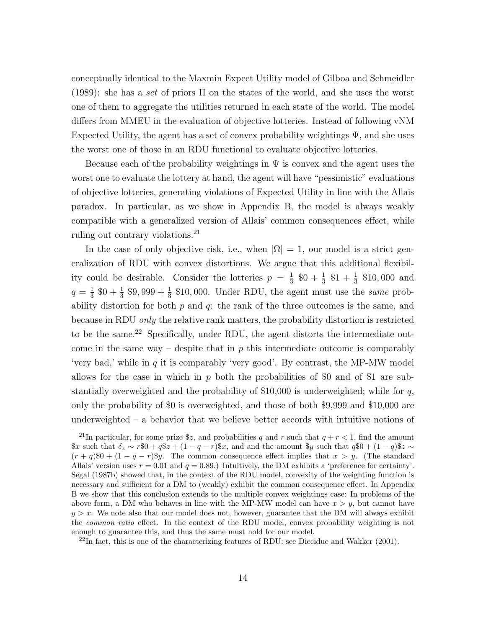conceptually identical to the Maxmin Expect Utility model of Gilboa and Schmeidler (1989): she has a set of priors Π on the states of the world, and she uses the worst one of them to aggregate the utilities returned in each state of the world. The model differs from MMEU in the evaluation of objective lotteries. Instead of following vNM Expected Utility, the agent has a set of convex probability weightings  $\Psi$ , and she uses the worst one of those in an RDU functional to evaluate objective lotteries.

Because each of the probability weightings in  $\Psi$  is convex and the agent uses the worst one to evaluate the lottery at hand, the agent will have "pessimistic" evaluations of objective lotteries, generating violations of Expected Utility in line with the Allais paradox. In particular, as we show in Appendix B, the model is always weakly compatible with a generalized version of Allais' common consequences effect, while ruling out contrary violations.<sup>21</sup>

In the case of only objective risk, i.e., when  $|\Omega| = 1$ , our model is a strict generalization of RDU with convex distortions. We argue that this additional flexibility could be desirable. Consider the lotteries  $p = \frac{1}{3}$  $\frac{1}{3}$  \$0 +  $\frac{1}{3}$  \$1 +  $\frac{1}{3}$  \$10,000 and  $q=\frac{1}{3}$  $\frac{1}{3}$  \$0 +  $\frac{1}{3}$  \$9, 999 +  $\frac{1}{3}$  \$10, 000. Under RDU, the agent must use the *same* probability distortion for both  $p$  and  $q$ : the rank of the three outcomes is the same, and because in RDU only the relative rank matters, the probability distortion is restricted to be the same.<sup>22</sup> Specifically, under RDU, the agent distorts the intermediate outcome in the same way – despite that in  $p$  this intermediate outcome is comparably 'very bad,' while in q it is comparably 'very good'. By contrast, the MP-MW model allows for the case in which in p both the probabilities of \$0 and of \$1 are substantially overweighted and the probability of  $$10,000$  is underweighted; while for q, only the probability of \$0 is overweighted, and those of both \$9,999 and \$10,000 are underweighted – a behavior that we believe better accords with intuitive notions of

<sup>&</sup>lt;sup>21</sup>In particular, for some prize  $\frac{2}{3}z$ , and probabilities q and r such that  $q + r < 1$ , find the amount  $x \text{ such that } \delta_z \sim r\$ 0 + q\  $+ (1 - q - r)\$  x, and and the amount  $y \text{ such that } q\$ 0 + (1 - q)\  $\approx \sim$  $(r + q)\$0 + (1 - q - r)\$y$ . The common consequence effect implies that  $x > y$ . (The standard Allais' version uses  $r = 0.01$  and  $q = 0.89$ .) Intuitively, the DM exhibits a 'preference for certainty'. Segal (1987b) showed that, in the context of the RDU model, convexity of the weighting function is necessary and sufficient for a DM to (weakly) exhibit the common consequence effect. In Appendix B we show that this conclusion extends to the multiple convex weightings case: In problems of the above form, a DM who behaves in line with the MP-MW model can have  $x > y$ , but cannot have  $y > x$ . We note also that our model does not, however, guarantee that the DM will always exhibit the common ratio effect. In the context of the RDU model, convex probability weighting is not enough to guarantee this, and thus the same must hold for our model.

 $^{22}$ In fact, this is one of the characterizing features of RDU: see Diecidue and Wakker (2001).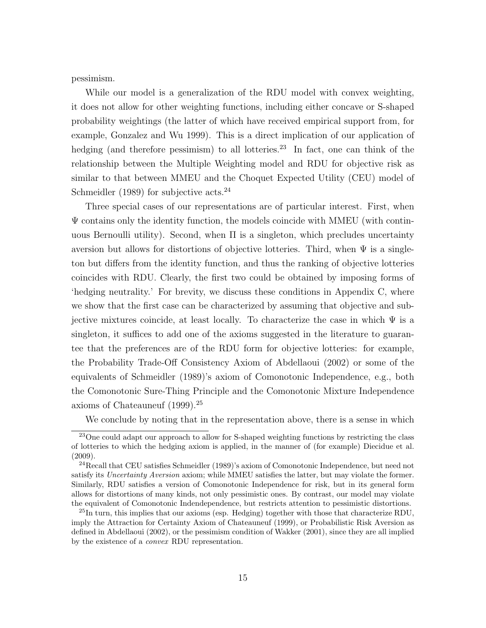pessimism.

While our model is a generalization of the RDU model with convex weighting, it does not allow for other weighting functions, including either concave or S-shaped probability weightings (the latter of which have received empirical support from, for example, Gonzalez and Wu 1999). This is a direct implication of our application of hedging (and therefore pessimism) to all lotteries.<sup>23</sup> In fact, one can think of the relationship between the Multiple Weighting model and RDU for objective risk as similar to that between MMEU and the Choquet Expected Utility (CEU) model of Schmeidler (1989) for subjective acts.<sup>24</sup>

Three special cases of our representations are of particular interest. First, when  $\Psi$  contains only the identity function, the models coincide with MMEU (with continuous Bernoulli utility). Second, when  $\Pi$  is a singleton, which precludes uncertainty aversion but allows for distortions of objective lotteries. Third, when  $\Psi$  is a singleton but differs from the identity function, and thus the ranking of objective lotteries coincides with RDU. Clearly, the first two could be obtained by imposing forms of 'hedging neutrality.' For brevity, we discuss these conditions in Appendix C, where we show that the first case can be characterized by assuming that objective and subjective mixtures coincide, at least locally. To characterize the case in which  $\Psi$  is a singleton, it suffices to add one of the axioms suggested in the literature to guarantee that the preferences are of the RDU form for objective lotteries: for example, the Probability Trade-Off Consistency Axiom of Abdellaoui (2002) or some of the equivalents of Schmeidler (1989)'s axiom of Comonotonic Independence, e.g., both the Comonotonic Sure-Thing Principle and the Comonotonic Mixture Independence axioms of Chateauneuf (1999).<sup>25</sup>

We conclude by noting that in the representation above, there is a sense in which

<sup>&</sup>lt;sup>23</sup>One could adapt our approach to allow for S-shaped weighting functions by restricting the class of lotteries to which the hedging axiom is applied, in the manner of (for example) Diecidue et al. (2009).

 $^{24}$ Recall that CEU satisfies Schmeidler (1989)'s axiom of Comonotonic Independence, but need not satisfy its Uncertainty Aversion axiom; while MMEU satisfies the latter, but may violate the former. Similarly, RDU satisfies a version of Comonotonic Independence for risk, but in its general form allows for distortions of many kinds, not only pessimistic ones. By contrast, our model may violate the equivalent of Comonotonic Indendependence, but restricts attention to pessimistic distortions.

 $^{25}$ In turn, this implies that our axioms (esp. Hedging) together with those that characterize RDU, imply the Attraction for Certainty Axiom of Chateauneuf (1999), or Probabilistic Risk Aversion as defined in Abdellaoui (2002), or the pessimism condition of Wakker (2001), since they are all implied by the existence of a convex RDU representation.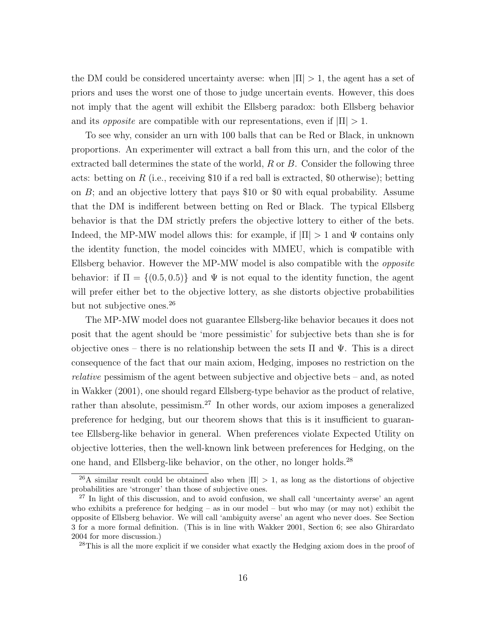the DM could be considered uncertainty averse: when  $|\Pi| > 1$ , the agent has a set of priors and uses the worst one of those to judge uncertain events. However, this does not imply that the agent will exhibit the Ellsberg paradox: both Ellsberg behavior and its *opposite* are compatible with our representations, even if  $|\Pi| > 1$ .

To see why, consider an urn with 100 balls that can be Red or Black, in unknown proportions. An experimenter will extract a ball from this urn, and the color of the extracted ball determines the state of the world,  $R$  or  $B$ . Consider the following three acts: betting on R (i.e., receiving \$10 if a red ball is extracted, \$0 otherwise); betting on  $B$ ; and an objective lottery that pays \$10 or \$0 with equal probability. Assume that the DM is indifferent between betting on Red or Black. The typical Ellsberg behavior is that the DM strictly prefers the objective lottery to either of the bets. Indeed, the MP-MW model allows this: for example, if  $|\Pi| > 1$  and  $\Psi$  contains only the identity function, the model coincides with MMEU, which is compatible with Ellsberg behavior. However the MP-MW model is also compatible with the opposite behavior: if  $\Pi = \{(0.5, 0.5)\}\$ and  $\Psi$  is not equal to the identity function, the agent will prefer either bet to the objective lottery, as she distorts objective probabilities but not subjective ones.<sup>26</sup>

The MP-MW model does not guarantee Ellsberg-like behavior becaues it does not posit that the agent should be 'more pessimistic' for subjective bets than she is for objective ones – there is no relationship between the sets  $\Pi$  and  $\Psi$ . This is a direct consequence of the fact that our main axiom, Hedging, imposes no restriction on the relative pessimism of the agent between subjective and objective bets – and, as noted in Wakker (2001), one should regard Ellsberg-type behavior as the product of relative, rather than absolute, pessimism.<sup>27</sup> In other words, our axiom imposes a generalized preference for hedging, but our theorem shows that this is it insufficient to guarantee Ellsberg-like behavior in general. When preferences violate Expected Utility on objective lotteries, then the well-known link between preferences for Hedging, on the one hand, and Ellsberg-like behavior, on the other, no longer holds.<sup>28</sup>

<sup>&</sup>lt;sup>26</sup>A similar result could be obtained also when  $|\Pi| > 1$ , as long as the distortions of objective probabilities are 'stronger' than those of subjective ones.

 $27$  In light of this discussion, and to avoid confusion, we shall call 'uncertainty averse' an agent who exhibits a preference for hedging – as in our model – but who may (or may not) exhibit the opposite of Ellsberg behavior. We will call 'ambiguity averse' an agent who never does. See Section 3 for a more formal definition. (This is in line with Wakker 2001, Section 6; see also Ghirardato 2004 for more discussion.)

<sup>&</sup>lt;sup>28</sup>This is all the more explicit if we consider what exactly the Hedging axiom does in the proof of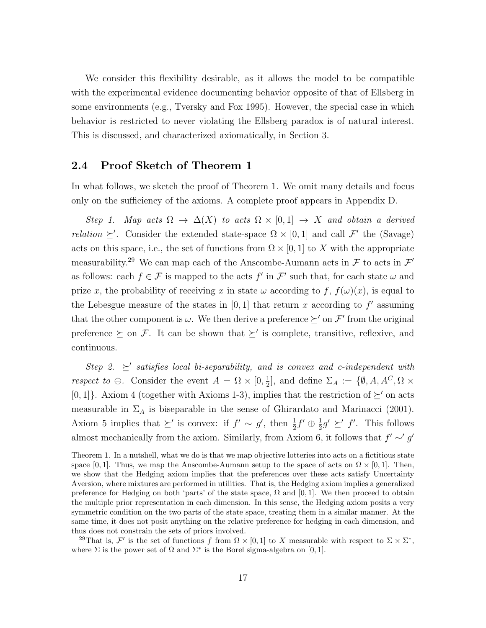We consider this flexibility desirable, as it allows the model to be compatible with the experimental evidence documenting behavior opposite of that of Ellsberg in some environments (e.g., Tversky and Fox 1995). However, the special case in which behavior is restricted to never violating the Ellsberg paradox is of natural interest. This is discussed, and characterized axiomatically, in Section 3.

### 2.4 Proof Sketch of Theorem 1

In what follows, we sketch the proof of Theorem 1. We omit many details and focus only on the sufficiency of the axioms. A complete proof appears in Appendix D.

Step 1. Map acts  $\Omega \to \Delta(X)$  to acts  $\Omega \times [0,1] \to X$  and obtain a derived *relation*  $\geq'$ . Consider the extended state-space  $\Omega \times [0, 1]$  and call F' the (Savage) acts on this space, i.e., the set of functions from  $\Omega \times [0,1]$  to X with the appropriate measurability.<sup>29</sup> We can map each of the Anscombe-Aumann acts in  $\mathcal F$  to acts in  $\mathcal F'$ as follows: each  $f \in \mathcal{F}$  is mapped to the acts  $f'$  in  $\mathcal{F}'$  such that, for each state  $\omega$  and prize x, the probability of receiving x in state  $\omega$  according to f,  $f(\omega)(x)$ , is equal to the Lebesgue measure of the states in  $[0,1]$  that return x according to  $f'$  assuming that the other component is  $\omega$ . We then derive a preference  $\succeq'$  on  $\mathcal{F}'$  from the original preference  $\succeq$  on F. It can be shown that  $\succeq'$  is complete, transitive, reflexive, and continuous.

Step 2.  $\succeq'$  satisfies local bi-separability, and is convex and c-independent with respect to  $\oplus$ . Consider the event  $A = \Omega \times [0, \frac{1}{2}]$  $\frac{1}{2}$ , and define  $\Sigma_A := \{ \emptyset, A, A^C, \Omega \times \emptyset \}$ [0, 1]. Axiom 4 (together with Axioms 1-3), implies that the restriction of  $\succeq'$  on acts measurable in  $\Sigma_A$  is biseparable in the sense of Ghirardato and Marinacci (2001). Axiom 5 implies that  $\succeq'$  is convex: if  $f' \sim g'$ , then  $\frac{1}{2}f' \oplus \frac{1}{2}$  $\frac{1}{2}g' \succeq' f'$ . This follows almost mechanically from the axiom. Similarly, from Axiom 6, it follows that  $f' \sim' g'$ 

Theorem 1. In a nutshell, what we do is that we map objective lotteries into acts on a fictitious state space [0, 1]. Thus, we map the Anscombe-Aumann setup to the space of acts on  $\Omega \times [0,1]$ . Then, we show that the Hedging axiom implies that the preferences over these acts satisfy Uncertainty Aversion, where mixtures are performed in utilities. That is, the Hedging axiom implies a generalized preference for Hedging on both 'parts' of the state space,  $\Omega$  and [0,1]. We then proceed to obtain the multiple prior representation in each dimension. In this sense, the Hedging axiom posits a very symmetric condition on the two parts of the state space, treating them in a similar manner. At the same time, it does not posit anything on the relative preference for hedging in each dimension, and thus does not constrain the sets of priors involved.

<sup>&</sup>lt;sup>29</sup>That is,  $\mathcal{F}'$  is the set of functions f from  $\Omega \times [0,1]$  to X measurable with respect to  $\Sigma \times \Sigma^*$ , where  $\Sigma$  is the power set of  $\Omega$  and  $\Sigma^*$  is the Borel sigma-algebra on [0, 1].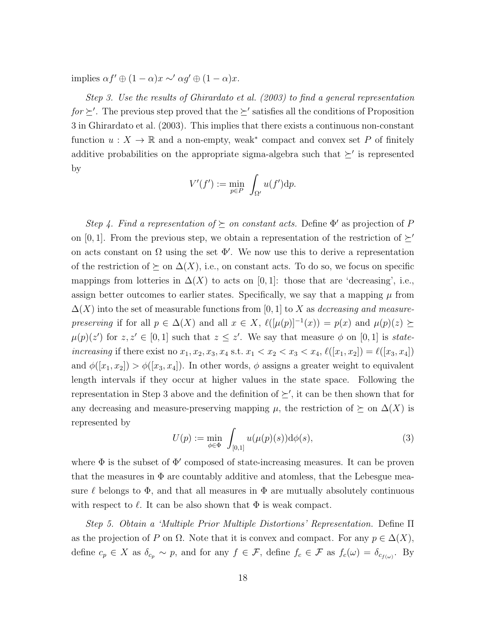implies  $\alpha f' \oplus (1 - \alpha)x \sim' \alpha g' \oplus (1 - \alpha)x$ .

Step 3. Use the results of Ghirardato et al. (2003) to find a general representation for  $\geq'$ . The previous step proved that the  $\geq'$  satisfies all the conditions of Proposition 3 in Ghirardato et al. (2003). This implies that there exists a continuous non-constant function  $u: X \to \mathbb{R}$  and a non-empty, weak<sup>\*</sup> compact and convex set P of finitely additive probabilities on the appropriate sigma-algebra such that  $\succeq'$  is represented by

$$
V'(f') := \min_{p \in P} \int_{\Omega'} u(f') \mathrm{d}p.
$$

Step 4. Find a representation of  $\succeq$  on constant acts. Define  $\Phi'$  as projection of P on [0, 1]. From the previous step, we obtain a representation of the restriction of  $\succeq'$ on acts constant on  $\Omega$  using the set  $\Phi'$ . We now use this to derive a representation of the restriction of  $\succeq$  on  $\Delta(X)$ , i.e., on constant acts. To do so, we focus on specific mappings from lotteries in  $\Delta(X)$  to acts on [0,1]: those that are 'decreasing', i.e., assign better outcomes to earlier states. Specifically, we say that a mapping  $\mu$  from  $\Delta(X)$  into the set of measurable functions from [0, 1] to X as decreasing and measurepreserving if for all  $p \in \Delta(X)$  and all  $x \in X$ ,  $\ell([\mu(p)]^{-1}(x)) = p(x)$  and  $\mu(p)(z) \succeq$  $\mu(p)(z')$  for  $z, z' \in [0, 1]$  such that  $z \leq z'$ . We say that measure  $\phi$  on [0, 1] is stateincreasing if there exist no  $x_1, x_2, x_3, x_4$  s.t.  $x_1 < x_2 < x_3 < x_4$ ,  $\ell([x_1, x_2]) = \ell([x_3, x_4])$ and  $\phi([x_1, x_2]) > \phi([x_3, x_4])$ . In other words,  $\phi$  assigns a greater weight to equivalent length intervals if they occur at higher values in the state space. Following the representation in Step 3 above and the definition of  $\succeq'$ , it can be then shown that for any decreasing and measure-preserving mapping  $\mu$ , the restriction of  $\succeq$  on  $\Delta(X)$  is represented by

$$
U(p) := \min_{\phi \in \Phi} \int_{[0,1]} u(\mu(p)(s)) \, d\phi(s),\tag{3}
$$

where  $\Phi$  is the subset of  $\Phi'$  composed of state-increasing measures. It can be proven that the measures in  $\Phi$  are countably additive and atomless, that the Lebesgue measure  $\ell$  belongs to  $\Phi$ , and that all measures in  $\Phi$  are mutually absolutely continuous with respect to  $\ell$ . It can be also shown that  $\Phi$  is weak compact.

Step 5. Obtain a 'Multiple Prior Multiple Distortions' Representation. Define Π as the projection of P on  $\Omega$ . Note that it is convex and compact. For any  $p \in \Delta(X)$ , define  $c_p \in X$  as  $\delta_{c_p} \sim p$ , and for any  $f \in \mathcal{F}$ , define  $f_c \in \mathcal{F}$  as  $f_c(\omega) = \delta_{c_{f(\omega)}}$ . By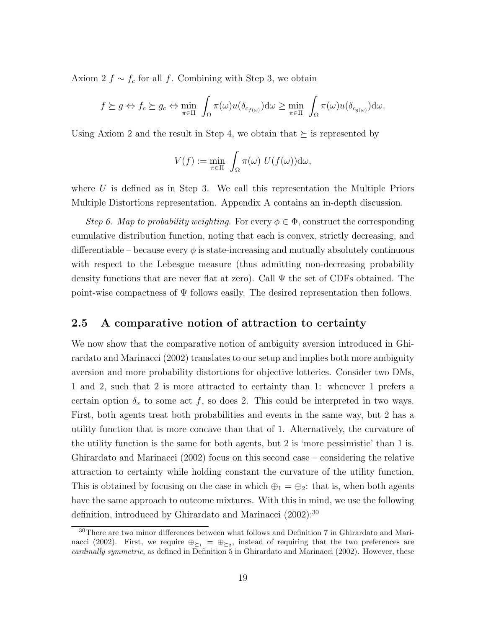Axiom 2  $f \sim f_c$  for all f. Combining with Step 3, we obtain

$$
f \succeq g \Leftrightarrow f_c \succeq g_c \Leftrightarrow \min_{\pi \in \Pi} \int_{\Omega} \pi(\omega) u(\delta_{c_{f(\omega)}}) d\omega \ge \min_{\pi \in \Pi} \int_{\Omega} \pi(\omega) u(\delta_{c_{g(\omega)}}) d\omega.
$$

Using Axiom 2 and the result in Step 4, we obtain that  $\succeq$  is represented by

$$
V(f) := \min_{\pi \in \Pi} \int_{\Omega} \pi(\omega) U(f(\omega)) \, d\omega,
$$

where  $U$  is defined as in Step 3. We call this representation the Multiple Priors Multiple Distortions representation. Appendix A contains an in-depth discussion.

Step 6. Map to probability weighting. For every  $\phi \in \Phi$ , construct the corresponding cumulative distribution function, noting that each is convex, strictly decreasing, and differentiable – because every  $\phi$  is state-increasing and mutually absolutely continuous with respect to the Lebesgue measure (thus admitting non-decreasing probability density functions that are never flat at zero). Call Ψ the set of CDFs obtained. The point-wise compactness of  $\Psi$  follows easily. The desired representation then follows.

### 2.5 A comparative notion of attraction to certainty

We now show that the comparative notion of ambiguity aversion introduced in Ghirardato and Marinacci (2002) translates to our setup and implies both more ambiguity aversion and more probability distortions for objective lotteries. Consider two DMs, 1 and 2, such that 2 is more attracted to certainty than 1: whenever 1 prefers a certain option  $\delta_x$  to some act f, so does 2. This could be interpreted in two ways. First, both agents treat both probabilities and events in the same way, but 2 has a utility function that is more concave than that of 1. Alternatively, the curvature of the utility function is the same for both agents, but 2 is 'more pessimistic' than 1 is. Ghirardato and Marinacci (2002) focus on this second case – considering the relative attraction to certainty while holding constant the curvature of the utility function. This is obtained by focusing on the case in which  $\oplus_1 = \oplus_2$ : that is, when both agents have the same approach to outcome mixtures. With this in mind, we use the following definition, introduced by Ghirardato and Marinacci (2002):<sup>30</sup>

<sup>&</sup>lt;sup>30</sup>There are two minor differences between what follows and Definition 7 in Ghirardato and Marinacci (2002). First, we require  $\oplus_{\geq 1} = \oplus_{\geq 2}$ , instead of requiring that the two preferences are cardinally symmetric, as defined in Definition 5 in Ghirardato and Marinacci (2002). However, these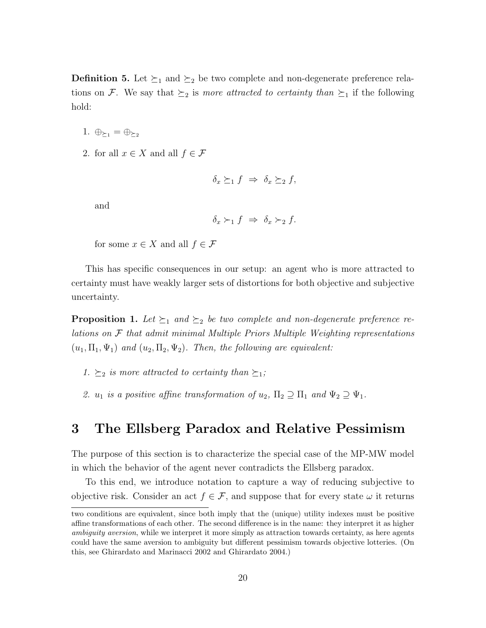**Definition 5.** Let  $\succeq_1$  and  $\succeq_2$  be two complete and non-degenerate preference relations on F. We say that  $\succeq_2$  is more attracted to certainty than  $\succeq_1$  if the following hold:

- 1.  $\oplus_{\succ_1} = \oplus_{\succ_2}$
- 2. for all  $x \in X$  and all  $f \in \mathcal{F}$

$$
\delta_x \succeq_1 f \;\Rightarrow\; \delta_x \succeq_2 f,
$$

and

$$
\delta_x \succ_1 f \;\Rightarrow\; \delta_x \succ_2 f.
$$

for some  $x \in X$  and all  $f \in \mathcal{F}$ 

This has specific consequences in our setup: an agent who is more attracted to certainty must have weakly larger sets of distortions for both objective and subjective uncertainty.

**Proposition 1.** Let  $\succeq_1$  and  $\succeq_2$  be two complete and non-degenerate preference relations on F that admit minimal Multiple Priors Multiple Weighting representations  $(u_1, \Pi_1, \Psi_1)$  and  $(u_2, \Pi_2, \Psi_2)$ . Then, the following are equivalent:

- 1.  $\succeq_2$  is more attracted to certainty than  $\succeq_1$ ;
- 2.  $u_1$  is a positive affine transformation of  $u_2$ ,  $\Pi_2 \supseteq \Pi_1$  and  $\Psi_2 \supseteq \Psi_1$ .

# 3 The Ellsberg Paradox and Relative Pessimism

The purpose of this section is to characterize the special case of the MP-MW model in which the behavior of the agent never contradicts the Ellsberg paradox.

To this end, we introduce notation to capture a way of reducing subjective to objective risk. Consider an act  $f \in \mathcal{F}$ , and suppose that for every state  $\omega$  it returns

two conditions are equivalent, since both imply that the (unique) utility indexes must be positive affine transformations of each other. The second difference is in the name: they interpret it as higher ambiguity aversion, while we interpret it more simply as attraction towards certainty, as here agents could have the same aversion to ambiguity but different pessimism towards objective lotteries. (On this, see Ghirardato and Marinacci 2002 and Ghirardato 2004.)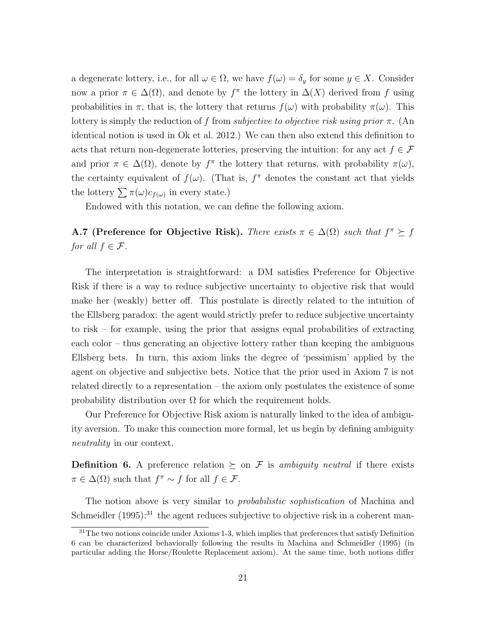a degenerate lottery, i.e., for all  $\omega \in \Omega$ , we have  $f(\omega) = \delta_y$  for some  $y \in X$ . Consider now a prior  $\pi \in \Delta(\Omega)$ , and denote by  $f^{\pi}$  the lottery in  $\Delta(X)$  derived from f using probabilities in  $\pi$ , that is, the lottery that returns  $f(\omega)$  with probability  $\pi(\omega)$ . This lottery is simply the reduction of f from *subjective to objective risk using prior*  $\pi$ . (An identical notion is used in Ok et al. 2012.) We can then also extend this definition to acts that return non-degenerate lotteries, preserving the intuition: for any act  $f \in \mathcal{F}$ and prior  $\pi \in \Delta(\Omega)$ , denote by  $f^{\pi}$  the lottery that returns, with probability  $\pi(\omega)$ , the certainty equivalent of  $f(\omega)$ . (That is,  $f^{\pi}$  denotes the constant act that yields the lottery  $\sum \pi(\omega)c_{f(\omega)}$  in every state.)

Endowed with this notation, we can define the following axiom.

**A.7** (Preference for Objective Risk). There exists  $\pi \in \Delta(\Omega)$  such that  $f^{\pi} \succeq f$ for all  $f \in \mathcal{F}$ .

The interpretation is straightforward: a DM satisfies Preference for Objective Risk if there is a way to reduce subjective uncertainty to objective risk that would make her (weakly) better off. This postulate is directly related to the intuition of the Ellsberg paradox: the agent would strictly prefer to reduce subjective uncertainty to risk – for example, using the prior that assigns equal probabilities of extracting each color – thus generating an objective lottery rather than keeping the ambiguous Ellsberg bets. In turn, this axiom links the degree of 'pessimism' applied by the agent on objective and subjective bets. Notice that the prior used in Axiom 7 is not related directly to a representation – the axiom only postulates the existence of some probability distribution over  $\Omega$  for which the requirement holds.

Our Preference for Objective Risk axiom is naturally linked to the idea of ambiguity aversion. To make this connection more formal, let us begin by defining ambiguity neutrality in our context.

**Definition 6.** A preference relation  $\succeq$  on F is ambiguity neutral if there exists  $\pi \in \Delta(\Omega)$  such that  $f^{\pi} \sim f$  for all  $f \in \mathcal{F}$ .

The notion above is very similar to *probabilistic sophistication* of Machina and Schmeidler  $(1995)$ :<sup>31</sup> the agent reduces subjective to objective risk in a coherent man-

 $31$ The two notions coincide under Axioms 1-3, which implies that preferences that satisfy Definition 6 can be characterized behaviorally following the results in Machina and Schmeidler (1995) (in particular adding the Horse/Roulette Replacement axiom). At the same time, both notions differ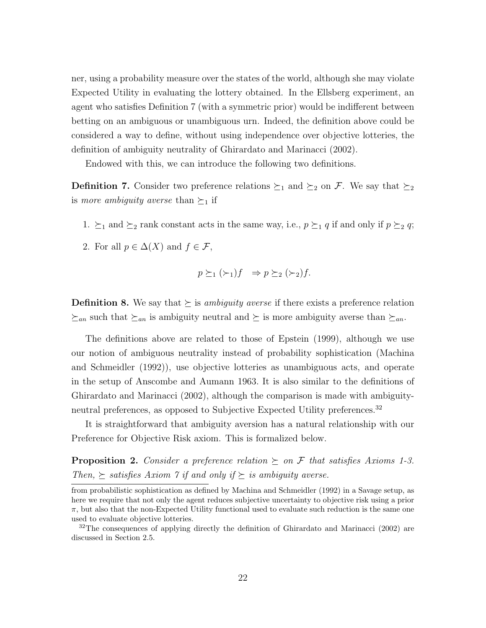ner, using a probability measure over the states of the world, although she may violate Expected Utility in evaluating the lottery obtained. In the Ellsberg experiment, an agent who satisfies Definition 7 (with a symmetric prior) would be indifferent between betting on an ambiguous or unambiguous urn. Indeed, the definition above could be considered a way to define, without using independence over objective lotteries, the definition of ambiguity neutrality of Ghirardato and Marinacci (2002).

Endowed with this, we can introduce the following two definitions.

**Definition 7.** Consider two preference relations  $\succeq_1$  and  $\succeq_2$  on F. We say that  $\succeq_2$ is *more ambiguity averse* than  $\succeq_1$  if

- 1.  $\succeq_1$  and  $\succeq_2$  rank constant acts in the same way, i.e.,  $p \succeq_1 q$  if and only if  $p \succeq_2 q$ ;
- 2. For all  $p \in \Delta(X)$  and  $f \in \mathcal{F}$ ,

$$
p \succeq_1 (\succ_1) f \Rightarrow p \succeq_2 (\succ_2) f.
$$

**Definition 8.** We say that  $\succeq$  is *ambiguity averse* if there exists a preference relation  $\succeq_{an}$  such that  $\succeq_{an}$  is ambiguity neutral and  $\succeq$  is more ambiguity averse than  $\succeq_{an}$ .

The definitions above are related to those of Epstein (1999), although we use our notion of ambiguous neutrality instead of probability sophistication (Machina and Schmeidler (1992)), use objective lotteries as unambiguous acts, and operate in the setup of Anscombe and Aumann 1963. It is also similar to the definitions of Ghirardato and Marinacci (2002), although the comparison is made with ambiguityneutral preferences, as opposed to Subjective Expected Utility preferences.<sup>32</sup>

It is straightforward that ambiguity aversion has a natural relationship with our Preference for Objective Risk axiom. This is formalized below.

**Proposition 2.** Consider a preference relation  $\succeq$  on F that satisfies Axioms 1-3. Then,  $\succeq$  satisfies Axiom 7 if and only if  $\succeq$  is ambiguity averse.

from probabilistic sophistication as defined by Machina and Schmeidler (1992) in a Savage setup, as here we require that not only the agent reduces subjective uncertainty to objective risk using a prior  $\pi$ , but also that the non-Expected Utility functional used to evaluate such reduction is the same one used to evaluate objective lotteries.

 $32$ The consequences of applying directly the definition of Ghirardato and Marinacci (2002) are discussed in Section 2.5.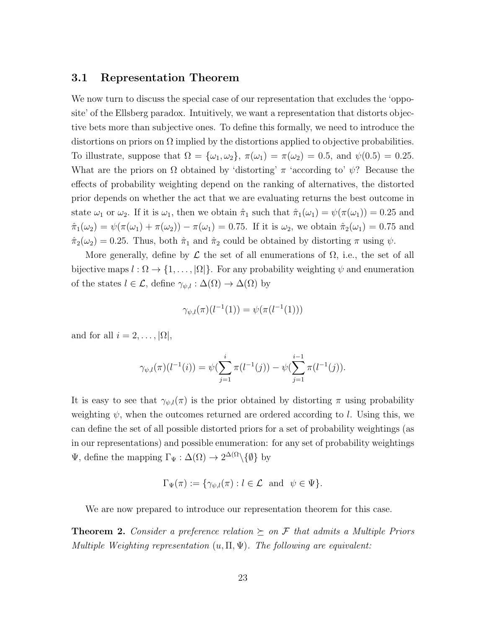### 3.1 Representation Theorem

We now turn to discuss the special case of our representation that excludes the 'opposite' of the Ellsberg paradox. Intuitively, we want a representation that distorts objective bets more than subjective ones. To define this formally, we need to introduce the distortions on priors on  $\Omega$  implied by the distortions applied to objective probabilities. To illustrate, suppose that  $\Omega = {\omega_1, \omega_2}, \pi(\omega_1) = \pi(\omega_2) = 0.5$ , and  $\psi(0.5) = 0.25$ . What are the priors on  $\Omega$  obtained by 'distorting'  $\pi$  'according to'  $\psi$ ? Because the effects of probability weighting depend on the ranking of alternatives, the distorted prior depends on whether the act that we are evaluating returns the best outcome in state  $\omega_1$  or  $\omega_2$ . If it is  $\omega_1$ , then we obtain  $\hat{\pi}_1$  such that  $\hat{\pi}_1(\omega_1) = \psi(\pi(\omega_1)) = 0.25$  and  $\hat{\pi}_1(\omega_2) = \psi(\pi(\omega_1) + \pi(\omega_2)) - \pi(\omega_1) = 0.75$ . If it is  $\omega_2$ , we obtain  $\hat{\pi}_2(\omega_1) = 0.75$  and  $\hat{\pi}_2(\omega_2) = 0.25$ . Thus, both  $\hat{\pi}_1$  and  $\hat{\pi}_2$  could be obtained by distorting  $\pi$  using  $\psi$ .

More generally, define by  $\mathcal L$  the set of all enumerations of  $\Omega$ , i.e., the set of all bijective maps  $l : \Omega \to \{1, \ldots, |\Omega|\}$ . For any probability weighting  $\psi$  and enumeration of the states  $l \in \mathcal{L}$ , define  $\gamma_{\psi,l} : \Delta(\Omega) \to \Delta(\Omega)$  by

$$
\gamma_{\psi,l}(\pi)(l^{-1}(1)) = \psi(\pi(l^{-1}(1)))
$$

and for all  $i = 2, \ldots, |\Omega|$ ,

$$
\gamma_{\psi,l}(\pi)(l^{-1}(i)) = \psi(\sum_{j=1}^i \pi(l^{-1}(j)) - \psi(\sum_{j=1}^{i-1} \pi(l^{-1}(j))).
$$

It is easy to see that  $\gamma_{\psi,l}(\pi)$  is the prior obtained by distorting  $\pi$  using probability weighting  $\psi$ , when the outcomes returned are ordered according to l. Using this, we can define the set of all possible distorted priors for a set of probability weightings (as in our representations) and possible enumeration: for any set of probability weightings  $\Psi$ , define the mapping  $\Gamma_{\Psi} : \Delta(\Omega) \to 2^{\Delta(\Omega)} \setminus {\emptyset}$  by

$$
\Gamma_{\Psi}(\pi) := \{ \gamma_{\psi,l}(\pi) : l \in \mathcal{L} \text{ and } \psi \in \Psi \}.
$$

We are now prepared to introduce our representation theorem for this case.

**Theorem 2.** Consider a preference relation  $\succeq$  on F that admits a Multiple Priors Multiple Weighting representation  $(u, \Pi, \Psi)$ . The following are equivalent: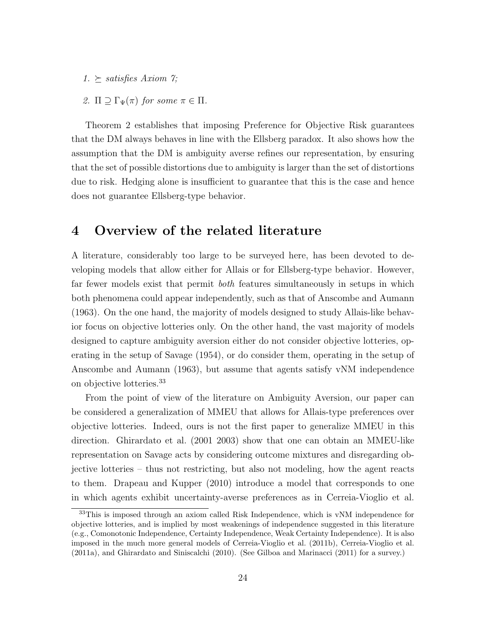- 1.  $\succeq$  satisfies Axiom 7;
- 2.  $\Pi \supset \Gamma_{\Psi}(\pi)$  for some  $\pi \in \Pi$ .

Theorem 2 establishes that imposing Preference for Objective Risk guarantees that the DM always behaves in line with the Ellsberg paradox. It also shows how the assumption that the DM is ambiguity averse refines our representation, by ensuring that the set of possible distortions due to ambiguity is larger than the set of distortions due to risk. Hedging alone is insufficient to guarantee that this is the case and hence does not guarantee Ellsberg-type behavior.

# 4 Overview of the related literature

A literature, considerably too large to be surveyed here, has been devoted to developing models that allow either for Allais or for Ellsberg-type behavior. However, far fewer models exist that permit *both* features simultaneously in setups in which both phenomena could appear independently, such as that of Anscombe and Aumann (1963). On the one hand, the majority of models designed to study Allais-like behavior focus on objective lotteries only. On the other hand, the vast majority of models designed to capture ambiguity aversion either do not consider objective lotteries, operating in the setup of Savage (1954), or do consider them, operating in the setup of Anscombe and Aumann (1963), but assume that agents satisfy vNM independence on objective lotteries.<sup>33</sup>

From the point of view of the literature on Ambiguity Aversion, our paper can be considered a generalization of MMEU that allows for Allais-type preferences over objective lotteries. Indeed, ours is not the first paper to generalize MMEU in this direction. Ghirardato et al. (2001 2003) show that one can obtain an MMEU-like representation on Savage acts by considering outcome mixtures and disregarding objective lotteries – thus not restricting, but also not modeling, how the agent reacts to them. Drapeau and Kupper (2010) introduce a model that corresponds to one in which agents exhibit uncertainty-averse preferences as in Cerreia-Vioglio et al.

<sup>33</sup>This is imposed through an axiom called Risk Independence, which is vNM independence for objective lotteries, and is implied by most weakenings of independence suggested in this literature (e.g., Comonotonic Independence, Certainty Independence, Weak Certainty Independence). It is also imposed in the much more general models of Cerreia-Vioglio et al. (2011b), Cerreia-Vioglio et al. (2011a), and Ghirardato and Siniscalchi (2010). (See Gilboa and Marinacci (2011) for a survey.)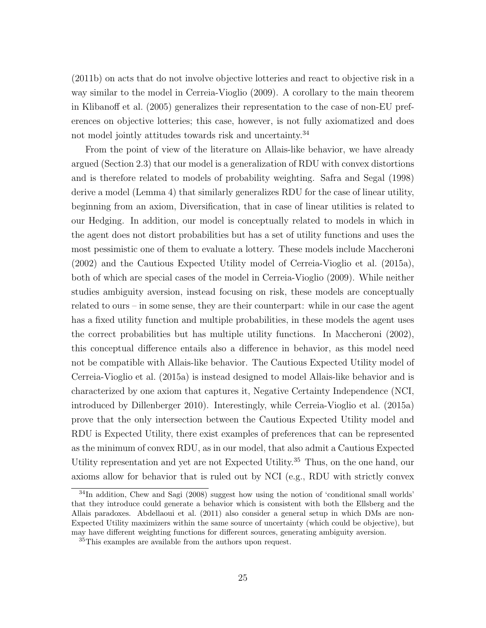(2011b) on acts that do not involve objective lotteries and react to objective risk in a way similar to the model in Cerreia-Vioglio (2009). A corollary to the main theorem in Klibanoff et al. (2005) generalizes their representation to the case of non-EU preferences on objective lotteries; this case, however, is not fully axiomatized and does not model jointly attitudes towards risk and uncertainty.<sup>34</sup>

From the point of view of the literature on Allais-like behavior, we have already argued (Section 2.3) that our model is a generalization of RDU with convex distortions and is therefore related to models of probability weighting. Safra and Segal (1998) derive a model (Lemma 4) that similarly generalizes RDU for the case of linear utility, beginning from an axiom, Diversification, that in case of linear utilities is related to our Hedging. In addition, our model is conceptually related to models in which in the agent does not distort probabilities but has a set of utility functions and uses the most pessimistic one of them to evaluate a lottery. These models include Maccheroni (2002) and the Cautious Expected Utility model of Cerreia-Vioglio et al. (2015a), both of which are special cases of the model in Cerreia-Vioglio (2009). While neither studies ambiguity aversion, instead focusing on risk, these models are conceptually related to ours – in some sense, they are their counterpart: while in our case the agent has a fixed utility function and multiple probabilities, in these models the agent uses the correct probabilities but has multiple utility functions. In Maccheroni (2002), this conceptual difference entails also a difference in behavior, as this model need not be compatible with Allais-like behavior. The Cautious Expected Utility model of Cerreia-Vioglio et al. (2015a) is instead designed to model Allais-like behavior and is characterized by one axiom that captures it, Negative Certainty Independence (NCI, introduced by Dillenberger 2010). Interestingly, while Cerreia-Vioglio et al. (2015a) prove that the only intersection between the Cautious Expected Utility model and RDU is Expected Utility, there exist examples of preferences that can be represented as the minimum of convex RDU, as in our model, that also admit a Cautious Expected Utility representation and yet are not Expected Utility.<sup>35</sup> Thus, on the one hand, our axioms allow for behavior that is ruled out by NCI (e.g., RDU with strictly convex

<sup>&</sup>lt;sup>34</sup>In addition, Chew and Sagi (2008) suggest how using the notion of 'conditional small worlds' that they introduce could generate a behavior which is consistent with both the Ellsberg and the Allais paradoxes. Abdellaoui et al. (2011) also consider a general setup in which DMs are non-Expected Utility maximizers within the same source of uncertainty (which could be objective), but may have different weighting functions for different sources, generating ambiguity aversion.

<sup>&</sup>lt;sup>35</sup>This examples are available from the authors upon request.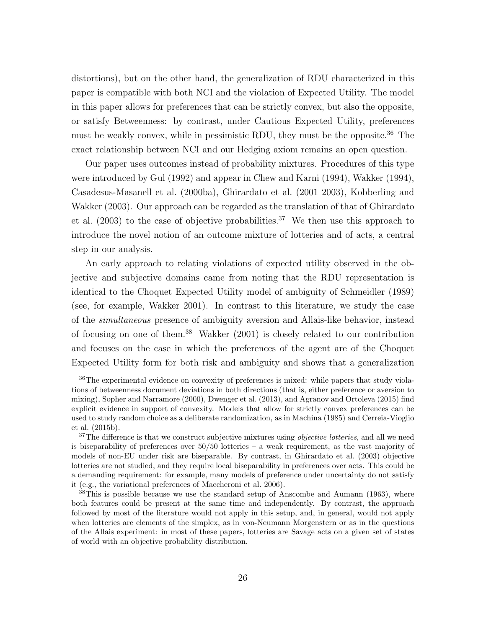distortions), but on the other hand, the generalization of RDU characterized in this paper is compatible with both NCI and the violation of Expected Utility. The model in this paper allows for preferences that can be strictly convex, but also the opposite, or satisfy Betweenness: by contrast, under Cautious Expected Utility, preferences must be weakly convex, while in pessimistic RDU, they must be the opposite.<sup>36</sup> The exact relationship between NCI and our Hedging axiom remains an open question.

Our paper uses outcomes instead of probability mixtures. Procedures of this type were introduced by Gul (1992) and appear in Chew and Karni (1994), Wakker (1994), Casadesus-Masanell et al. (2000ba), Ghirardato et al. (2001 2003), Kobberling and Wakker (2003). Our approach can be regarded as the translation of that of Ghirardato et al.  $(2003)$  to the case of objective probabilities.<sup>37</sup> We then use this approach to introduce the novel notion of an outcome mixture of lotteries and of acts, a central step in our analysis.

An early approach to relating violations of expected utility observed in the objective and subjective domains came from noting that the RDU representation is identical to the Choquet Expected Utility model of ambiguity of Schmeidler (1989) (see, for example, Wakker 2001). In contrast to this literature, we study the case of the simultaneous presence of ambiguity aversion and Allais-like behavior, instead of focusing on one of them.<sup>38</sup> Wakker (2001) is closely related to our contribution and focuses on the case in which the preferences of the agent are of the Choquet Expected Utility form for both risk and ambiguity and shows that a generalization

<sup>&</sup>lt;sup>36</sup>The experimental evidence on convexity of preferences is mixed: while papers that study violations of betweenness document deviations in both directions (that is, either preference or aversion to mixing), Sopher and Narramore (2000), Dwenger et al. (2013), and Agranov and Ortoleva (2015) find explicit evidence in support of convexity. Models that allow for strictly convex preferences can be used to study random choice as a deliberate randomization, as in Machina (1985) and Cerreia-Vioglio et al. (2015b).

<sup>&</sup>lt;sup>37</sup>The difference is that we construct subjective mixtures using *objective lotteries*, and all we need is biseparability of preferences over  $50/50$  lotteries – a weak requirement, as the vast majority of models of non-EU under risk are biseparable. By contrast, in Ghirardato et al. (2003) objective lotteries are not studied, and they require local biseparability in preferences over acts. This could be a demanding requirement: for example, many models of preference under uncertainty do not satisfy it (e.g., the variational preferences of Maccheroni et al. 2006).

<sup>38</sup>This is possible because we use the standard setup of Anscombe and Aumann (1963), where both features could be present at the same time and independently. By contrast, the approach followed by most of the literature would not apply in this setup, and, in general, would not apply when lotteries are elements of the simplex, as in von-Neumann Morgenstern or as in the questions of the Allais experiment: in most of these papers, lotteries are Savage acts on a given set of states of world with an objective probability distribution.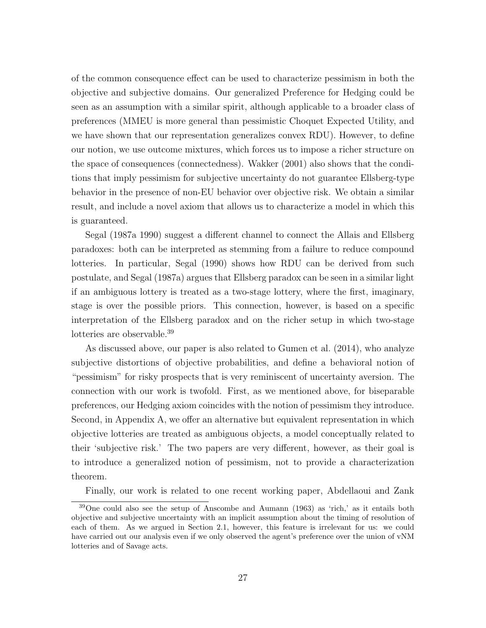of the common consequence effect can be used to characterize pessimism in both the objective and subjective domains. Our generalized Preference for Hedging could be seen as an assumption with a similar spirit, although applicable to a broader class of preferences (MMEU is more general than pessimistic Choquet Expected Utility, and we have shown that our representation generalizes convex RDU). However, to define our notion, we use outcome mixtures, which forces us to impose a richer structure on the space of consequences (connectedness). Wakker (2001) also shows that the conditions that imply pessimism for subjective uncertainty do not guarantee Ellsberg-type behavior in the presence of non-EU behavior over objective risk. We obtain a similar result, and include a novel axiom that allows us to characterize a model in which this is guaranteed.

Segal (1987a 1990) suggest a different channel to connect the Allais and Ellsberg paradoxes: both can be interpreted as stemming from a failure to reduce compound lotteries. In particular, Segal (1990) shows how RDU can be derived from such postulate, and Segal (1987a) argues that Ellsberg paradox can be seen in a similar light if an ambiguous lottery is treated as a two-stage lottery, where the first, imaginary, stage is over the possible priors. This connection, however, is based on a specific interpretation of the Ellsberg paradox and on the richer setup in which two-stage lotteries are observable.<sup>39</sup>

As discussed above, our paper is also related to Gumen et al. (2014), who analyze subjective distortions of objective probabilities, and define a behavioral notion of "pessimism" for risky prospects that is very reminiscent of uncertainty aversion. The connection with our work is twofold. First, as we mentioned above, for biseparable preferences, our Hedging axiom coincides with the notion of pessimism they introduce. Second, in Appendix A, we offer an alternative but equivalent representation in which objective lotteries are treated as ambiguous objects, a model conceptually related to their 'subjective risk.' The two papers are very different, however, as their goal is to introduce a generalized notion of pessimism, not to provide a characterization theorem.

Finally, our work is related to one recent working paper, Abdellaoui and Zank

<sup>39</sup>One could also see the setup of Anscombe and Aumann (1963) as 'rich,' as it entails both objective and subjective uncertainty with an implicit assumption about the timing of resolution of each of them. As we argued in Section 2.1, however, this feature is irrelevant for us: we could have carried out our analysis even if we only observed the agent's preference over the union of vNM lotteries and of Savage acts.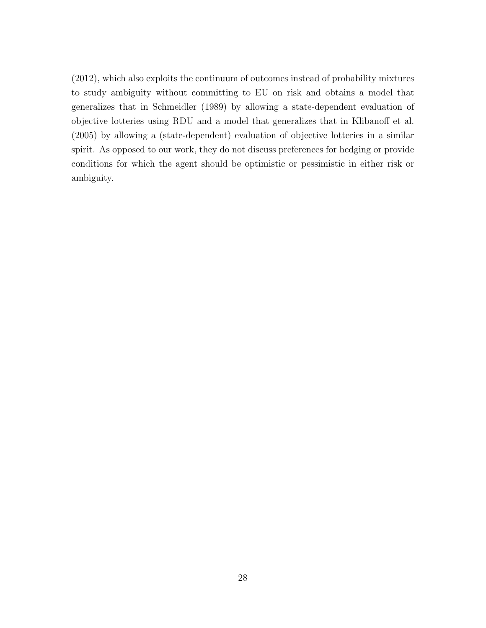(2012), which also exploits the continuum of outcomes instead of probability mixtures to study ambiguity without committing to EU on risk and obtains a model that generalizes that in Schmeidler (1989) by allowing a state-dependent evaluation of objective lotteries using RDU and a model that generalizes that in Klibanoff et al. (2005) by allowing a (state-dependent) evaluation of objective lotteries in a similar spirit. As opposed to our work, they do not discuss preferences for hedging or provide conditions for which the agent should be optimistic or pessimistic in either risk or ambiguity.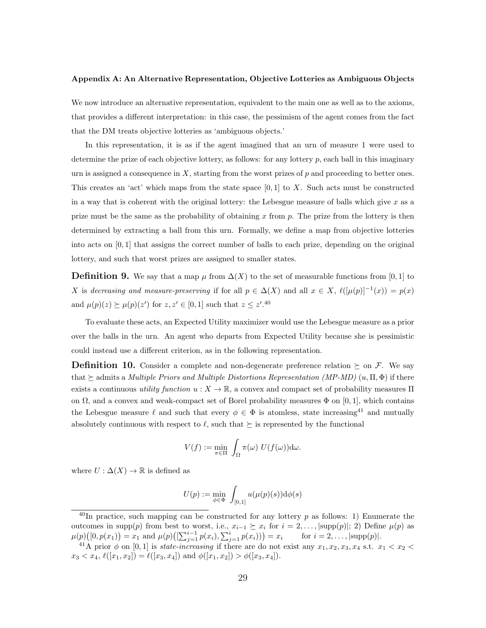#### Appendix A: An Alternative Representation, Objective Lotteries as Ambiguous Objects

We now introduce an alternative representation, equivalent to the main one as well as to the axioms, that provides a different interpretation: in this case, the pessimism of the agent comes from the fact that the DM treats objective lotteries as 'ambiguous objects.'

In this representation, it is as if the agent imagined that an urn of measure 1 were used to determine the prize of each objective lottery, as follows: for any lottery  $p$ , each ball in this imaginary urn is assigned a consequence in  $X$ , starting from the worst prizes of  $p$  and proceeding to better ones. This creates an 'act' which maps from the state space  $[0, 1]$  to X. Such acts must be constructed in a way that is coherent with the original lottery: the Lebesgue measure of balls which give x as a prize must be the same as the probability of obtaining x from  $p$ . The prize from the lottery is then determined by extracting a ball from this urn. Formally, we define a map from objective lotteries into acts on  $[0, 1]$  that assigns the correct number of balls to each prize, depending on the original lottery, and such that worst prizes are assigned to smaller states.

**Definition 9.** We say that a map  $\mu$  from  $\Delta(X)$  to the set of measurable functions from [0, 1] to X is decreasing and measure-preserving if for all  $p \in \Delta(X)$  and all  $x \in X$ ,  $\ell([\mu(p)]^{-1}(x)) = p(x)$ and  $\mu(p)(z) \succeq \mu(p)(z')$  for  $z, z' \in [0, 1]$  such that  $z \leq z'.40$ 

To evaluate these acts, an Expected Utility maximizer would use the Lebesgue measure as a prior over the balls in the urn. An agent who departs from Expected Utility because she is pessimistic could instead use a different criterion, as in the following representation.

**Definition 10.** Consider a complete and non-degenerate preference relation  $\succeq$  on F. We say that  $\succeq$  admits a *Multiple Priors and Multiple Distortions Representation (MP-MD)*  $(u, \Pi, \Phi)$  if there exists a continuous *utility function*  $u : X \to \mathbb{R}$ , a convex and compact set of probability measures  $\Pi$ on  $\Omega$ , and a convex and weak-compact set of Borel probability measures  $\Phi$  on [0, 1], which contains the Lebesgue measure  $\ell$  and such that every  $\phi \in \Phi$  is atomless, state increasing<sup>41</sup> and mutually absolutely continuous with respect to  $\ell$ , such that  $\succeq$  is represented by the functional

$$
V(f) := \min_{\pi \in \Pi} \int_{\Omega} \pi(\omega) U(f(\omega)) d\omega.
$$

where  $U : \Delta(X) \to \mathbb{R}$  is defined as

$$
U(p) := \min_{\phi \in \Phi} \int_{[0,1]} u(\mu(p)(s)) \mathrm{d}\phi(s)
$$

 $^{40}$ In practice, such mapping can be constructed for any lottery p as follows: 1) Enumerate the outcomes in supp(p) from best to worst, i.e.,  $x_{i-1} \succeq x_i$  for  $i = 2, \ldots, |\text{supp}(p)|$ ; 2) Define  $\mu(p)$  as  $\mu(p) ([0, p(x_1)) = x_1 \text{ and } \mu(p) ([\sum_{j=1}^{i-1} p(x_i), \sum_{j=1}^{i} p(x_i))) = x_i \quad \text{for } i = 2, \dots, |\text{supp}(p)|.$ 

<sup>&</sup>lt;sup>41</sup>A prior  $\phi$  on [0,1] is *state-increasing* if there are do not exist any  $x_1, x_2, x_3, x_4$  s.t.  $x_1 < x_2 <$  $x_3 < x_4$ ,  $\ell([x_1, x_2]) = \ell([x_3, x_4])$  and  $\phi([x_1, x_2]) > \phi([x_3, x_4])$ .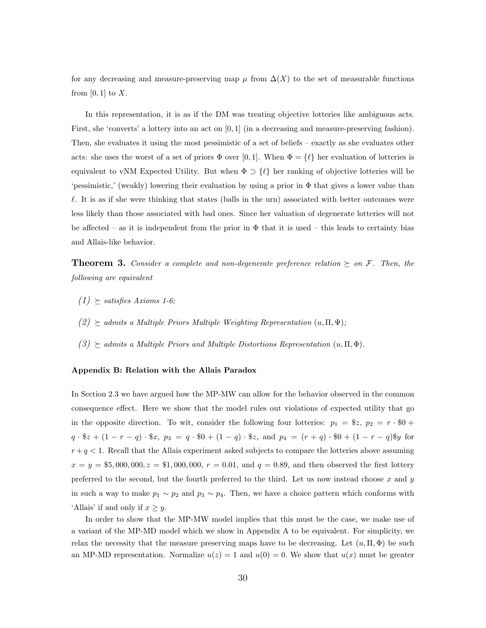for any decreasing and measure-preserving map  $\mu$  from  $\Delta(X)$  to the set of measurable functions from  $[0, 1]$  to X.

In this representation, it is as if the DM was treating objective lotteries like ambiguous acts. First, she 'converts' a lottery into an act on [0, 1] (in a decreasing and measure-preserving fashion). Then, she evaluates it using the most pessimistic of a set of beliefs – exactly as she evaluates other acts: she uses the worst of a set of priors  $\Phi$  over [0, 1]. When  $\Phi = {\ell}$  her evaluation of lotteries is equivalent to vNM Expected Utility. But when  $\Phi \supset \{\ell\}$  her ranking of objective lotteries will be 'pessimistic,' (weakly) lowering their evaluation by using a prior in Φ that gives a lower value than  $\ell$ . It is as if she were thinking that states (balls in the urn) associated with better outcomes were less likely than those associated with bad ones. Since her valuation of degenerate lotteries will not be affected – as it is independent from the prior in  $\Phi$  that it is used – this leads to certainty bias and Allais-like behavior.

**Theorem 3.** Consider a complete and non-degenerate preference relation  $\succeq$  on F. Then, the following are equivalent

- $(1) \succeq$  satisfies Axioms 1-6;
- $(2) \geq$  admits a Multiple Priors Multiple Weighting Representation  $(u, \Pi, \Psi);$
- $(3) \succeq$  admits a Multiple Priors and Multiple Distortions Representation  $(u, \Pi, \Phi)$ .

### Appendix B: Relation with the Allais Paradox

In Section 2.3 we have argued how the MP-MW can allow for the behavior observed in the common consequence effect. Here we show that the model rules out violations of expected utility that go in the opposite direction. To wit, consider the following four lotteries:  $p_1 = $z, p_2 = r \cdot $0 +$  $q \cdot $z + (1 - r - q) \cdot $x, p_3 = q \cdot $0 + (1 - q) \cdot $z, \text{ and } p_4 = (r + q) \cdot $0 + (1 - r - q) $y \text{ for}}$  $r + q < 1$ . Recall that the Allais experiment asked subjects to compare the lotteries above assuming  $x = y = $5,000,000, z = $1,000,000, r = 0.01, \text{ and } q = 0.89, \text{ and then observed the first lottery}$ preferred to the second, but the fourth preferred to the third. Let us now instead choose  $x$  and  $y$ in such a way to make  $p_1 \sim p_2$  and  $p_3 \sim p_4$ . Then, we have a choice pattern which conforms with 'Allais' if and only if  $x \geq y$ .

In order to show that the MP-MW model implies that this must be the case, we make use of a variant of the MP-MD model which we show in Appendix A to be equivalent. For simplicity, we relax the necessity that the measure preserving maps have to be decreasing. Let  $(u, \Pi, \Phi)$  be such an MP-MD representation. Normalize  $u(z) = 1$  and  $u(0) = 0$ . We show that  $u(x)$  must be greater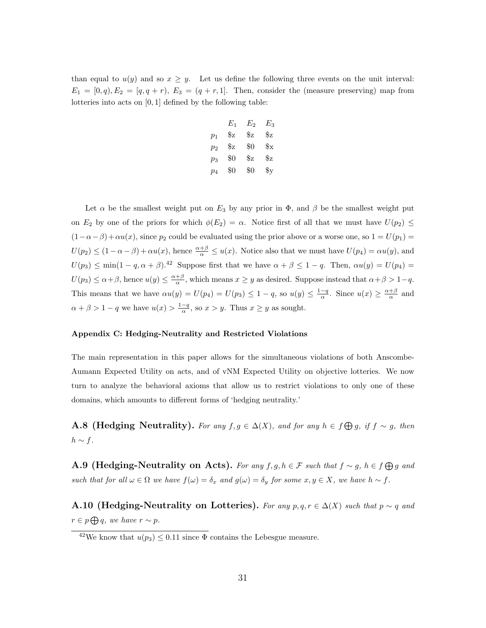than equal to  $u(y)$  and so  $x \geq y$ . Let us define the following three events on the unit interval:  $E_1 = [0, q), E_2 = [q, q + r), E_3 = (q + r, 1].$  Then, consider the (measure preserving) map from lotteries into acts on [0, 1] defined by the following table:

|       | $E_1$  | E2     | $E_3$                      |
|-------|--------|--------|----------------------------|
| $p_1$ | $\$$ z | $\$$ z | $\$$ z                     |
| $p_2$ | $\$$ z | \$0    | $\mathcal{S}_{\mathbf{X}}$ |
| $p_3$ | \$0    | \$z    | \$z                        |
| $p_4$ | \$0    | \$0    | $\$_{\rm{y}}$              |

Let  $\alpha$  be the smallest weight put on  $E_3$  by any prior in  $\Phi$ , and  $\beta$  be the smallest weight put on  $E_2$  by one of the priors for which  $\phi(E_2) = \alpha$ . Notice first of all that we must have  $U(p_2) \leq$  $(1-\alpha-\beta)+\alpha u(x)$ , since  $p_2$  could be evaluated using the prior above or a worse one, so  $1 = U(p_1)$  $U(p_2) \leq (1-\alpha-\beta) + \alpha u(x)$ , hence  $\frac{\alpha+\beta}{\alpha} \leq u(x)$ . Notice also that we must have  $U(p_4) = \alpha u(y)$ , and  $U(p_3) \le \min(1-q, \alpha+\beta)$ .<sup>42</sup> Suppose first that we have  $\alpha+\beta \le 1-q$ . Then,  $\alpha u(y) = U(p_4)$  $U(p_3) \le \alpha + \beta$ , hence  $u(y) \le \frac{\alpha + \beta}{\alpha}$ , which means  $x \ge y$  as desired. Suppose instead that  $\alpha + \beta > 1 - q$ . This means that we have  $\alpha u(y) = U(p_4) = U(p_3) \leq 1 - q$ , so  $u(y) \leq \frac{1 - q}{\alpha}$ . Since  $u(x) \geq \frac{\alpha + \beta}{\alpha}$  and  $\alpha + \beta > 1 - q$  we have  $u(x) > \frac{1-q}{\alpha}$ , so  $x > y$ . Thus  $x \ge y$  as sought.

### Appendix C: Hedging-Neutrality and Restricted Violations

The main representation in this paper allows for the simultaneous violations of both Anscombe-Aumann Expected Utility on acts, and of vNM Expected Utility on objective lotteries. We now turn to analyze the behavioral axioms that allow us to restrict violations to only one of these domains, which amounts to different forms of 'hedging neutrality.'

**A.8 (Hedging Neutrality).** For any  $f, g \in \Delta(X)$ , and for any  $h \in f \bigoplus g$ , if  $f \sim g$ , then  $h \sim f$ .

A.9 (Hedging-Neutrality on Acts). For any f, g,  $h \in \mathcal{F}$  such that  $f \sim g$ ,  $h \in f \bigoplus g$  and such that for all  $\omega \in \Omega$  we have  $f(\omega) = \delta_x$  and  $g(\omega) = \delta_y$  for some  $x, y \in X$ , we have  $h \sim f$ .

A.10 (Hedging-Neutrality on Lotteries). For any p, q,  $r \in \Delta(X)$  such that  $p \sim q$  and  $r \in p \bigoplus q$ , we have  $r \sim p$ .

<sup>&</sup>lt;sup>42</sup>We know that  $u(p_3) \leq 0.11$  since  $\Phi$  contains the Lebesgue measure.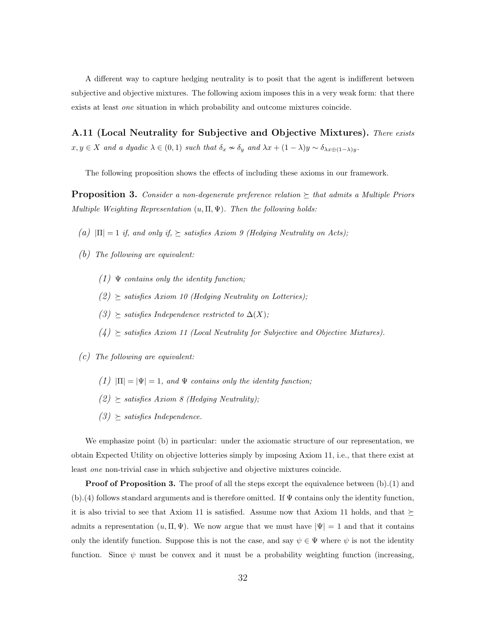A different way to capture hedging neutrality is to posit that the agent is indifferent between subjective and objective mixtures. The following axiom imposes this in a very weak form: that there exists at least one situation in which probability and outcome mixtures coincide.

A.11 (Local Neutrality for Subjective and Objective Mixtures). There exists  $x, y \in X$  and a dyadic  $\lambda \in (0, 1)$  such that  $\delta_x \nsim \delta_y$  and  $\lambda x + (1 - \lambda)y \sim \delta_{\lambda x \oplus (1 - \lambda)y}$ .

The following proposition shows the effects of including these axioms in our framework.

**Proposition 3.** Consider a non-degenerate preference relation  $\succeq$  that admits a Multiple Priors Multiple Weighting Representation  $(u, \Pi, \Psi)$ . Then the following holds:

- (a)  $|\Pi| = 1$  if, and only if,  $\succeq$  satisfies Axiom 9 (Hedging Neutrality on Acts);
- (b) The following are equivalent:
	- $(1)$   $\Psi$  contains only the identity function;
	- $(2) \geq$  satisfies Axiom 10 (Hedging Neutrality on Lotteries);
	- $(3)$   $\succeq$  satisfies Independence restricted to  $\Delta(X)$ ;
	- $(4) \succeq$  satisfies Axiom 11 (Local Neutrality for Subjective and Objective Mixtures).
- $(c)$  The following are equivalent:
	- (1)  $|\Pi| = |\Psi| = 1$ , and  $\Psi$  contains only the identity function;
	- $(2) \geq$  satisfies Axiom 8 (Hedging Neutrality);
	- $(3) \geq$  satisfies Independence.

We emphasize point (b) in particular: under the axiomatic structure of our representation, we obtain Expected Utility on objective lotteries simply by imposing Axiom 11, i.e., that there exist at least one non-trivial case in which subjective and objective mixtures coincide.

**Proof of Proposition 3.** The proof of all the steps except the equivalence between (b).(1) and (b).(4) follows standard arguments and is therefore omitted. If Ψ contains only the identity function, it is also trivial to see that Axiom 11 is satisfied. Assume now that Axiom 11 holds, and that  $\succeq$ admits a representation  $(u, \Pi, \Psi)$ . We now argue that we must have  $|\Psi| = 1$  and that it contains only the identify function. Suppose this is not the case, and say  $\psi \in \Psi$  where  $\psi$  is not the identity function. Since  $\psi$  must be convex and it must be a probability weighting function (increasing,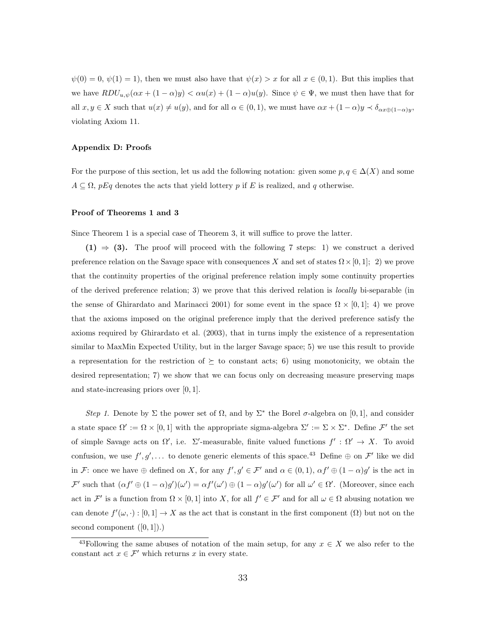$\psi(0) = 0, \psi(1) = 1$ , then we must also have that  $\psi(x) > x$  for all  $x \in (0,1)$ . But this implies that we have  $RDU_{u,\psi}(\alpha x + (1 - \alpha)y) < \alpha u(x) + (1 - \alpha)u(y)$ . Since  $\psi \in \Psi$ , we must then have that for all  $x, y \in X$  such that  $u(x) \neq u(y)$ , and for all  $\alpha \in (0, 1)$ , we must have  $\alpha x + (1 - \alpha)y \prec \delta_{\alpha x \oplus (1 - \alpha)y}$ , violating Axiom 11.

### Appendix D: Proofs

For the purpose of this section, let us add the following notation: given some  $p, q \in \Delta(X)$  and some  $A \subseteq \Omega$ , pEq denotes the acts that yield lottery p if E is realized, and q otherwise.

#### Proof of Theorems 1 and 3

Since Theorem 1 is a special case of Theorem 3, it will suffice to prove the latter.

 $(1) \Rightarrow (3)$ . The proof will proceed with the following 7 steps: 1) we construct a derived preference relation on the Savage space with consequences X and set of states  $\Omega \times [0, 1]$ ; 2) we prove that the continuity properties of the original preference relation imply some continuity properties of the derived preference relation; 3) we prove that this derived relation is locally bi-separable (in the sense of Ghirardato and Marinacci 2001) for some event in the space  $\Omega \times [0,1]$ ; 4) we prove that the axioms imposed on the original preference imply that the derived preference satisfy the axioms required by Ghirardato et al. (2003), that in turns imply the existence of a representation similar to MaxMin Expected Utility, but in the larger Savage space; 5) we use this result to provide a representation for the restriction of  $\succeq$  to constant acts; 6) using monotonicity, we obtain the desired representation; 7) we show that we can focus only on decreasing measure preserving maps and state-increasing priors over [0, 1].

Step 1. Denote by  $\Sigma$  the power set of  $\Omega$ , and by  $\Sigma^*$  the Borel  $\sigma$ -algebra on [0, 1], and consider a state space  $\Omega' := \Omega \times [0,1]$  with the appropriate sigma-algebra  $\Sigma' := \Sigma \times \Sigma^*$ . Define F' the set of simple Savage acts on  $\Omega'$ , i.e.  $\Sigma'$ -measurable, finite valued functions  $f': \Omega' \to X$ . To avoid confusion, we use  $f', g', \ldots$  to denote generic elements of this space.<sup>43</sup> Define  $\oplus$  on  $\mathcal{F}'$  like we did in F: once we have  $\oplus$  defined on X, for any  $f', g' \in \mathcal{F}'$  and  $\alpha \in (0,1)$ ,  $\alpha f' \oplus (1-\alpha)g'$  is the act in  $\mathcal{F}'$  such that  $(\alpha f' \oplus (1-\alpha)g')(\omega') = \alpha f'(\omega') \oplus (1-\alpha)g'(\omega')$  for all  $\omega' \in \Omega'$ . (Moreover, since each act in F' is a function from  $\Omega \times [0,1]$  into X, for all  $f' \in \mathcal{F}'$  and for all  $\omega \in \Omega$  abusing notation we can denote  $f'(\omega, \cdot) : [0,1] \to X$  as the act that is constant in the first component  $(\Omega)$  but not on the second component  $([0, 1])$ .)

<sup>&</sup>lt;sup>43</sup>Following the same abuses of notation of the main setup, for any  $x \in X$  we also refer to the constant act  $x \in \mathcal{F}'$  which returns x in every state.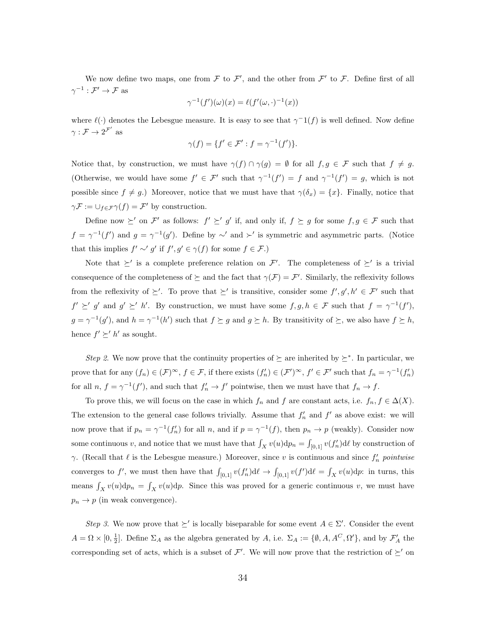We now define two maps, one from  $\mathcal F$  to  $\mathcal F'$ , and the other from  $\mathcal F'$  to  $\mathcal F$ . Define first of all  $\gamma^{-1} : \mathcal{F}' \to \mathcal{F}$  as

$$
\gamma^{-1}(f')(\omega)(x) = \ell(f'(\omega, \cdot)^{-1}(x))
$$

where  $\ell(\cdot)$  denotes the Lebesgue measure. It is easy to see that  $\gamma^{-1}(f)$  is well defined. Now define  $\gamma: \mathcal{F} \to 2^{\mathcal{F}'}$  as

$$
\gamma(f) = \{ f' \in \mathcal{F}' : f = \gamma^{-1}(f') \}.
$$

Notice that, by construction, we must have  $\gamma(f) \cap \gamma(g) = \emptyset$  for all  $f, g \in \mathcal{F}$  such that  $f \neq g$ . (Otherwise, we would have some  $f' \in \mathcal{F}'$  such that  $\gamma^{-1}(f') = f$  and  $\gamma^{-1}(f') = g$ , which is not possible since  $f \neq g$ .) Moreover, notice that we must have that  $\gamma(\delta_x) = \{x\}$ . Finally, notice that  $\gamma \mathcal{F} := \bigcup_{f \in \mathcal{F}} \gamma(f) = \mathcal{F}'$  by construction.

Define now  $\succeq'$  on F' as follows:  $f' \succeq' g'$  if, and only if,  $f \succeq g$  for some  $f, g \in \mathcal{F}$  such that  $f = \gamma^{-1}(f')$  and  $g = \gamma^{-1}(g')$ . Define by ∼' and ≻' is symmetric and asymmetric parts. (Notice that this implies  $f' \sim' g'$  if  $f', g' \in \gamma(f)$  for some  $f \in \mathcal{F}$ .)

Note that  $\succeq'$  is a complete preference relation on F'. The completeness of  $\succeq'$  is a trivial consequence of the completeness of  $\succeq$  and the fact that  $\gamma(\mathcal{F}) = \mathcal{F}'$ . Similarly, the reflexivity follows from the reflexivity of  $\succeq'$ . To prove that  $\succeq'$  is transitive, consider some  $f', g', h' \in \mathcal{F}'$  such that  $f' \succeq' g'$  and  $g' \succeq' h'$ . By construction, we must have some  $f, g, h \in \mathcal{F}$  such that  $f = \gamma^{-1}(f')$ ,  $g = \gamma^{-1}(g')$ , and  $h = \gamma^{-1}(h')$  such that  $f \succeq g$  and  $g \succeq h$ . By transitivity of  $\succeq$ , we also have  $f \succeq h$ , hence  $f' \succeq' h'$  as sought.

Step 2. We now prove that the continuity properties of  $\succeq$  are inherited by  $\succeq^*$ . In particular, we prove that for any  $(f_n) \in (\mathcal{F})^{\infty}$ ,  $f \in \mathcal{F}$ , if there exists  $(f'_n) \in (\mathcal{F}')^{\infty}$ ,  $f' \in \mathcal{F}'$  such that  $f_n = \gamma^{-1}(f'_n)$ for all  $n, f = \gamma^{-1}(f')$ , and such that  $f'_n \to f'$  pointwise, then we must have that  $f_n \to f$ .

To prove this, we will focus on the case in which  $f_n$  and f are constant acts, i.e.  $f_n, f \in \Delta(X)$ . The extension to the general case follows trivially. Assume that  $f'_n$  and  $f'$  as above exist: we will now prove that if  $p_n = \gamma^{-1}(f'_n)$  for all n, and if  $p = \gamma^{-1}(f)$ , then  $p_n \to p$  (weakly). Consider now some continuous v, and notice that we must have that  $\int_X v(u) \mathrm{d}p_n = \int_{[0,1]} v(f'_n) \mathrm{d}\ell$  by construction of  $\gamma$ . (Recall that  $\ell$  is the Lebesgue measure.) Moreover, since v is continuous and since  $f'_n$  pointwise converges to f', we must then have that  $\int_{[0,1]} v(f'_n) d\ell \to \int_{[0,1]} v(f') d\ell = \int_X v(u) dp$ : in turns, this means  $\int_X v(u) \mathrm{d}p_n = \int_X v(u) \mathrm{d}p$ . Since this was proved for a generic continuous v, we must have  $p_n \to p$  (in weak convergence).

Step 3. We now prove that  $\succeq'$  is locally biseparable for some event  $A \in \Sigma'$ . Consider the event  $A = \Omega \times [0, \frac{1}{2}]$ . Define  $\Sigma_A$  as the algebra generated by A, i.e.  $\Sigma_A := \{\emptyset, A, A^C, \Omega'\}$ , and by  $\mathcal{F}_A'$  the corresponding set of acts, which is a subset of  $\mathcal{F}'$ . We will now prove that the restriction of  $\succeq'$  on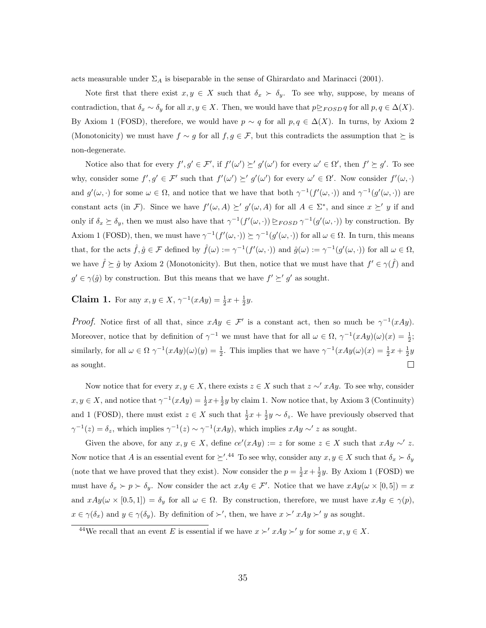acts measurable under  $\Sigma_A$  is biseparable in the sense of Ghirardato and Marinacci (2001).

Note first that there exist  $x, y \in X$  such that  $\delta_x \succ \delta_y$ . To see why, suppose, by means of contradiction, that  $\delta_x \sim \delta_y$  for all  $x, y \in X$ . Then, we would have that  $p \geq_{FOSD} q$  for all  $p, q \in \Delta(X)$ . By Axiom 1 (FOSD), therefore, we would have  $p \sim q$  for all  $p, q \in \Delta(X)$ . In turns, by Axiom 2 (Monotonicity) we must have  $f \sim g$  for all  $f, g \in \mathcal{F}$ , but this contradicts the assumption that  $\succeq$  is non-degenerate.

Notice also that for every  $f', g' \in \mathcal{F}'$ , if  $f'(\omega') \succeq' g'(\omega')$  for every  $\omega' \in \Omega'$ , then  $f' \succeq g'$ . To see why, consider some  $f', g' \in \mathcal{F}'$  such that  $f'(\omega') \succeq' g'(\omega')$  for every  $\omega' \in \Omega'$ . Now consider  $f'(\omega, \cdot)$ and  $g'(\omega, \cdot)$  for some  $\omega \in \Omega$ , and notice that we have that both  $\gamma^{-1}(f'(\omega, \cdot))$  and  $\gamma^{-1}(g'(\omega, \cdot))$  are constant acts (in F). Since we have  $f'(\omega, A) \succeq' g'(\omega, A)$  for all  $A \in \Sigma^*$ , and since  $x \succeq' y$  if and only if  $\delta_x \succeq \delta_y$ , then we must also have that  $\gamma^{-1}(f'(\omega, \cdot)) \succeq_{FOSD} \gamma^{-1}(g'(\omega, \cdot))$  by construction. By Axiom 1 (FOSD), then, we must have  $\gamma^{-1}(f'(\omega, \cdot)) \succeq \gamma^{-1}(g'(\omega, \cdot))$  for all  $\omega \in \Omega$ . In turn, this means that, for the acts  $\hat{f}, \hat{g} \in \mathcal{F}$  defined by  $\hat{f}(\omega) := \gamma^{-1}(f'(\omega, \cdot))$  and  $\hat{g}(\omega) := \gamma^{-1}(g'(\omega, \cdot))$  for all  $\omega \in \Omega$ , we have  $\hat{f} \succeq \hat{g}$  by Axiom 2 (Monotonicity). But then, notice that we must have that  $f' \in \gamma(\hat{f})$  and  $g' \in \gamma(\hat{g})$  by construction. But this means that we have  $f' \succeq' g'$  as sought.

**Claim 1.** For any  $x, y \in X$ ,  $\gamma^{-1}(xAy) = \frac{1}{2}x + \frac{1}{2}y$ .

*Proof.* Notice first of all that, since  $xAy \in \mathcal{F}'$  is a constant act, then so much be  $\gamma^{-1}(xAy)$ . Moreover, notice that by definition of  $\gamma^{-1}$  we must have that for all  $\omega \in \Omega$ ,  $\gamma^{-1}(xAy)(\omega)(x) = \frac{1}{2}$ ; similarly, for all  $\omega \in \Omega$   $\gamma^{-1}(xAy)(\omega)(y) = \frac{1}{2}$ . This implies that we have  $\gamma^{-1}(xAy(\omega)(x) = \frac{1}{2}x + \frac{1}{2}y)$ as sought.  $\Box$ 

Now notice that for every  $x, y \in X$ , there exists  $z \in X$  such that  $z \sim x \Lambda y$ . To see why, consider  $x, y \in X$ , and notice that  $\gamma^{-1}(xAy) = \frac{1}{2}x + \frac{1}{2}y$  by claim 1. Now notice that, by Axiom 3 (Continuity) and 1 (FOSD), there must exist  $z \in X$  such that  $\frac{1}{2}x + \frac{1}{2}y \sim \delta_z$ . We have previously observed that  $\gamma^{-1}(z) = \delta_z$ , which implies  $\gamma^{-1}(z) \sim \gamma^{-1}(xAy)$ , which implies  $xAy \sim' z$  as sought.

Given the above, for any  $x, y \in X$ , define  $ce'(xAy) := z$  for some  $z \in X$  such that  $xAy \sim' z$ . Now notice that A is an essential event for  $\geq'$ .<sup>44</sup> To see why, consider any  $x, y \in X$  such that  $\delta_x > \delta_y$ (note that we have proved that they exist). Now consider the  $p = \frac{1}{2}x + \frac{1}{2}y$ . By Axiom 1 (FOSD) we must have  $\delta_x \succ p \succ \delta_y$ . Now consider the act  $xAy \in \mathcal{F}'$ . Notice that we have  $xAy(\omega \times [0,5]) = x$ and  $xAy(\omega \times [0.5, 1]) = \delta_y$  for all  $\omega \in \Omega$ . By construction, therefore, we must have  $xAy \in \gamma(p)$ ,  $x \in \gamma(\delta_x)$  and  $y \in \gamma(\delta_y)$ . By definition of  $\succ'$ , then, we have  $x \succ' xAy \succ' y$  as sought.

<sup>&</sup>lt;sup>44</sup>We recall that an event E is essential if we have  $x \succ' xAy \succ' y$  for some  $x, y \in X$ .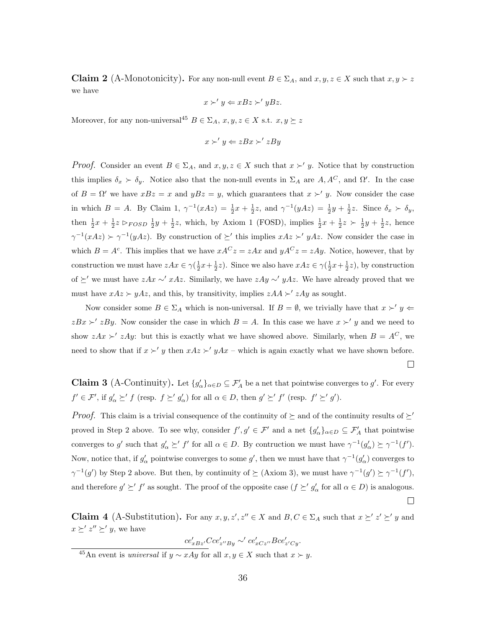**Claim 2** (A-Monotonicity). For any non-null event  $B \in \Sigma_A$ , and  $x, y, z \in X$  such that  $x, y \succ z$ we have

$$
x \succ' y \Leftarrow xBz \succ' yBz.
$$

Moreover, for any non-universal<sup>45</sup>  $B \in \Sigma_A$ ,  $x, y, z \in X$  s.t.  $x, y \succeq z$ 

$$
x \succ' y \Leftarrow z B x \succ' z B y
$$

*Proof.* Consider an event  $B \in \Sigma_A$ , and  $x, y, z \in X$  such that  $x \succ' y$ . Notice that by construction this implies  $\delta_x \succ \delta_y$ . Notice also that the non-null events in  $\Sigma_A$  are  $A, A^C$ , and  $\Omega'$ . In the case of  $B = \Omega'$  we have  $xBz = x$  and  $yBz = y$ , which guarantees that  $x \succ' y$ . Now consider the case in which  $B = A$ . By Claim 1,  $\gamma^{-1}(xAz) = \frac{1}{2}x + \frac{1}{2}z$ , and  $\gamma^{-1}(yAz) = \frac{1}{2}y + \frac{1}{2}z$ . Since  $\delta_x > \delta_y$ , then  $\frac{1}{2}x + \frac{1}{2}z \rhd_{FOSD} \frac{1}{2}y + \frac{1}{2}z$ , which, by Axiom 1 (FOSD), implies  $\frac{1}{2}x + \frac{1}{2}z \succ \frac{1}{2}y + \frac{1}{2}z$ , hence  $\gamma^{-1}(xAz) \succ \gamma^{-1}(yAz)$ . By construction of  $\succeq'$  this implies  $xAz \succ' yAz$ . Now consider the case in which  $B = A^c$ . This implies that we have  $xA^Cz = zAx$  and  $yA^Cz = zAy$ . Notice, however, that by construction we must have  $zAx \in \gamma(\frac{1}{2}x+\frac{1}{2}z)$ . Since we also have  $xAz \in \gamma(\frac{1}{2}x+\frac{1}{2}z)$ , by construction of  $\succeq'$  we must have zAx ∼' xAz. Similarly, we have zAy ∼' yAz. We have already proved that we must have  $xAz \succ yAz$ , and this, by transitivity, implies  $zAA \succ' zAy$  as sought.

Now consider some  $B \in \Sigma_A$  which is non-universal. If  $B = \emptyset$ , we trivially have that  $x \succ' y \Leftarrow$  $zBx \succ' zBy$ . Now consider the case in which  $B = A$ . In this case we have  $x \succ' y$  and we need to show  $zAx \succ' zAy$ : but this is exactly what we have showed above. Similarly, when  $B = A^C$ , we need to show that if  $x \succ' y$  then  $xAz \succ' yAx$  – which is again exactly what we have shown before.  $\Box$ 

**Claim 3** (A-Continuity). Let  $\{g'_{\alpha}\}_{{\alpha}\in D}\subseteq \mathcal{F}'_A$  be a net that pointwise converges to  $g'$ . For every  $f' \in \mathcal{F}'$ , if  $g'_{\alpha} \succeq' f$  (resp.  $f \succeq' g'_{\alpha}$ ) for all  $\alpha \in D$ , then  $g' \succeq' f'$  (resp.  $f' \succeq' g'$ ).

*Proof.* This claim is a trivial consequence of the continuity of  $\succeq$  and of the continuity results of  $\succeq'$ proved in Step 2 above. To see why, consider  $f', g' \in \mathcal{F}'$  and a net  $\{g'_\alpha\}_{\alpha \in D} \subseteq \mathcal{F}'_A$  that pointwise converges to g' such that  $g'_\alpha \succeq' f'$  for all  $\alpha \in D$ . By contruction we must have  $\gamma^{-1}(g'_\alpha) \succeq \gamma^{-1}(f')$ . Now, notice that, if  $g'_\alpha$  pointwise converges to some  $g'$ , then we must have that  $\gamma^{-1}(g'_\alpha)$  converges to  $\gamma^{-1}(g')$  by Step 2 above. But then, by continuity of  $\succeq$  (Axiom 3), we must have  $\gamma^{-1}(g') \succeq \gamma^{-1}(f')$ , and therefore  $g' \succeq' f'$  as sought. The proof of the opposite case  $(f \succeq' g'_{\alpha}$  for all  $\alpha \in D)$  is analogous.  $\Box$ 

**Claim 4** (A-Substitution). For any  $x, y, z', z'' \in X$  and  $B, C \in \Sigma_A$  such that  $x \succeq' z' \succeq' y$  and  $x \succeq' z'' \succeq' y$ , we have

$$
\underbrace{ce'_{xBz'}}{Ce'_{z''By}} \sim' ce'_{xCz''}Bce'_{z'Cy}.
$$

<sup>&</sup>lt;sup>45</sup>An event is *universal* if  $y \sim xAy$  for all  $x, y \in X$  such that  $x \succ y$ .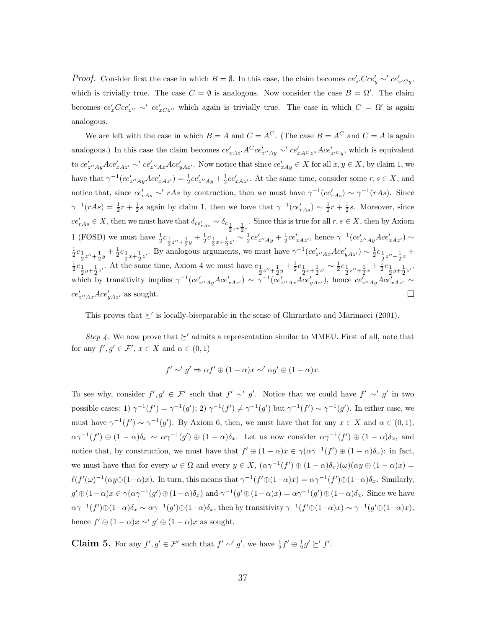*Proof.* Consider first the case in which  $B = \emptyset$ . In this case, the claim becomes  $ce'_{z'}Ce'_{y} \sim' ce'_{z'Cy}$ , which is trivially true. The case  $C = \emptyset$  is analogous. Now consider the case  $B = \Omega'$ . The claim becomes  $ce'_x Cce'_{z''} \sim' ce'_{xCz''}$  which again is trivially true. The case in which  $C = \Omega'$  is again analogous.

We are left with the case in which  $B = A$  and  $C = A^C$ . (The case  $B = A^C$  and  $C = A$  is again analogous.) In this case the claim becomes  $ce'_{xAz'}A^Cce'_{z''Ay} \sim' ce'_{xAC_{z''}A}ce'_{z'C_{y}}$ , which is equivalent to  $ce'_{z''Ay}Acc'_{xAz'} \sim' ce'_{z''Ax}Acc'_{yAz'}$ . Now notice that since  $ce'_{xAy} \in X$  for all  $x, y \in X$ , by claim 1, we have that  $\gamma^{-1}(ce'_{z''Ay}Acc'_{xAz'}) = \frac{1}{2}ce'_{z''Ay} + \frac{1}{2}ce'_{xAz'}$ . At the same time, consider some  $r, s \in X$ , and notice that, since  $ce'_{rAs} \sim' rAs$  by contruction, then we must have  $\gamma^{-1}(ce'_{rAs}) \sim \gamma^{-1}(rAs)$ . Since  $\gamma^{-1}(rAs) = \frac{1}{2}r + \frac{1}{2}s$  again by claim 1, then we have that  $\gamma^{-1}(ce'_{rAs}) \sim \frac{1}{2}r + \frac{1}{2}s$ . Moreover, since  $ce'_{rAs} \in X$ , then we must have that  $\delta_{ce'_{rAs}} \sim \delta_{c_{\frac{1}{2}z+\frac{1}{2}s}}$ . Since this is true for all  $r, s \in X$ , then by Axiom 1 (FOSD) we must have  $\frac{1}{2}c_{\frac{1}{2}z''+\frac{1}{2}y} + \frac{1}{2}c_{\frac{1}{2}x+\frac{1}{2}z'} \sim \frac{1}{2}ce'_{z''Ay} + \frac{1}{2}ce'_{xAz'}$ , hence  $\gamma^{-1}(ce'_{z''Ay}Acc'_{xAz'}) \sim$  $\frac{1}{2}c_{\frac{1}{2}z''+\frac{1}{2}y} + \frac{1}{2}c_{\frac{1}{2}x+\frac{1}{2}z'}$ . By analogous arguments, we must have  $\gamma^{-1}(ce'_{z''Ax}Acc'_{yAz'}) \sim \frac{1}{2}c_{\frac{1}{2}z''+\frac{1}{2}x} +$  $\frac{1}{2}c_{\frac{1}{2}y+\frac{1}{2}z'}$ . At the same time, Axiom 4 we must have  $c_{\frac{1}{2}z''+\frac{1}{2}y} + \frac{1}{2}c_{\frac{1}{2}x+\frac{1}{2}z'} \sim \frac{1}{2}c_{\frac{1}{2}z''+\frac{1}{2}x} + \frac{1}{2}c_{\frac{1}{2}y+\frac{1}{2}z'}$ which by transitivity implies  $\gamma^{-1}(ce'_{z''Ay}Acc'_{xAz'}) \sim \gamma^{-1}(ce'_{z''Ax}Acc'_{yAz'})$ , hence  $ce'_{z''Ay}Acc'_{xAz'} \sim$  $ce'_{z''Ax}Acc'_{yAz'}$  as sought.  $\Box$ 

This proves that  $\succeq'$  is locally-biseparable in the sense of Ghirardato and Marinacci (2001).

Step 4. We now prove that  $\succeq'$  admits a representation similar to MMEU. First of all, note that for any  $f', g' \in \mathcal{F}', x \in X$  and  $\alpha \in (0, 1)$ 

$$
f' \sim' g' \Rightarrow \alpha f' \oplus (1 - \alpha)x \sim' \alpha g' \oplus (1 - \alpha)x.
$$

To see why, consider  $f', g' \in \mathcal{F}'$  such that  $f' \sim' g'$ . Notice that we could have  $f' \sim' g'$  in two possible cases: 1)  $\gamma^{-1}(f') = \gamma^{-1}(g')$ ; 2)  $\gamma^{-1}(f') \neq \gamma^{-1}(g')$  but  $\gamma^{-1}(f') \sim \gamma^{-1}(g')$ . In either case, we must have  $\gamma^{-1}(f') \sim \gamma^{-1}(g')$ . By Axiom 6, then, we must have that for any  $x \in X$  and  $\alpha \in (0,1)$ ,  $\alpha\gamma^{-1}(f')\oplus(1-\alpha)\delta_x\sim\alpha\gamma^{-1}(g')\oplus(1-\alpha)\delta_x$ . Let us now consider  $\alpha\gamma^{-1}(f')\oplus(1-\alpha)\delta_x$ , and notice that, by construction, we must have that  $f' \oplus (1 - \alpha)x \in \gamma(\alpha \gamma^{-1}(f') \oplus (1 - \alpha)\delta_x)$ : in fact, we must have that for every  $\omega \in \Omega$  and every  $y \in X$ ,  $(\alpha \gamma^{-1}(f') \oplus (1 - \alpha)\delta_x)(\omega)(\alpha y \oplus (1 - \alpha)x) =$  $\ell(f'(\omega)^{-1}(\alpha y \oplus (1-\alpha)x)$ . In turn, this means that  $\gamma^{-1}(f' \oplus (1-\alpha)x) = \alpha \gamma^{-1}(f') \oplus (1-\alpha)\delta_x$ . Similarly,  $g' \oplus (1-\alpha)x \in \gamma(\alpha\gamma^{-1}(g') \oplus (1-\alpha)\delta_x)$  and  $\gamma^{-1}(g' \oplus (1-\alpha)x) = \alpha\gamma^{-1}(g') \oplus (1-\alpha)\delta_x$ . Since we have  $\alpha \gamma^{-1}(f') \oplus (1-\alpha)\delta_x \sim \alpha \gamma^{-1}(g') \oplus (1-\alpha)\delta_x$ , then by transitivity  $\gamma^{-1}(f' \oplus (1-\alpha)x) \sim \gamma^{-1}(g' \oplus (1-\alpha)x)$ , hence  $f' \oplus (1 - \alpha)x \sim' g' \oplus (1 - \alpha)x$  as sought.

**Claim 5.** For any  $f', g' \in \mathcal{F}'$  such that  $f' \sim' g'$ , we have  $\frac{1}{2}f' \oplus \frac{1}{2}g' \succeq' f'$ .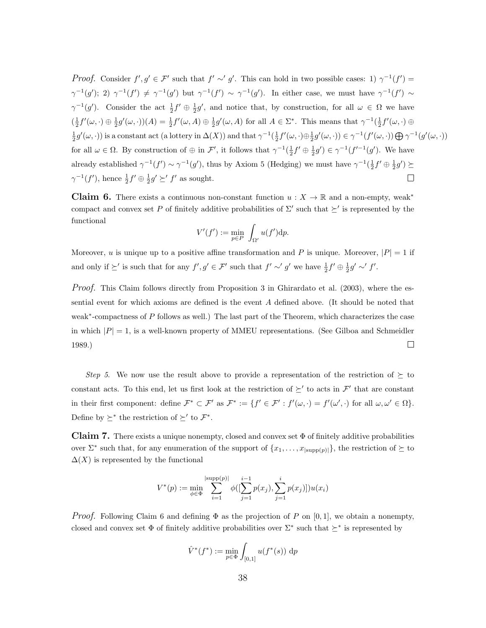*Proof.* Consider  $f', g' \in \mathcal{F}'$  such that  $f' \sim' g'$ . This can hold in two possible cases: 1)  $\gamma^{-1}(f') =$  $\gamma^{-1}(g')$ ; 2)  $\gamma^{-1}(f') \neq \gamma^{-1}(g')$  but  $\gamma^{-1}(f') \sim \gamma^{-1}(g')$ . In either case, we must have  $\gamma^{-1}(f') \sim$  $\gamma^{-1}(g')$ . Consider the act  $\frac{1}{2}f' \oplus \frac{1}{2}g'$ , and notice that, by construction, for all  $\omega \in \Omega$  we have  $(\frac{1}{2}f'(\omega,\cdot)\oplus\frac{1}{2}g'(\omega,\cdot))(A) = \frac{1}{2}f'(\omega,A)\oplus\frac{1}{2}g'(\omega,A)$  for all  $A \in \Sigma^*$ . This means that  $\gamma^{-1}(\frac{1}{2}f'(\omega,\cdot)\oplus\frac{1}{2}g'(\omega,\cdot))$  $\frac{1}{2}g'(\omega,\cdot)$  is a constant act (a lottery in  $\Delta(X)$ ) and that  $\gamma^{-1}(\frac{1}{2}f'(\omega,\cdot)\oplus\frac{1}{2}g'(\omega,\cdot))\in\gamma^{-1}(f'(\omega,\cdot))\bigoplus \gamma^{-1}(g'(\omega,\cdot))$ for all  $\omega \in \Omega$ . By construction of  $\oplus$  in  $\mathcal{F}'$ , it follows that  $\gamma^{-1}(\frac{1}{2}f' \oplus \frac{1}{2}g') \in \gamma^{-1}(f'^{-1}(g')$ . We have already established  $\gamma^{-1}(f') \sim \gamma^{-1}(g')$ , thus by Axiom 5 (Hedging) we must have  $\gamma^{-1}(\frac{1}{2}f' \oplus \frac{1}{2}g') \succeq$  $\gamma^{-1}(f')$ , hence  $\frac{1}{2}f' \oplus \frac{1}{2}g' \succeq' f'$  as sought.

**Claim 6.** There exists a continuous non-constant function  $u : X \to \mathbb{R}$  and a non-empty, weak<sup>\*</sup> compact and convex set P of finitely additive probabilities of  $\Sigma'$  such that  $\succeq'$  is represented by the functional

$$
V'(f') := \min_{p \in P} \int_{\Omega'} u(f') \mathrm{d}p.
$$

Moreover, u is unique up to a positive affine transformation and P is unique. Moreover,  $|P| = 1$  if and only if  $\succeq'$  is such that for any  $f', g' \in \mathcal{F}'$  such that  $f' \sim' g'$  we have  $\frac{1}{2} f' \oplus \frac{1}{2} g' \sim' f'$ .

*Proof.* This Claim follows directly from Proposition 3 in Ghirardato et al.  $(2003)$ , where the essential event for which axioms are defined is the event A defined above. (It should be noted that weak<sup>∗</sup> -compactness of P follows as well.) The last part of the Theorem, which characterizes the case in which  $|P| = 1$ , is a well-known property of MMEU representations. (See Gilboa and Schmeidler 1989.)  $\Box$ 

Step 5. We now use the result above to provide a representation of the restriction of  $\succeq$  to constant acts. To this end, let us first look at the restriction of  $\succeq'$  to acts in  $\mathcal{F}'$  that are constant in their first component: define  $\mathcal{F}^* \subset \mathcal{F}'$  as  $\mathcal{F}^* := \{f' \in \mathcal{F}' : f'(\omega, \cdot) = f'(\omega', \cdot) \text{ for all } \omega, \omega' \in \Omega\}.$ Define by  $\succeq^*$  the restriction of  $\succeq'$  to  $\mathcal{F}^*$ .

**Claim 7.** There exists a unique nonempty, closed and convex set  $\Phi$  of finitely additive probabilities over  $\Sigma^*$  such that, for any enumeration of the support of  $\{x_1, \ldots, x_{|\text{supp}(p)|}\}$ , the restriction of  $\succeq$  to  $\Delta(X)$  is represented by the functional

$$
V^*(p) := \min_{\phi \in \Phi} \sum_{i=1}^{|\text{supp}(p)|} \phi([\sum_{j=1}^{i-1} p(x_j), \sum_{j=1}^i p(x_j)]) u(x_i)
$$

*Proof.* Following Claim 6 and defining  $\Phi$  as the projection of P on [0, 1], we obtain a nonempty, closed and convex set  $\Phi$  of finitely additive probabilities over  $\Sigma^*$  such that  $\succeq^*$  is represented by

$$
\hat{V}^*(f^*) := \min_{p \in \Phi} \int_{[0,1]} u(f^*(s)) \, dp
$$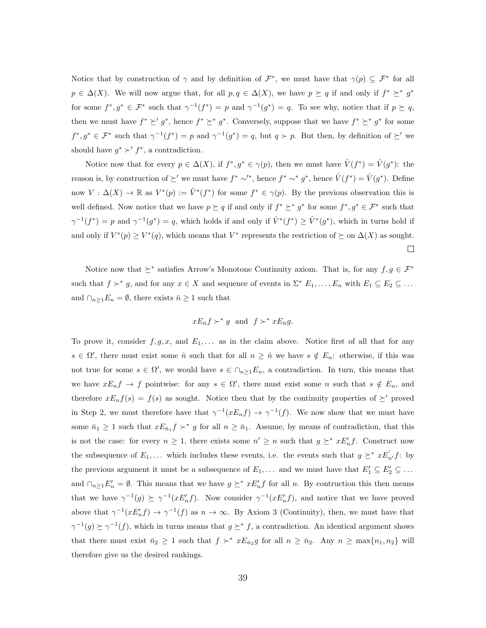Notice that by construction of  $\gamma$  and by definition of  $\mathcal{F}^*$ , we must have that  $\gamma(p) \subseteq \mathcal{F}^*$  for all  $p \in \Delta(X)$ . We will now argue that, for all  $p, q \in \Delta(X)$ , we have  $p \succeq q$  if and only if  $f^* \succeq^* g^*$ for some  $f^*, g^* \in \mathcal{F}^*$  such that  $\gamma^{-1}(f^*) = p$  and  $\gamma^{-1}(g^*) = q$ . To see why, notice that if  $p \succeq q$ , then we must have  $f^* \succeq g^*$ , hence  $f^* \succeq^* g^*$ . Conversely, suppose that we have  $f^* \succeq^* g^*$  for some  $f^*, g^* \in \mathcal{F}^*$  such that  $\gamma^{-1}(f^*) = p$  and  $\gamma^{-1}(g^*) = q$ , but  $q \succ p$ . But then, by definition of  $\succeq'$  we should have  $g^* \succ' f^*$ , a contradiction.

Notice now that for every  $p \in \Delta(X)$ , if  $f^*, g^* \in \gamma(p)$ , then we must have  $\hat{V}(f^*) = \hat{V}(g^*)$ : the reason is, by construction of  $\succeq'$  we must have  $f^* \sim'^*$ , hence  $f^* \sim^* g^*$ , hence  $\hat{V}(f^*) = \hat{V}(g^*)$ . Define now  $V: \Delta(X) \to \mathbb{R}$  as  $V^*(p) := \hat{V}^*(f^*)$  for some  $f^* \in \gamma(p)$ . By the previous observation this is well defined. Now notice that we have  $p \succeq q$  if and only if  $f^* \succeq^* g^*$  for some  $f^*, g^* \in \mathcal{F}^*$  such that  $\gamma^{-1}(f^*) = p$  and  $\gamma^{-1}(g^*) = q$ , which holds if and only if  $\hat{V}^*(f^*) \geq \hat{V}^*(g^*)$ , which in turns hold if and only if  $V^*(p) \geq V^*(q)$ , which means that  $V^*$  represents the restriction of  $\succeq$  on  $\Delta(X)$  as sought.  $\Box$ 

Notice now that  $\succeq^*$  satisfies Arrow's Monotone Continuity axiom. That is, for any  $f, g \in \mathcal{F}^*$ such that  $f \succ^* g$ , and for any  $x \in X$  and sequence of events in  $\Sigma^* E_1, \ldots, E_n$  with  $E_1 \subseteq E_2 \subseteq \ldots$ and  $\cap_{n\geq 1}E_n=\emptyset$ , there exists  $\bar{n}\geq 1$  such that

$$
xE_{\bar{n}}f \succ^* g
$$
 and  $f \succ^* xE_{\bar{n}}g$ .

To prove it, consider  $f, g, x$ , and  $E_1, \ldots$  as in the claim above. Notice first of all that for any  $s \in \Omega'$ , there must exist some  $\hat{n}$  such that for all  $n \geq \hat{n}$  we have  $s \notin E_n$ : otherwise, if this was not true for some  $s \in \Omega'$ , we would have  $s \in \bigcap_{n>1} E_n$ , a contradiction. In turn, this means that we have  $xE_nf \to f$  pointwise: for any  $s \in \Omega'$ , there must exist some n such that  $s \notin E_n$ , and therefore  $xE_nf(s) = f(s)$  as sought. Notice then that by the continuity properties of  $\succeq'$  proved in Step 2, we must therefore have that  $\gamma^{-1}(xE_nf) \to \gamma^{-1}(f)$ . We now show that we must have some  $\bar{n}_1 \geq 1$  such that  $xE_{\bar{n}_1}f \succ^* g$  for all  $n \geq \bar{n}_1$ . Assume, by means of contradiction, that this is not the case: for every  $n \geq 1$ , there exists some  $n' \geq n$  such that  $g \succeq^* xE_n'f$ . Construct now the subsequence of  $E_1, \ldots$  which includes these events, i.e. the events such that  $g \succeq^* x E'_{n'} f$ : by the previous argument it must be a subsequence of  $E_1, \ldots$  and we must have that  $E'_1 \subseteq E'_2 \subseteq \ldots$ and  $\cap_{n\geq 1} E'_n = \emptyset$ . This means that we have  $g \succeq^* x E'_n f$  for all n. By contruction this then means that we have  $\gamma^{-1}(g) \succeq \gamma^{-1}(x E_n' f)$ . Now consider  $\gamma^{-1}(x E_n' f)$ , and notice that we have proved above that  $\gamma^{-1}(xE_n' f) \to \gamma^{-1}(f)$  as  $n \to \infty$ . By Axiom 3 (Continuity), then, we must have that  $\gamma^{-1}(g) \succeq \gamma^{-1}(f)$ , which in turns means that  $g \succeq^* f$ , a contradiction. An identical argument shows that there must exist  $\bar{n}_2 \geq 1$  such that  $f \succ^* xE_{\bar{n}_2}g$  for all  $n \geq \bar{n}_2$ . Any  $n \geq \max\{n_1, n_2\}$  will therefore give us the desired rankings.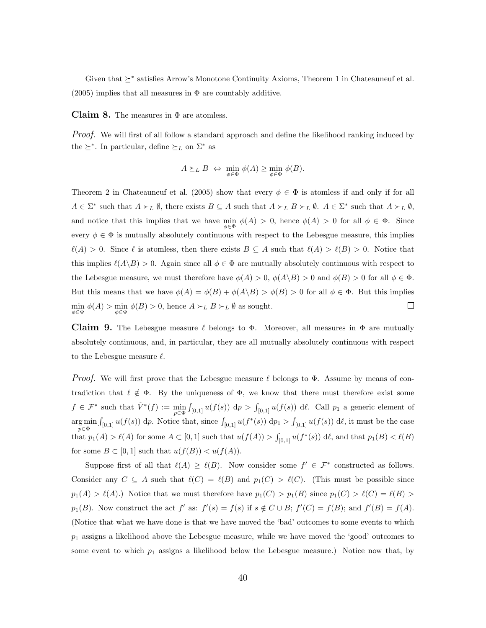Given that  $\succeq^*$  satisfies Arrow's Monotone Continuity Axioms, Theorem 1 in Chateauneuf et al. (2005) implies that all measures in  $\Phi$  are countably additive.

**Claim 8.** The measures in  $\Phi$  are atomless.

*Proof.* We will first of all follow a standard approach and define the likelihood ranking induced by the  $\succeq^*$ . In particular, define  $\succeq_L$  on  $\Sigma^*$  as

$$
A \succeq_L B \ \Leftrightarrow \ \min_{\phi \in \Phi} \ \phi(A) \geq \min_{\phi \in \Phi} \ \phi(B).
$$

Theorem 2 in Chateauneuf et al. (2005) show that every  $\phi \in \Phi$  is atomless if and only if for all  $A \in \Sigma^*$  such that  $A \succ_L \emptyset$ , there exists  $B \subseteq A$  such that  $A \succ_L B \succ_L \emptyset$ .  $A \in \Sigma^*$  such that  $A \succ_L \emptyset$ , and notice that this implies that we have  $\min_{\phi \in \Phi} \phi(A) > 0$ , hence  $\phi(A) > 0$  for all  $\phi \in \Phi$ . Since every  $\phi \in \Phi$  is mutually absolutely continuous with respect to the Lebesgue measure, this implies  $\ell(A) > 0$ . Since  $\ell$  is atomless, then there exists  $B \subseteq A$  such that  $\ell(A) > \ell(B) > 0$ . Notice that this implies  $\ell(A\setminus B) > 0$ . Again since all  $\phi \in \Phi$  are mutually absolutely continuous with respect to the Lebesgue measure, we must therefore have  $\phi(A) > 0$ ,  $\phi(A \setminus B) > 0$  and  $\phi(B) > 0$  for all  $\phi \in \Phi$ . But this means that we have  $\phi(A) = \phi(B) + \phi(A \backslash B) > \phi(B) > 0$  for all  $\phi \in \Phi$ . But this implies  $\min_{\phi \in \Phi} \phi(A) > \min_{\phi \in \Phi} \phi(B) > 0$ , hence  $A \succ_L B \succ_L \emptyset$  as sought.  $\Box$ 

**Claim 9.** The Lebesgue measure  $\ell$  belongs to  $\Phi$ . Moreover, all measures in  $\Phi$  are mutually absolutely continuous, and, in particular, they are all mutually absolutely continuous with respect to the Lebesgue measure  $\ell$ .

*Proof.* We will first prove that the Lebesgue measure  $\ell$  belongs to  $\Phi$ . Assume by means of contradiction that  $\ell \notin \Phi$ . By the uniqueness of  $\Phi$ , we know that there must therefore exist some  $f \in \mathcal{F}^*$  such that  $\hat{V}^*(f) := \min_{p \in \Phi} \int_{[0,1]} u(f(s)) dp > \int_{[0,1]} u(f(s)) d\ell$ . Call  $p_1$  a generic element of arg min p∈Φ  $\int_{[0,1]} u(f(s)) \, \mathrm{d}p$ . Notice that, since  $\int_{[0,1]} u(f^*(s)) \, \mathrm{d}p_1 > \int_{[0,1]} u(f(s)) \, \mathrm{d}\ell$ , it must be the case that  $p_1(A) > \ell(A)$  for some  $A \subset [0,1]$  such that  $u(f(A)) > \int_{[0,1]} u(f^*(s)) d\ell$ , and that  $p_1(B) < \ell(B)$ for some  $B \subset [0,1]$  such that  $u(f(B)) < u(f(A))$ .

Suppose first of all that  $\ell(A) \geq \ell(B)$ . Now consider some  $f' \in \mathcal{F}^*$  constructed as follows. Consider any  $C \subseteq A$  such that  $\ell(C) = \ell(B)$  and  $p_1(C) > \ell(C)$ . (This must be possible since  $p_1(A) > \ell(A).$  Notice that we must therefore have  $p_1(C) > p_1(B)$  since  $p_1(C) > \ell(C) = \ell(B) > \ell(C)$  $p_1(B)$ . Now construct the act  $f'$  as:  $f'(s) = f(s)$  if  $s \notin C \cup B$ ;  $f'(C) = f(B)$ ; and  $f'(B) = f(A)$ . (Notice that what we have done is that we have moved the 'bad' outcomes to some events to which  $p_1$  assigns a likelihood above the Lebesgue measure, while we have moved the 'good' outcomes to some event to which  $p_1$  assigns a likelihood below the Lebesgue measure.) Notice now that, by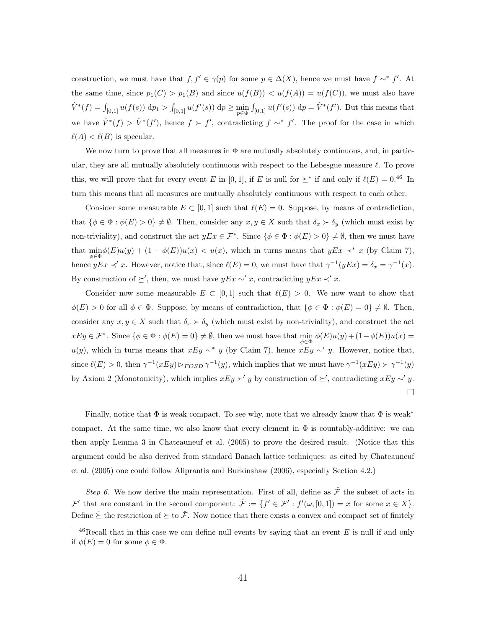construction, we must have that  $f, f' \in \gamma(p)$  for some  $p \in \Delta(X)$ , hence we must have  $f \sim^* f'$ . At the same time, since  $p_1(C) > p_1(B)$  and since  $u(f(B)) < u(f(A)) = u(f(C))$ , we must also have  $\hat{V}^*(f) = \int_{[0,1]} u(f(s)) dp_1 > \int_{[0,1]} u(f'(s)) dp \ge \min_{p \in \Phi} \int_{[0,1]} u(f'(s)) dp = \hat{V}^*(f').$  But this means that we have  $\hat{V}^*(f) > \hat{V}^*(f')$ , hence  $f \succ f'$ , contradicting  $f \sim^* f'$ . The proof for the case in which  $\ell(A) < \ell(B)$  is specular.

We now turn to prove that all measures in  $\Phi$  are mutually absolutely continuous, and, in particular, they are all mutually absolutely continuous with respect to the Lebesgue measure  $\ell$ . To prove this, we will prove that for every event E in [0, 1], if E is null for  $\succeq^*$  if and only if  $\ell(E) = 0.46$  In turn this means that all measures are mutually absolutely continuous with respect to each other.

Consider some measurable  $E \subset [0, 1]$  such that  $\ell(E) = 0$ . Suppose, by means of contradiction, that  $\{\phi \in \Phi : \phi(E) > 0\} \neq \emptyset$ . Then, consider any  $x, y \in X$  such that  $\delta_x \succ \delta_y$  (which must exist by non-triviality), and construct the act  $yEx \in \mathcal{F}^*$ . Since  $\{\phi \in \Phi : \phi(E) > 0\} \neq \emptyset$ , then we must have that  $\min_{\phi \in \Phi} \phi(E)u(y) + (1 - \phi(E))u(x) < u(x)$ , which in turns means that  $yEx \prec^* x$  (by Claim 7), hence  $yEx \prec' x$ . However, notice that, since  $\ell(E) = 0$ , we must have that  $\gamma^{-1}(yEx) = \delta_x = \gamma^{-1}(x)$ . By construction of  $\geq'$ , then, we must have  $yEx \sim' x$ , contradicting  $yEx \prec' x$ .

Consider now some measurable  $E \subset [0,1]$  such that  $\ell(E) > 0$ . We now want to show that  $\phi(E) > 0$  for all  $\phi \in \Phi$ . Suppose, by means of contradiction, that  $\{\phi \in \Phi : \phi(E) = 0\} \neq \emptyset$ . Then, consider any  $x, y \in X$  such that  $\delta_x \succ \delta_y$  (which must exist by non-triviality), and construct the act  $xEy \in \mathcal{F}^*$ . Since  $\{\phi \in \Phi : \phi(E) = 0\} \neq \emptyset$ , then we must have that  $\min_{\phi \in \Phi} \phi(E)u(y) + (1 - \phi(E))u(x) =$ u(y), which in turns means that  $xEy \sim^* y$  (by Claim 7), hence  $xEy \sim' y$ . However, notice that, since  $\ell(E) > 0$ , then  $\gamma^{-1}(xEy) \triangleright_{FOSD} \gamma^{-1}(y)$ , which implies that we must have  $\gamma^{-1}(xEy) \succ \gamma^{-1}(y)$ by Axiom 2 (Monotonicity), which implies  $xEy \succ' y$  by construction of  $\succeq'$ , contradicting  $xEy \sim' y$ .  $\Box$ 

Finally, notice that  $\Phi$  is weak compact. To see why, note that we already know that  $\Phi$  is weak<sup>\*</sup> compact. At the same time, we also know that every element in  $\Phi$  is countably-additive: we can then apply Lemma 3 in Chateauneuf et al. (2005) to prove the desired result. (Notice that this argument could be also derived from standard Banach lattice techniques: as cited by Chateauneuf et al. (2005) one could follow Aliprantis and Burkinshaw (2006), especially Section 4.2.)

Step 6. We now derive the main representation. First of all, define as  $\hat{\mathcal{F}}$  the subset of acts in  $\mathcal{F}'$  that are constant in the second component:  $\hat{\mathcal{F}} := \{f' \in \mathcal{F}' : f'(\omega, [0, 1]) = x \text{ for some } x \in X\}.$ Define  $\hat{\ge}$  the restriction of  $\succeq$  to  $\hat{\mathcal{F}}$ . Now notice that there exists a convex and compact set of finitely

<sup>&</sup>lt;sup>46</sup>Recall that in this case we can define null events by saying that an event  $E$  is null if and only if  $\phi(E) = 0$  for some  $\phi \in \Phi$ .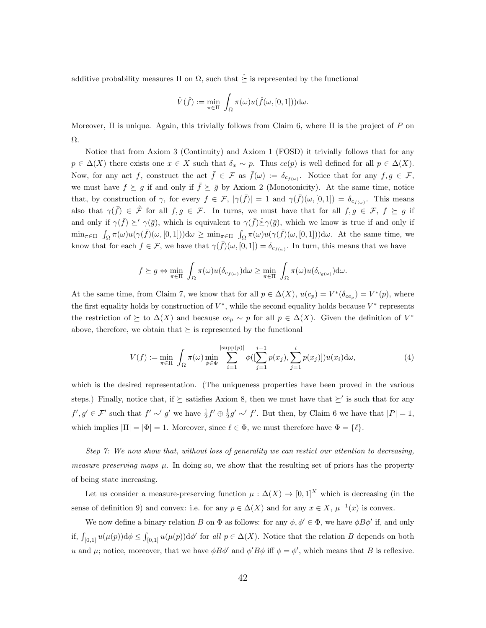additive probability measures  $\Pi$  on  $\Omega$ , such that  $\hat{\Sigma}$  is represented by the functional

$$
\hat{V}(\hat{f}) := \min_{\pi \in \Pi} \int_{\Omega} \pi(\omega) u(\hat{f}(\omega, [0, 1])) \, d\omega.
$$

Moreover,  $\Pi$  is unique. Again, this trivially follows from Claim 6, where  $\Pi$  is the project of P on Ω.

Notice that from Axiom 3 (Continuity) and Axiom 1 (FOSD) it trivially follows that for any  $p \in \Delta(X)$  there exists one  $x \in X$  such that  $\delta_x \sim p$ . Thus  $ce(p)$  is well defined for all  $p \in \Delta(X)$ . Now, for any act f, construct the act  $\bar{f} \in \mathcal{F}$  as  $\bar{f}(\omega) := \delta_{c_{f(\omega)}}$ . Notice that for any  $f, g \in \mathcal{F}$ , we must have  $f \succeq g$  if and only if  $\bar{f} \succeq \bar{g}$  by Axiom 2 (Monotonicity). At the same time, notice that, by construction of  $\gamma$ , for every  $f \in \mathcal{F}$ ,  $|\gamma(\bar{f})| = 1$  and  $\gamma(\bar{f})(\omega, [0, 1]) = \delta_{c_{f(\omega)}}$ . This means also that  $\gamma(f) \in \hat{\mathcal{F}}$  for all  $f, g \in \mathcal{F}$ . In turns, we must have that for all  $f, g \in \mathcal{F}$ ,  $f \succeq g$  if and only if  $\gamma(\bar{f}) \succeq' \gamma(\bar{g})$ , which is equivalent to  $\gamma(\bar{f})\hat{\succeq}\gamma(\bar{g})$ , which we know is true if and only if  $\min_{\pi \in \Pi} \int_{\Omega} \pi(\omega) u(\gamma(\bar{f})(\omega,[0,1])) d\omega \geq \min_{\pi \in \Pi} \int_{\Omega} \pi(\omega) u(\gamma(\bar{f})(\omega,[0,1])) d\omega$ . At the same time, we know that for each  $f \in \mathcal{F}$ , we have that  $\gamma(\bar{f})(\omega, [0, 1]) = \delta_{c_{f(\omega)}}$ . In turn, this means that we have

$$
f \succeq g \Leftrightarrow \min_{\pi \in \Pi} \int_{\Omega} \pi(\omega) u(\delta_{c_{f(\omega)}}) d\omega \ge \min_{\pi \in \Pi} \int_{\Omega} \pi(\omega) u(\delta_{c_{g(\omega)}}) d\omega.
$$

At the same time, from Claim 7, we know that for all  $p \in \Delta(X)$ ,  $u(c_p) = V^*(\delta_{ce_p}) = V^*(p)$ , where the first equality holds by construction of  $V^*$ , while the second equality holds because  $V^*$  represents the restriction of  $\succeq$  to  $\Delta(X)$  and because  $ce_p \sim p$  for all  $p \in \Delta(X)$ . Given the definition of  $V^*$ above, therefore, we obtain that  $\succeq$  is represented by the functional

$$
V(f) := \min_{\pi \in \Pi} \int_{\Omega} \pi(\omega) \min_{\phi \in \Phi} \sum_{i=1}^{\left|\text{supp}(p)\right|} \phi\left(\left[\sum_{j=1}^{i-1} p(x_j), \sum_{j=1}^{i} p(x_j)\right]\right) u(x_i) \, d\omega,\tag{4}
$$

which is the desired representation. (The uniqueness properties have been proved in the various steps.) Finally, notice that, if  $\succeq$  satisfies Axiom 8, then we must have that  $\succeq'$  is such that for any  $f', g' \in \mathcal{F}'$  such that  $f' \sim' g'$  we have  $\frac{1}{2} f' \oplus \frac{1}{2} g' \sim' f'$ . But then, by Claim 6 we have that  $|P| = 1$ , which implies  $|\Pi| = |\Phi| = 1$ . Moreover, since  $\ell \in \Phi$ , we must therefore have  $\Phi = {\ell}.$ 

Step 7: We now show that, without loss of generality we can restict our attention to decreasing, *measure preserving maps*  $\mu$ . In doing so, we show that the resulting set of priors has the property of being state increasing.

Let us consider a measure-preserving function  $\mu : \Delta(X) \to [0,1]^X$  which is decreasing (in the sense of definition 9) and convex: i.e. for any  $p \in \Delta(X)$  and for any  $x \in X$ ,  $\mu^{-1}(x)$  is convex.

We now define a binary relation B on  $\Phi$  as follows: for any  $\phi, \phi' \in \Phi$ , we have  $\phi B \phi'$  if, and only if,  $\int_{[0,1]} u(\mu(p)) d\phi \le \int_{[0,1]} u(\mu(p)) d\phi'$  for all  $p \in \Delta(X)$ . Notice that the relation B depends on both u and  $\mu$ ; notice, moreover, that we have  $\phi B \phi'$  and  $\phi' B \phi$  iff  $\phi = \phi'$ , which means that B is reflexive.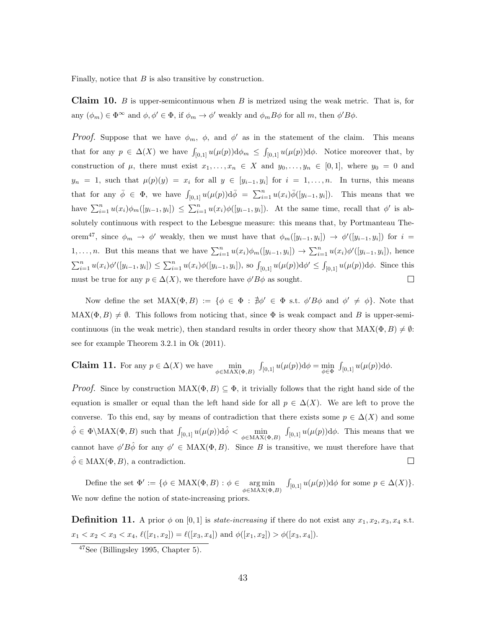Finally, notice that  $B$  is also transitive by construction.

**Claim 10.** B is upper-semicontinuous when B is metrized using the weak metric. That is, for any  $(\phi_m) \in \Phi^{\infty}$  and  $\phi, \phi' \in \Phi$ , if  $\phi_m \to \phi'$  weakly and  $\phi_m B\phi$  for all m, then  $\phi' B\phi$ .

*Proof.* Suppose that we have  $\phi_m$ ,  $\phi$ , and  $\phi'$  as in the statement of the claim. This means that for any  $p \in \Delta(X)$  we have  $\int_{[0,1]} u(\mu(p)) d\phi_m \leq \int_{[0,1]} u(\mu(p)) d\phi$ . Notice moreover that, by construction of  $\mu$ , there must exist  $x_1, \ldots, x_n \in X$  and  $y_0, \ldots, y_n \in [0,1]$ , where  $y_0 = 0$  and  $y_n = 1$ , such that  $\mu(p)(y) = x_i$  for all  $y \in [y_{i-1}, y_i]$  for  $i = 1, \ldots, n$ . In turns, this means that for any  $\bar{\phi} \in \Phi$ , we have  $\int_{[0,1]} u(\mu(p)) d\bar{\phi} = \sum_{i=1}^n u(x_i) \bar{\phi}([y_{i-1}, y_i])$ . This means that we have  $\sum_{i=1}^n u(x_i)\phi_m([y_{i-1}, y_i]) \leq \sum_{i=1}^n u(x_i)\phi([y_{i-1}, y_i]).$  At the same time, recall that  $\phi'$  is absolutely continuous with respect to the Lebesgue measure: this means that, by Portmanteau Theorem<sup>47</sup>, since  $\phi_m \to \phi'$  weakly, then we must have that  $\phi_m([y_{i-1}, y_i]) \to \phi'([y_{i-1}, y_i])$  for  $i =$ 1,..., *n*. But this means that we have  $\sum_{i=1}^{n} u(x_i) \phi_m([y_{i-1}, y_i]) \rightarrow \sum_{i=1}^{n} u(x_i) \phi'([y_{i-1}, y_i])$ , hence  $\sum_{i=1}^n u(x_i) \phi'([y_{i-1}, y_i]) \leq \sum_{i=1}^n u(x_i) \phi([y_{i-1}, y_i]),$  so  $\int_{[0,1]} u(\mu(p)) \, d\phi' \leq \int_{[0,1]} u(\mu(p)) \, d\phi$ . Since this must be true for any  $p \in \Delta(X)$ , we therefore have  $\phi' B \phi$  as sought.  $\Box$ 

Now define the set  $MAX(\Phi, B) := \{ \phi \in \Phi : \overline{\phi} \phi' \in \Phi \text{ s.t. } \phi' B \phi \text{ and } \phi' \neq \phi \}.$  Note that  $MAX(\Phi, B) \neq \emptyset$ . This follows from noticing that, since  $\Phi$  is weak compact and B is upper-semicontinuous (in the weak metric), then standard results in order theory show that  $MAX(\Phi, B) \neq \emptyset$ : see for example Theorem 3.2.1 in Ok (2011).

**Claim 11.** For any  $p \in \Delta(X)$  we have  $\min_{\phi \in \text{MAX}(\Phi, B)} \int_{[0,1]} u(\mu(p)) d\phi = \min_{\phi \in \Phi} \int_{[0,1]} u(\mu(p)) d\phi.$ 

*Proof.* Since by construction  $MAX(\Phi, B) \subseteq \Phi$ , it trivially follows that the right hand side of the equation is smaller or equal than the left hand side for all  $p \in \Delta(X)$ . We are left to prove the converse. To this end, say by means of contradiction that there exists some  $p \in \Delta(X)$  and some  $\hat{\phi} \in \Phi \backslash \text{MAX}(\Phi, B)$  such that  $\int_{[0,1]} u(\mu(p)) d\hat{\phi} < \min_{\phi \in \text{MAX}(\Phi, B)} \int_{[0,1]} u(\mu(p)) d\phi$ . This means that we cannot have  $\phi' B \hat{\phi}$  for any  $\phi' \in MAX(\Phi, B)$ . Since B is transitive, we must therefore have that  $\phi \in \text{MAX}(\Phi, B)$ , a contradiction.  $\Box$ 

Define the set  $\Phi' := \{ \phi \in \text{MAX}(\Phi, B) : \phi \in \text{arg min} \}$  $\phi \in MAX(\Phi, B)$  $\int_{[0,1]} u(\mu(p)) d\phi$  for some  $p \in \Delta(X)$ . We now define the notion of state-increasing priors.

**Definition 11.** A prior  $\phi$  on [0, 1] is *state-increasing* if there do not exist any  $x_1, x_2, x_3, x_4$  s.t.  $x_1 < x_2 < x_3 < x_4$ ,  $\ell([x_1, x_2]) = \ell([x_3, x_4])$  and  $\phi([x_1, x_2]) > \phi([x_3, x_4])$ .

<sup>47</sup>See (Billingsley 1995, Chapter 5).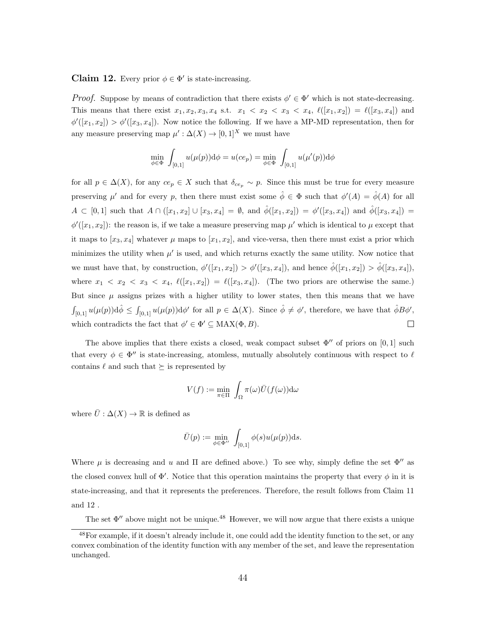### **Claim 12.** Every prior  $\phi \in \Phi'$  is state-increasing.

*Proof.* Suppose by means of contradiction that there exists  $\phi' \in \Phi'$  which is not state-decreasing. This means that there exist  $x_1, x_2, x_3, x_4$  s.t.  $x_1 < x_2 < x_3 < x_4$ ,  $\ell([x_1, x_2]) = \ell([x_3, x_4])$  and  $\phi'([x_1, x_2]) > \phi'([x_3, x_4])$ . Now notice the following. If we have a MP-MD representation, then for any measure preserving map  $\mu' : \Delta(X) \to [0,1]^X$  we must have

$$
\min_{\phi\in\Phi}~\int_{[0,1]}u(\mu(p)){\rm d}\phi=u(ce_p)=\min_{\phi\in\Phi}~\int_{[0,1]}u(\mu'(p)){\rm d}\phi
$$

for all  $p \in \Delta(X)$ , for any  $ce_p \in X$  such that  $\delta_{ce_p} \sim p$ . Since this must be true for every measure preserving  $\mu'$  and for every p, then there must exist some  $\hat{\phi} \in \Phi$  such that  $\phi'(A) = \hat{\phi}(A)$  for all  $A \subset [0,1]$  such that  $A \cap ([x_1,x_2] \cup [x_3,x_4] = \emptyset$ , and  $\hat{\phi}([x_1,x_2]) = \phi'([x_3,x_4])$  and  $\hat{\phi}([x_3,x_4]) =$  $\phi'([x_1, x_2])$ : the reason is, if we take a measure preserving map  $\mu'$  which is identical to  $\mu$  except that it maps to  $[x_3, x_4]$  whatever  $\mu$  maps to  $[x_1, x_2]$ , and vice-versa, then there must exist a prior which minimizes the utility when  $\mu'$  is used, and which returns exactly the same utility. Now notice that we must have that, by construction,  $\phi'([x_1, x_2]) > \phi'([x_3, x_4])$ , and hence  $\hat{\phi}([x_1, x_2]) > \hat{\phi}([x_3, x_4])$ , where  $x_1 \langle x_2 \rangle \langle x_3 \rangle \langle x_4, \ell([x_1, x_2]) \rangle = \ell([x_3, x_4])$ . (The two priors are otherwise the same.) But since  $\mu$  assigns prizes with a higher utility to lower states, then this means that we have  $\int_{[0,1]} u(\mu(p)) d\hat{\phi} \leq \int_{[0,1]} u(\mu(p)) d\phi'$  for all  $p \in \Delta(X)$ . Since  $\hat{\phi} \neq \phi'$ , therefore, we have that  $\hat{\phi} B \phi'$ , which contradicts the fact that  $\phi' \in \Phi' \subseteq MAX(\Phi, B)$ .  $\Box$ 

The above implies that there exists a closed, weak compact subset  $\Phi''$  of priors on [0, 1] such that every  $\phi \in \Phi''$  is state-increasing, atomless, mutually absolutely continuous with respect to  $\ell$ contains  $\ell$  and such that  $\succeq$  is represented by

$$
V(f) := \min_{\pi \in \Pi} \int_{\Omega} \pi(\omega) \overline{U}(f(\omega)) d\omega
$$

where  $\overline{U} : \Delta(X) \to \mathbb{R}$  is defined as

$$
\bar{U}(p) := \min_{\phi \in \Phi''} \int_{[0,1]} \phi(s) u(\mu(p)) \mathrm{d} s.
$$

Where  $\mu$  is decreasing and u and  $\Pi$  are defined above.) To see why, simply define the set  $\Phi''$  as the closed convex hull of  $\Phi'$ . Notice that this operation maintains the property that every  $\phi$  in it is state-increasing, and that it represents the preferences. Therefore, the result follows from Claim 11 and 12 .

The set  $\Phi''$  above might not be unique.<sup>48</sup> However, we will now argue that there exists a unique

<sup>48</sup>For example, if it doesn't already include it, one could add the identity function to the set, or any convex combination of the identity function with any member of the set, and leave the representation unchanged.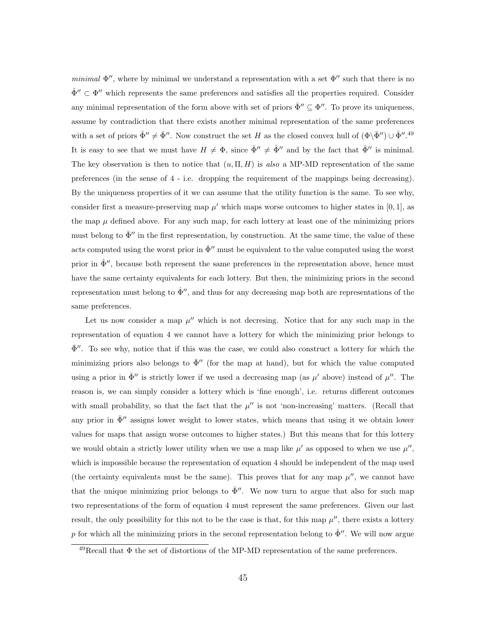minimal  $\Phi''$ , where by minimal we understand a representation with a set  $\Phi''$  such that there is no  $\hat{\Phi}'' \subset \Phi''$  which represents the same preferences and satisfies all the properties required. Consider any minimal representation of the form above with set of priors  $\bar{\Phi}'' \subseteq \Phi''$ . To prove its uniqueness, assume by contradiction that there exists another minimal representation of the same preferences with a set of priors  $\hat{\Phi}'' \neq \bar{\Phi}''$ . Now construct the set H as the closed convex hull of  $(\Phi \backslash \bar{\Phi}'') \cup \hat{\Phi}''$ .<sup>49</sup> It is easy to see that we must have  $H \neq \Phi$ , since  $\bar{\Phi}'' \neq \hat{\Phi}''$  and by the fact that  $\bar{\Phi}''$  is minimal. The key observation is then to notice that  $(u, \Pi, H)$  is also a MP-MD representation of the same preferences (in the sense of 4 - i.e. dropping the requirement of the mappings being decreasing). By the uniqueness properties of it we can assume that the utility function is the same. To see why, consider first a measure-preserving map  $\mu'$  which maps worse outcomes to higher states in [0, 1], as the map  $\mu$  defined above. For any such map, for each lottery at least one of the minimizing priors must belong to  $\bar{\Phi}^{\prime\prime}$  in the first representation, by construction. At the same time, the value of these acts computed using the worst prior in  $\bar{\Phi}$ <sup>*n*</sup> must be equivalent to the value computed using the worst prior in  $\hat{\Phi}^{\prime\prime}$ , because both represent the same preferences in the representation above, hence must have the same certainty equivalents for each lottery. But then, the minimizing priors in the second representation must belong to  $\hat{\Phi}''$ , and thus for any decreasing map both are representations of the same preferences.

Let us now consider a map  $\mu''$  which is not decresing. Notice that for any such map in the representation of equation 4 we cannot have a lottery for which the minimizing prior belongs to  $\bar{\Phi}''$ . To see why, notice that if this was the case, we could also construct a lottery for which the minimizing priors also belongs to  $\bar{\Phi}^{\prime\prime}$  (for the map at hand), but for which the value computed using a prior in  $\bar{\Phi}''$  is strictly lower if we used a decreasing map (as  $\mu'$  above) instead of  $\mu''$ . The reason is, we can simply consider a lottery which is 'fine enough', i.e. returns different outcomes with small probability, so that the fact that the  $\mu''$  is not 'non-increasing' matters. (Recall that any prior in  $\bar{\Phi}^{\prime\prime}$  assigns lower weight to lower states, which means that using it we obtain lower values for maps that assign worse outcomes to higher states.) But this means that for this lottery we would obtain a strictly lower utility when we use a map like  $\mu'$  as opposed to when we use  $\mu''$ , which is impossible because the representation of equation 4 should be independent of the map used (the certainty equivalents must be the same). This proves that for any map  $\mu''$ , we cannot have that the unique minimizing prior belongs to  $\bar{\Phi}^{\prime\prime}$ . We now turn to argue that also for such map two representations of the form of equation 4 must represent the same preferences. Given our last result, the only possibility for this not to be the case is that, for this map  $\mu''$ , there exists a lottery p for which all the minimizing priors in the second representation belong to  $\hat{\Phi}$ <sup>"</sup>. We will now argue

 $^{49}$ Recall that  $\Phi$  the set of distortions of the MP-MD representation of the same preferences.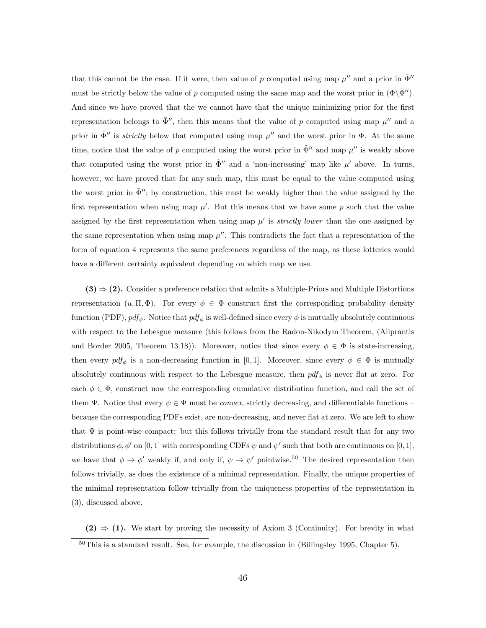that this cannot be the case. If it were, then value of p computed using map  $\mu''$  and a prior in  $\hat{\Phi}''$ must be strictly below the value of p computed using the same map and the worst prior in  $(\Phi \backslash \Phi'')$ . And since we have proved that the we cannot have that the unique minimizing prior for the first representation belongs to  $\bar{\Phi}''$ , then this means that the value of p computed using map  $\mu''$  and a prior in  $\hat{\Phi}''$  is *strictly* below that computed using map  $\mu''$  and the worst prior in  $\Phi$ . At the same time, notice that the value of p computed using the worst prior in  $\hat{\Phi}''$  and map  $\mu''$  is weakly above that computed using the worst prior in  $\hat{\Phi}''$  and a 'non-increasing' map like  $\mu'$  above. In turns, however, we have proved that for any such map, this must be equal to the value computed using the worst prior in  $\bar{\Phi}''$ ; by construction, this must be weakly higher than the value assigned by the first representation when using map  $\mu'$ . But this means that we have some p such that the value assigned by the first representation when using map  $\mu'$  is *strictly lower* than the one assigned by the same representation when using map  $\mu''$ . This contradicts the fact that a representation of the form of equation 4 represents the same preferences regardless of the map, as these lotteries would have a different certainty equivalent depending on which map we use.

 $(3) \Rightarrow (2)$ . Consider a preference relation that admits a Multiple-Priors and Multiple Distortions representation  $(u, \Pi, \Phi)$ . For every  $\phi \in \Phi$  construct first the corresponding probability density function (PDF),  $pdf_{\phi}$ . Notice that  $pdf_{\phi}$  is well-defined since every  $\phi$  is mutually absolutely continuous with respect to the Lebesgue measure (this follows from the Radon-Nikodym Theorem, (Aliprantis and Border 2005, Theorem 13.18)). Moreover, notice that since every  $\phi \in \Phi$  is state-increasing. then every  $pdf_{\phi}$  is a non-decreasing function in [0,1]. Moreover, since every  $\phi \in \Phi$  is mutually absolutely continuous with respect to the Lebesgue measure, then  $pdf_{\phi}$  is never flat at zero. For each  $\phi \in \Phi$ , construct now the corresponding cumulative distribution function, and call the set of them Ψ. Notice that every  $\psi \in \Psi$  must be *convex*, strictly decreasing, and differentiable functions – because the corresponding PDFs exist, are non-decreasing, and never flat at zero. We are left to show that  $\Psi$  is point-wise compact: but this follows trivially from the standard result that for any two distributions  $\phi$ ,  $\phi'$  on [0, 1] with corresponding CDFs  $\psi$  and  $\psi'$  such that both are continuous on [0, 1], we have that  $\phi \to \phi'$  weakly if, and only if,  $\psi \to \psi'$  pointwise.<sup>50</sup> The desired representation then follows trivially, as does the existence of a minimal representation. Finally, the unique properties of the minimal representation follow trivially from the uniqueness properties of the representation in (3), discussed above.

 $(2) \Rightarrow (1)$ . We start by proving the necessity of Axiom 3 (Continuity). For brevity in what

 $\overline{50}$ This is a standard result. See, for example, the discussion in (Billingsley 1995, Chapter 5).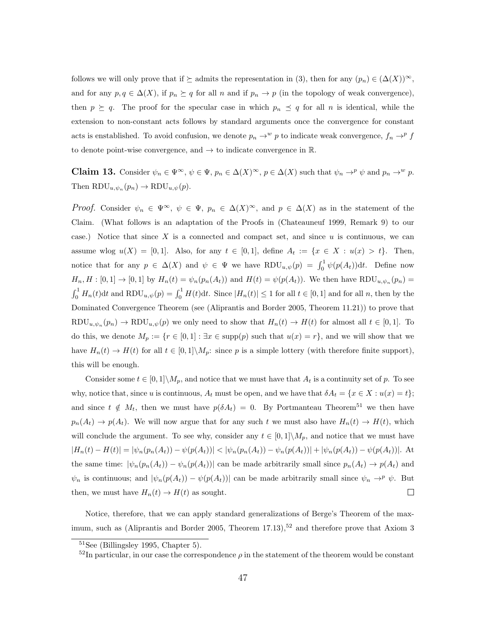follows we will only prove that if  $\succeq$  admits the representation in (3), then for any  $(p_n) \in (\Delta(X))^{\infty}$ , and for any  $p, q \in \Delta(X)$ , if  $p_n \succeq q$  for all n and if  $p_n \to p$  (in the topology of weak convergence), then  $p \ge q$ . The proof for the specular case in which  $p_n \preceq q$  for all n is identical, while the extension to non-constant acts follows by standard arguments once the convergence for constant acts is enstablished. To avoid confusion, we denote  $p_n \to^w p$  to indicate weak convergence,  $f_n \to^p f$ to denote point-wise convergence, and  $\rightarrow$  to indicate convergence in  $\mathbb{R}$ .

**Claim 13.** Consider  $\psi_n \in \Psi^{\infty}$ ,  $\psi \in \Psi$ ,  $p_n \in \Delta(X)^{\infty}$ ,  $p \in \Delta(X)$  such that  $\psi_n \to^p \psi$  and  $p_n \to^w p$ . Then  $\text{RDU}_{u,\psi_n}(p_n) \to \text{RDU}_{u,\psi}(p)$ .

*Proof.* Consider  $\psi_n \in \Psi^{\infty}$ ,  $\psi \in \Psi$ ,  $p_n \in \Delta(X)^{\infty}$ , and  $p \in \Delta(X)$  as in the statement of the Claim. (What follows is an adaptation of the Proofs in (Chateauneuf 1999, Remark 9) to our case.) Notice that since X is a connected and compact set, and since  $u$  is continuous, we can assume wlog  $u(X) = [0, 1]$ . Also, for any  $t \in [0, 1]$ , define  $A_t := \{x \in X : u(x) > t\}$ . Then, notice that for any  $p \in \Delta(X)$  and  $\psi \in \Psi$  we have  $RDU_{u,\psi}(p) = \int_0^1 \psi(p(A_t))dt$ . Define now  $H_n, H : [0,1] \to [0,1]$  by  $H_n(t) = \psi_n(p_n(A_t))$  and  $H(t) = \psi(p(A_t))$ . We then have RDU<sub>u, $\psi_n(p_n) =$ </sub>  $\int_0^1 H_n(t)dt$  and RDU<sub>u, $\psi(p) = \int_0^1 H(t)dt$ . Since  $|H_n(t)| \leq 1$  for all  $t \in [0,1]$  and for all n, then by the</sub> Dominated Convergence Theorem (see (Aliprantis and Border 2005, Theorem 11.21)) to prove that  $\text{RDU}_{u,\psi_n}(p_n) \to \text{RDU}_{u,\psi}(p)$  we only need to show that  $H_n(t) \to H(t)$  for almost all  $t \in [0,1]$ . To do this, we denote  $M_p := \{r \in [0,1] : \exists x \in \text{supp}(p) \text{ such that } u(x) = r\}$ , and we will show that we have  $H_n(t) \to H(t)$  for all  $t \in [0,1] \backslash M_p$ : since p is a simple lottery (with therefore finite support), this will be enough.

Consider some  $t \in [0,1] \backslash M_p$ , and notice that we must have that  $A_t$  is a continuity set of p. To see why, notice that, since u is continuous,  $A_t$  must be open, and we have that  $\delta A_t = \{x \in X : u(x) = t\}$ ; and since  $t \notin M_t$ , then we must have  $p(\delta A_t) = 0$ . By Portmanteau Theorem<sup>51</sup> we then have  $p_n(A_t) \to p(A_t)$ . We will now argue that for any such t we must also have  $H_n(t) \to H(t)$ , which will conclude the argument. To see why, consider any  $t \in [0,1] \backslash M_p$ , and notice that we must have  $|H_n(t) - H(t)| = |\psi_n(p_n(A_t)) - \psi(p(A_t))| < |\psi_n(p_n(A_t)) - \psi_n(p(A_t))| + |\psi_n(p(A_t)) - \psi(p(A_t))|$ . At the same time:  $|\psi_n(p_n(A_t)) - \psi_n(p(A_t))|$  can be made arbitrarily small since  $p_n(A_t) \to p(A_t)$  and  $\psi_n$  is continuous; and  $|\psi_n(p(A_t)) - \psi(p(A_t))|$  can be made arbitrarily small since  $\psi_n \to^p \psi$ . But then, we must have  $H_n(t) \to H(t)$  as sought.  $\Box$ 

Notice, therefore, that we can apply standard generalizations of Berge's Theorem of the maximum, such as (Aliprantis and Border 2005, Theorem  $17.13$ ),<sup>52</sup> and therefore prove that Axiom 3

<sup>51</sup>See (Billingsley 1995, Chapter 5).

<sup>&</sup>lt;sup>52</sup>In particular, in our case the correspondence  $\rho$  in the statement of the theorem would be constant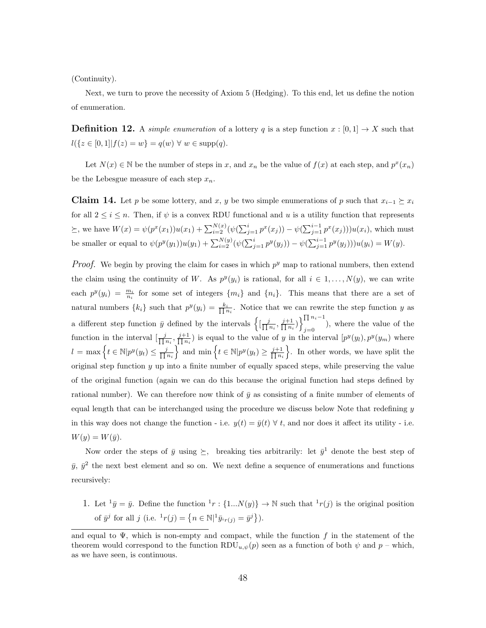(Continuity).

Next, we turn to prove the necessity of Axiom 5 (Hedging). To this end, let us define the notion of enumeration.

**Definition 12.** A simple enumeration of a lottery q is a step function  $x : [0,1] \rightarrow X$  such that  $l({z \in [0,1] | f(z) = w} = q(w) \ \forall \ w \in \text{supp}(q).$ 

Let  $N(x) \in \mathbb{N}$  be the number of steps in x, and  $x_n$  be the value of  $f(x)$  at each step, and  $p^x(x_n)$ be the Lebesgue measure of each step  $x_n$ .

**Claim 14.** Let p be some lottery, and x, y be two simple enumerations of p such that  $x_{i-1} \succeq x_i$ for all  $2 \leq i \leq n$ . Then, if  $\psi$  is a convex RDU functional and u is a utility function that represents  $\sum_{i=1}^{n}$ , we have  $W(x) = \psi(p^x(x_1))u(x_1) + \sum_{i=2}^{N(x)}(\psi(\sum_{j=1}^{i} p^x(x_j)) - \psi(\sum_{j=1}^{i-1} p^x(x_j)))u(x_i)$ , which must be smaller or equal to  $\psi(p^y(y_1))u(y_1) + \sum_{i=2}^{N(y)}(\psi(\sum_{j=1}^i p^y(y_j)) - \psi(\sum_{j=1}^{i-1} p^y(y_j)))u(y_i) = W(y)$ .

*Proof.* We begin by proving the claim for cases in which  $p<sup>y</sup>$  map to rational numbers, then extend the claim using the continuity of W. As  $p^y(y_i)$  is rational, for all  $i \in 1, \ldots, N(y)$ , we can write each  $p^y(y_i) = \frac{m_i}{n_i}$  for some set of integers  $\{m_i\}$  and  $\{n_i\}$ . This means that there are a set of natural numbers  $\{k_i\}$  such that  $p^y(y_i) = \frac{k_i}{\prod n_i}$ . Notice that we can rewrite the step function y as a different step function  $\bar{y}$  defined by the intervals  $\left\{ \left[ \frac{j}{\prod n_i}, \frac{j+1}{\prod n_i} \right] \right\}_{i=0}^{\prod n_i-1}$  $j=0$ , where the value of the function in the interval  $\left[\frac{j}{\prod n_i}, \frac{j+1}{\prod n_i}\right)$  is equal to the value of y in the interval  $[p^y(y_l), p^y(y_m)]$  where  $l = \max \left\{ t \in \mathbb{N} | p^y(y_t) \leq \frac{j}{\prod n_i} \right\}$  and  $\min \left\{ t \in \mathbb{N} | p^y(y_t) \geq \frac{j+1}{\prod n_i} \right\}$ . In other words, we have split the original step function  $y$  up into a finite number of equally spaced steps, while preserving the value of the original function (again we can do this because the original function had steps defined by rational number). We can therefore now think of  $\bar{y}$  as consisting of a finite number of elements of equal length that can be interchanged using the procedure we discuss below Note that redefining y in this way does not change the function - i.e.  $y(t) = \bar{y}(t) \,\forall t$ , and nor does it affect its utility - i.e.  $W(y) = W(\bar{y}).$ 

Now order the steps of  $\bar{y}$  using  $\succeq$ , breaking ties arbitrarily: let  $\bar{y}^1$  denote the best step of  $\bar{y}$ ,  $\bar{y}^2$  the next best element and so on. We next define a sequence of enumerations and functions recursively:

1. Let  ${}^1\bar{y} = \bar{y}$ . Define the function  ${}^1r : \{1...N(y)\} \to \mathbb{N}$  such that  ${}^1r(j)$  is the original position of  $\bar{y}^j$  for all j (i.e.  ${}^1r(j) = \{ n \in \mathbb{N} | {}^1\bar{y}_{i}{}_{r(j)} = \bar{y}^j \}$ ).

and equal to  $\Psi$ , which is non-empty and compact, while the function f in the statement of the theorem would correspond to the function  $RDU_{u,\psi}(p)$  seen as a function of both  $\psi$  and  $p$  – which, as we have seen, is continuous.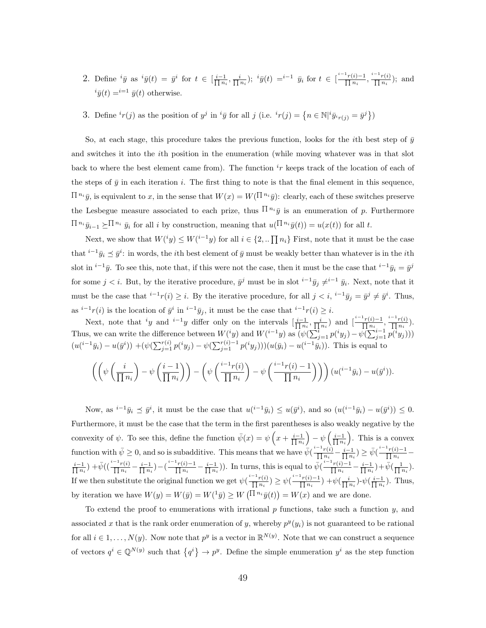- 2. Define  ${}^{i}\bar{y}$  as  ${}^{i}\bar{y}(t) = \bar{y}^{i}$  for  $t \in [\frac{i-1}{\prod n_i}, \frac{i}{\prod n_i});$   ${}^{i}\bar{y}(t) = {}^{i-1} \bar{y}_i$  for  $t \in [\frac{i-1}{\prod n_i}, \frac{i-1}{\prod n_i});$  and  $i\bar{y}(t) = i^{-1} \bar{y}(t)$  otherwise.
- 3. Define  ${}^{i}r(j)$  as the position of  $y^{j}$  in  ${}^{i}\bar{y}$  for all j (i.e.  ${}^{i}r(j) = \{n \in \mathbb{N} | {}^{i}\bar{y}_{i}{}_{r(j)} = \bar{y}^{j}\}\$ )

So, at each stage, this procedure takes the previous function, looks for the *i*th best step of  $\bar{y}$ and switches it into the ith position in the enumeration (while moving whatever was in that slot back to where the best element came from). The function  $ir$  keeps track of the location of each of the steps of  $\bar{y}$  in each iteration i. The first thing to note is that the final element in this sequence,  $\Pi^{n_i}\bar{y}$ , is equivalent to x, in the sense that  $W(x) = W(\Pi^{n_i}\bar{y})$ : clearly, each of these switches preserve the Lesbegue measure associated to each prize, thus  $\prod_{i} n_i \bar{y}$  is an enumeration of p. Furthermore  $\Pi^{n_i} \bar{y}_{i-1} \succeq^{\prod n_i} \bar{y}_i$  for all i by construction, meaning that  $u(\Pi^{n_i} \bar{y}(t)) = u(x(t))$  for all t.

Next, we show that  $W(iy) \leq W(i-1y)$  for all  $i \in \{2, \dots \prod n_i\}$  First, note that it must be the case that <sup>*i*-1</sup> $\bar{y}_i \leq \bar{y}^i$ : in words, the *i*th best element of  $\bar{y}$  must be weakly better than whatever is in the *i*th slot in <sup>i−1</sup> $\bar{y}$ . To see this, note that, if this were not the case, then it must be the case that  $i^{-1}\bar{y}_i = \bar{y}^j$ for some  $j < i$ . But, by the iterative procedure,  $\bar{y}^j$  must be in slot  $i^{-1}\bar{y}_j \neq i^{-1}\bar{y}_i$ . Next, note that it must be the case that  $i^{-1}r(i) \geq i$ . By the iterative procedure, for all  $j < i$ ,  $i^{-1}\bar{y}_j = \bar{y}^j \neq \bar{y}^i$ . Thus, as <sup>*i*-1</sup> $r(i)$  is the location of  $\bar{y}^i$  in <sup>*i*-1</sup> $\bar{y}_j$ , it must be the case that <sup>*i*-1</sup> $r(i) \geq i$ .

Next, note that  $^iy$  and  $^{i-1}y$  differ only on the intervals  $\left[\frac{i-1}{\prod n_i}, \frac{i}{\prod n_i}\right]$  and  $\left[\frac{i-1}{\prod n_i}, \frac{i-1}{\prod n_i}, \frac{i-1}{\prod n_i}\right]$ . Thus, we can write the difference between  $W(iy)$  and  $W(i^{-1}y)$  as  $(\psi(\sum_{j=1}^{i} p(iy_j) - \psi(\sum_{j=1}^{i-1} p(iy_j)))$  $(u({}^{i-1}\bar{y}_i) - u(\bar{y}^i)) + (\psi(\sum_{j=1}^{r(i)} p({}^i y_j) - \psi(\sum_{j=1}^{r(i)-1} p({}^i y_j)))(u(\bar{y}_i) - u({}^{i-1}\bar{y}_i)).$  This is equal to

$$
\left( \left( \psi\left(\frac{i}{\prod n_i}\right) - \psi\left(\frac{i-1}{\prod n_i}\right) \right) - \left( \psi\left(\frac{i-1_r(i)}{\prod n_i}\right) - \psi\left(\frac{i-1_r(i)-1}{\prod n_i}\right) \right) \right) (u(^{i-1}\bar{y}_i) - u(\bar{y}^i)).
$$

Now, as  $i^{-1}\bar{y}_i \preceq \bar{y}^i$ , it must be the case that  $u({}^{i-1}\bar{y}_i) \leq u(\bar{y}^i)$ , and so  $(u({}^{i-1}\bar{y}_i) - u(\bar{y}^i)) \leq 0$ . Furthermore, it must be the case that the term in the first parentheses is also weakly negative by the convexity of  $\psi$ . To see this, define the function  $\bar{\psi}(x) = \psi\left(x + \frac{i-1}{\prod n_i}\right) - \psi\left(\frac{i-1}{\prod n_i}\right)$ . This is a convex function with  $\bar{\psi} \geq 0$ , and so is subadditive. This means that we have  $\bar{\psi}(\frac{i-i_r(i)}{\prod n_i} - \frac{i-1}{\prod n_i}) \geq \bar{\psi}(\frac{i-i_r(i)-1}{\prod n_i} - \frac{i}{\prod n_i})$  $\frac{i-1}{\prod n_i} + \bar{\psi}((\frac{i-1}{\prod n_i} - \frac{i-1}{\prod n_i}) - (\frac{i-1}{\prod n_i} - \frac{i-1}{\prod n_i})).$  In turns, this is equal to  $\bar{\psi}(\frac{i-1}{\prod n_i} - \frac{i-1}{\prod n_i}) + \bar{\psi}(\frac{1}{\prod n_i}).$ If we then substitute the original function we get  $\psi(\frac{i-1_{r}(i)}{\prod n_i}) \geq \psi(\frac{i-1_{r}(i)-1}{\prod n_i}) + \psi(\frac{i}{\prod n_i}) \cdot \psi(\frac{i-1}{\prod n_i}).$  Thus, by iteration we have  $W(y) = W(\bar{y}) = W({}^1\bar{y}) \geq W({}^{\Pi n_i}\bar{y}(t)) = W(x)$  and we are done.

To extend the proof to enumerations with irrational  $p$  functions, take such a function  $y$ , and associated x that is the rank order enumeration of y, whereby  $p^y(y_i)$  is not guaranteed to be rational for all  $i \in 1, ..., N(y)$ . Now note that  $p^y$  is a vector in  $\mathbb{R}^{N(y)}$ . Note that we can construct a sequence of vectors  $q^i \in \mathbb{Q}^{N(y)}$  such that  $\{q^i\} \to p^y$ . Define the simple enumeration  $y^i$  as the step function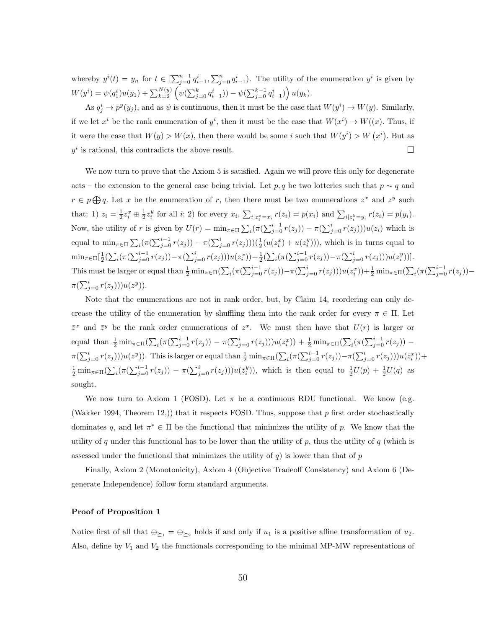whereby  $y^{i}(t) = y_n$  for  $t \in \left[\sum_{j=0}^{n-1} q_{i-1}^{i}, \sum_{j=0}^{n} q_{i-1}^{i}\right]$ . The utility of the enumeration  $y^{i}$  is given by  $W(y^i) = \psi(q_1^i)u(y_1) + \sum_{k=2}^{N(y)} \left( \psi(\sum_{j=0}^k q_{i-1}^i) - \psi(\sum_{j=0}^{k-1} q_{i-1}^i) \right) u(y_k).$ 

As  $q_j^i \to p^{y}(y_j)$ , and as  $\psi$  is continuous, then it must be the case that  $W(y^i) \to W(y)$ . Similarly, if we let  $x^i$  be the rank enumeration of  $y^i$ , then it must be the case that  $W(x^i) \to W((x)$ . Thus, if it were the case that  $W(y) > W(x)$ , then there would be some i such that  $W(y^i) > W(x^i)$ . But as  $y<sup>i</sup>$  is rational, this contradicts the above result.  $\Box$ 

We now turn to prove that the Axiom 5 is satisfied. Again we will prove this only for degenerate acts – the extension to the general case being trivial. Let p, q be two lotteries such that  $p \sim q$  and  $r \in p \bigoplus q$ . Let x be the enumeration of r, then there must be two enumerations  $z^x$  and  $z^y$  such that: 1)  $z_i = \frac{1}{2}z_i^x \oplus \frac{1}{2}z_i^y$  for all i; 2) for every  $x_i$ ,  $\sum_{i|z_i^x = x_i} r(z_i) = p(x_i)$  and  $\sum_{i|z_i^y = y_i} r(z_i) = p(y_i)$ . Now, the utility of r is given by  $U(r) = \min_{\pi \in \Pi} \sum_i (\pi(\sum_{j=0}^{i-1} r(z_j)) - \pi(\sum_{j=0}^{i} r(z_j)))u(z_i)$  which is equal to  $\min_{\pi \in \Pi} \sum_i (\pi(\sum_{j=0}^{i-1} r(z_j)) - \pi(\sum_{j=0}^i r(z_j))) (\frac{1}{2}(u(z_i^x) + u(z_i^y))),$  which is in turns equal to  $\min_{\pi \in \Pi} [\frac{1}{2} (\sum_i (\pi(\sum_{j=0}^{i-1} r(z_j)) - \pi(\sum_{j=0}^{i} r(z_j))) u(z_i^x) ) + \frac{1}{2} (\sum_i (\pi(\sum_{j=0}^{i-1} r(z_j)) - \pi(\sum_{j=0}^{i} r(z_j))) u(z_i^y))].$ This must be larger or equal than  $\frac{1}{2} \min_{\pi \in \Pi} (\sum_i (\pi(\sum_{j=0}^{i-1} r(z_j)) - \pi(\sum_{j=0}^i r(z_j)))u(z_i^x)) + \frac{1}{2} \min_{\pi \in \Pi} (\sum_i (\pi(\sum_{j=0}^{i-1} r(z_j)) - \pi(\sum_{j=0}^i r(z_j)))u(z_i^x))$  $\pi(\sum_{j=0}^i r(z_j)))u(z^y)).$ 

Note that the enumerations are not in rank order, but, by Claim 14, reordering can only decrease the utility of the enumeration by shuffling them into the rank order for every  $\pi \in \Pi$ . Let  $\bar{z}^x$  and  $\bar{z}^y$  be the rank order enumerations of  $z^x$ . We must then have that  $U(r)$  is larger or equal than  $\frac{1}{2} \min_{\pi \in \Pi} (\sum_i (\pi(\sum_{j=0}^{i-1} r(z_j)) - \pi(\sum_{j=0}^i r(z_j)))u(z_i^x)) + \frac{1}{2} \min_{\pi \in \Pi} (\sum_i (\pi(\sum_{j=0}^{i-1} r(z_j)) \pi(\sum_{j=0}^i r(z_j)))u(z^y)$ . This is larger or equal than  $\frac{1}{2} \min_{\pi \in \Pi} (\sum_i (\pi(\sum_{j=0}^{i-1} r(z_j)) - \pi(\sum_{j=0}^i r(z_j)))u(\bar{z}_i^x)) +$  $\frac{1}{2} \min_{\pi \in \Pi} (\sum_i (\pi(\sum_{j=0}^{i-1} r(z_j)) - \pi(\sum_{j=0}^i r(z_j))) u(\bar{z}_i^y))$ , which is then equal to  $\frac{1}{2} U(p) + \frac{1}{2} U(q)$  as sought.

We now turn to Axiom 1 (FOSD). Let  $\pi$  be a continuous RDU functional. We know (e.g. (Wakker 1994, Theorem 12,)) that it respects FOSD. Thus, suppose that  $p$  first order stochastically dominates q, and let  $\pi^* \in \Pi$  be the functional that minimizes the utility of p. We know that the utility of q under this functional has to be lower than the utility of  $p$ , thus the utility of  $q$  (which is assessed under the functional that minimizes the utility of q) is lower than that of p

Finally, Axiom 2 (Monotonicity), Axiom 4 (Objective Tradeoff Consistency) and Axiom 6 (Degenerate Independence) follow form standard arguments.

### Proof of Proposition 1

Notice first of all that  $\oplus_{\succeq_1} = \oplus_{\succeq_2}$  holds if and only if  $u_1$  is a positive affine transformation of  $u_2$ . Also, define by  $V_1$  and  $V_2$  the functionals corresponding to the minimal MP-MW representations of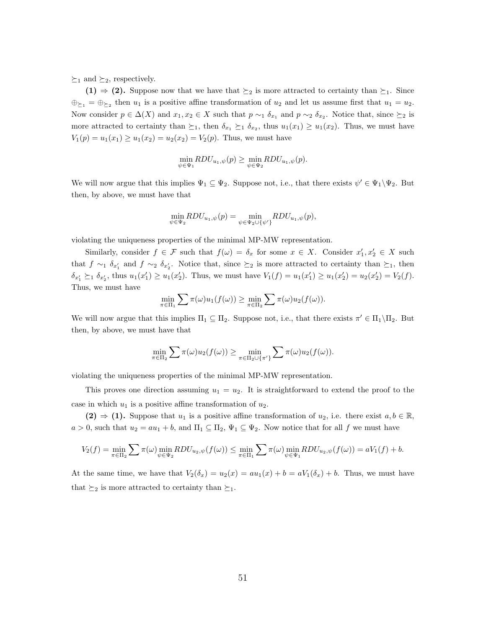$\succeq_1$  and  $\succeq_2$ , respectively.

(1)  $\Rightarrow$  (2). Suppose now that we have that  $\succeq_2$  is more attracted to certainty than  $\succeq_1$ . Since  $\oplus_{\geq 1} = \oplus_{\geq 2}$  then  $u_1$  is a positive affine transformation of  $u_2$  and let us assume first that  $u_1 = u_2$ . Now consider  $p \in \Delta(X)$  and  $x_1, x_2 \in X$  such that  $p \sim_1 \delta_{x_1}$  and  $p \sim_2 \delta_{x_2}$ . Notice that, since  $\succeq_2$  is more attracted to certainty than  $\succeq_1$ , then  $\delta_{x_1} \succeq_1 \delta_{x_2}$ , thus  $u_1(x_1) \ge u_1(x_2)$ . Thus, we must have  $V_1(p) = u_1(x_1) \ge u_1(x_2) = u_2(x_2) = V_2(p)$ . Thus, we must have

$$
\min_{\psi \in \Psi_1} RDU_{u_1,\psi}(p) \ge \min_{\psi \in \Psi_2} RDU_{u_1,\psi}(p).
$$

We will now argue that this implies  $\Psi_1 \subseteq \Psi_2$ . Suppose not, i.e., that there exists  $\psi' \in \Psi_1 \backslash \Psi_2$ . But then, by above, we must have that

$$
\min_{\psi \in \Psi_2} RDU_{u_1,\psi}(p) = \min_{\psi \in \Psi_2 \cup {\{\psi'\}}} RDU_{u_1,\psi}(p),
$$

violating the uniqueness properties of the minimal MP-MW representation.

Similarly, consider  $f \in \mathcal{F}$  such that  $f(\omega) = \delta_x$  for some  $x \in X$ . Consider  $x'_1, x'_2 \in X$  such that  $f \sim_1 \delta_{x'_1}$  and  $f \sim_2 \delta_{x'_2}$ . Notice that, since  $\succeq_2$  is more attracted to certainty than  $\succeq_1$ , then  $\delta_{x_1'} \succeq_1 \delta_{x_2'},$  thus  $u_1(x_1') \geq u_1(x_2').$  Thus, we must have  $V_1(f) = u_1(x_1') \geq u_1(x_2') = u_2(x_2') = V_2(f).$ Thus, we must have

$$
\min_{\pi \in \Pi_1} \sum \pi(\omega) u_1(f(\omega)) \ge \min_{\pi \in \Pi_2} \sum \pi(\omega) u_2(f(\omega)).
$$

We will now argue that this implies  $\Pi_1 \subseteq \Pi_2$ . Suppose not, i.e., that there exists  $\pi' \in \Pi_1 \backslash \Pi_2$ . But then, by above, we must have that

$$
\min_{\pi \in \Pi_2} \sum \pi(\omega) u_2(f(\omega)) \ge \min_{\pi \in \Pi_2 \cup \{\pi'\}} \sum \pi(\omega) u_2(f(\omega)).
$$

violating the uniqueness properties of the minimal MP-MW representation.

This proves one direction assuming  $u_1 = u_2$ . It is straightforward to extend the proof to the case in which  $u_1$  is a positive affine transformation of  $u_2$ .

 $(2) \Rightarrow (1)$ . Suppose that  $u_1$  is a positive affine transformation of  $u_2$ , i.e. there exist  $a, b \in \mathbb{R}$ ,  $a > 0$ , such that  $u_2 = au_1 + b$ , and  $\Pi_1 \subseteq \Pi_2$ ,  $\Psi_1 \subseteq \Psi_2$ . Now notice that for all f we must have

$$
V_2(f) = \min_{\pi \in \Pi_2} \sum \pi(\omega) \min_{\psi \in \Psi_2} RDU_{u_2, \psi}(f(\omega)) \le \min_{\pi \in \Pi_1} \sum \pi(\omega) \min_{\psi \in \Psi_1} RDU_{u_2, \psi}(f(\omega)) = aV_1(f) + b.
$$

At the same time, we have that  $V_2(\delta_x) = u_2(x) = au_1(x) + b = aV_1(\delta_x) + b$ . Thus, we must have that  $\succeq_2$  is more attracted to certainty than  $\succeq_1$ .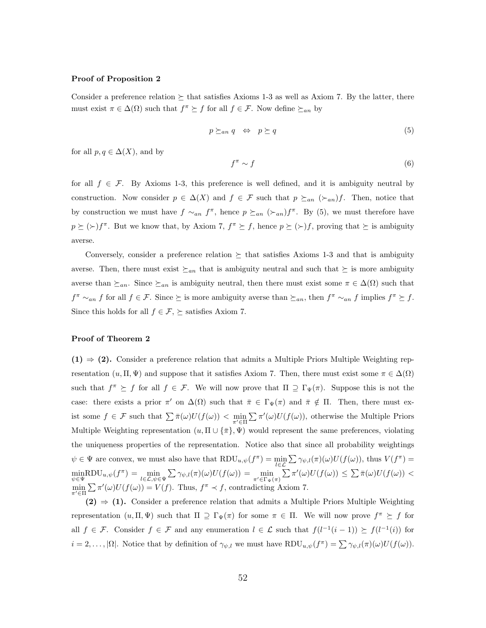#### Proof of Proposition 2

Consider a preference relation  $\succeq$  that satisfies Axioms 1-3 as well as Axiom 7. By the latter, there must exist  $\pi \in \Delta(\Omega)$  such that  $f^{\pi} \succeq f$  for all  $f \in \mathcal{F}$ . Now define  $\succeq_{an}$  by

$$
p \succeq_{an} q \quad \Leftrightarrow \quad p \succeq q \tag{5}
$$

for all  $p, q \in \Delta(X)$ , and by

$$
f^{\pi} \sim f \tag{6}
$$

for all  $f \in \mathcal{F}$ . By Axioms 1-3, this preference is well defined, and it is ambiguity neutral by construction. Now consider  $p \in \Delta(X)$  and  $f \in \mathcal{F}$  such that  $p \succeq_{an} (\succeq_{an})f$ . Then, notice that by construction we must have  $f \sim_{an} f^{\pi}$ , hence  $p \succeq_{an} (\succeq_{an}) f^{\pi}$ . By (5), we must therefore have  $p \succeq (\succ) f^{\pi}$ . But we know that, by Axiom 7,  $f^{\pi} \succeq f$ , hence  $p \succeq (\succ) f$ , proving that  $\succeq$  is ambiguity averse.

Conversely, consider a preference relation  $\succeq$  that satisfies Axioms 1-3 and that is ambiguity averse. Then, there must exist  $\succeq_{an}$  that is ambiguity neutral and such that  $\succeq$  is more ambiguity averse than  $\succeq_{an}$ . Since  $\succeq_{an}$  is ambiguity neutral, then there must exist some  $\pi \in \Delta(\Omega)$  such that  $f^{\pi} \sim_{an} f$  for all  $f \in \mathcal{F}$ . Since  $\succeq$  is more ambiguity averse than  $\succeq_{an}$ , then  $f^{\pi} \sim_{an} f$  implies  $f^{\pi} \succeq f$ . Since this holds for all  $f \in \mathcal{F}, \succeq$  satisfies Axiom 7.

#### Proof of Theorem 2

 $(1) \Rightarrow (2)$ . Consider a preference relation that admits a Multiple Priors Multiple Weighting representation  $(u, \Pi, \Psi)$  and suppose that it satisfies Axiom 7. Then, there must exist some  $\pi \in \Delta(\Omega)$ such that  $f^{\pi} \succeq f$  for all  $f \in \mathcal{F}$ . We will now prove that  $\Pi \supseteq \Gamma_{\Psi}(\pi)$ . Suppose this is not the case: there exists a prior  $\pi'$  on  $\Delta(\Omega)$  such that  $\bar{\pi} \in \Gamma_{\Psi}(\pi)$  and  $\bar{\pi} \notin \Pi$ . Then, there must exist some  $f \in \mathcal{F}$  such that  $\sum \bar{\pi}(\omega)U(f(\omega)) < \min_{\pi' \in \Pi} \sum \pi'(\omega)U(f(\omega))$ , otherwise the Multiple Priors Multiple Weighting representation  $(u, \Pi \cup {\{\overline{\pi}\}, \Psi})$  would represent the same preferences, violating the uniqueness properties of the representation. Notice also that since all probability weightings  $\psi \in \Psi$  are convex, we must also have that  $\text{RDU}_{u,\psi}(f^{\pi}) = \min_{l \in \mathcal{L}} \sum \gamma_{\psi,l}(\pi)(\omega)U(f(\omega))$ , thus  $V(f^{\pi}) =$  $\min_{\psi \in \Psi} \text{RDU}_{u,\psi}(f^{\pi}) = \min_{l \in \mathcal{L}, \psi \in \Psi} \sum \gamma_{\psi,l}(\pi) (\omega) U(f(\omega)) = \min_{\pi' \in \Gamma_{\Psi}(\pi)} \sum \pi'(\omega) U(f(\omega)) \leq \sum \bar{\pi}(\omega) U(f(\omega)) <$  $\min_{\pi' \in \Pi} \sum \pi'(\omega)U(f(\omega)) = V(f)$ . Thus,  $f^{\pi} \prec f$ , contradicting Axiom 7.

 $(2) \Rightarrow (1)$ . Consider a preference relation that admits a Multiple Priors Multiple Weighting representation  $(u,\Pi,\Psi)$  such that  $\Pi \supseteq \Gamma_{\Psi}(\pi)$  for some  $\pi \in \Pi$ . We will now prove  $f^{\pi} \succeq f$  for all  $f \in \mathcal{F}$ . Consider  $f \in \mathcal{F}$  and any enumeration  $l \in \mathcal{L}$  such that  $f(l^{-1}(i-1)) \succeq f(l^{-1}(i))$  for  $i = 2, \ldots, |\Omega|$ . Notice that by definition of  $\gamma_{\psi, l}$  we must have  $\text{RDU}_{u, \psi}(f^{\pi}) = \sum \gamma_{\psi, l}(\pi)(\omega)U(f(\omega)).$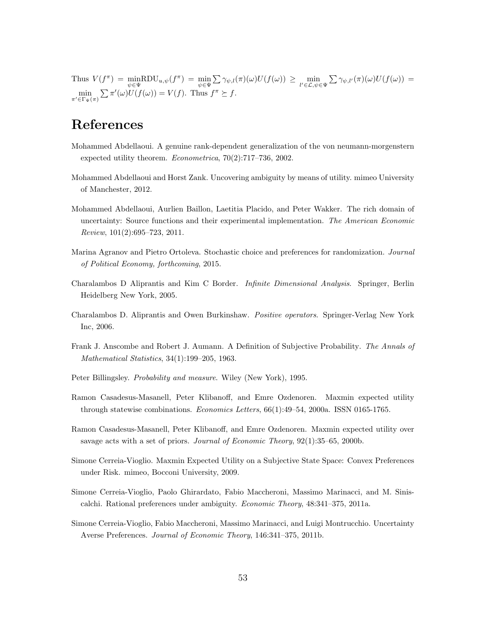Thus  $V(f^{\pi}) = \min_{\psi \in \Psi} \text{RDU}_{u,\psi}(f^{\pi}) = \min_{\psi \in \Psi} \sum \gamma_{\psi,l}(\pi) (\omega) U(f(\omega)) \ge \min_{l' \in \mathcal{L}, \psi \in \Psi} \sum \gamma_{\psi,l'}(\pi) (\omega) U(f(\omega)) =$  $\min_{\pi' \in \Gamma_{\Psi}(\pi)} \sum \pi'(\omega) U(f(\omega)) = V(f)$ . Thus  $f^{\pi} \succeq f$ .

# References

- Mohammed Abdellaoui. A genuine rank-dependent generalization of the von neumann-morgenstern expected utility theorem. Econometrica, 70(2):717–736, 2002.
- Mohammed Abdellaoui and Horst Zank. Uncovering ambiguity by means of utility. mimeo University of Manchester, 2012.
- Mohammed Abdellaoui, Aurlien Baillon, Laetitia Placido, and Peter Wakker. The rich domain of uncertainty: Source functions and their experimental implementation. The American Economic Review, 101(2):695–723, 2011.
- Marina Agranov and Pietro Ortoleva. Stochastic choice and preferences for randomization. Journal of Political Economy, forthcoming, 2015.
- Charalambos D Aliprantis and Kim C Border. Infinite Dimensional Analysis. Springer, Berlin Heidelberg New York, 2005.
- Charalambos D. Aliprantis and Owen Burkinshaw. Positive operators. Springer-Verlag New York Inc, 2006.
- Frank J. Anscombe and Robert J. Aumann. A Definition of Subjective Probability. The Annals of Mathematical Statistics, 34(1):199–205, 1963.
- Peter Billingsley. Probability and measure. Wiley (New York), 1995.
- Ramon Casadesus-Masanell, Peter Klibanoff, and Emre Ozdenoren. Maxmin expected utility through statewise combinations. Economics Letters, 66(1):49–54, 2000a. ISSN 0165-1765.
- Ramon Casadesus-Masanell, Peter Klibanoff, and Emre Ozdenoren. Maxmin expected utility over savage acts with a set of priors. Journal of Economic Theory, 92(1):35–65, 2000b.
- Simone Cerreia-Vioglio. Maxmin Expected Utility on a Subjective State Space: Convex Preferences under Risk. mimeo, Bocconi University, 2009.
- Simone Cerreia-Vioglio, Paolo Ghirardato, Fabio Maccheroni, Massimo Marinacci, and M. Siniscalchi. Rational preferences under ambiguity. Economic Theory, 48:341–375, 2011a.
- Simone Cerreia-Vioglio, Fabio Maccheroni, Massimo Marinacci, and Luigi Montrucchio. Uncertainty Averse Preferences. Journal of Economic Theory, 146:341–375, 2011b.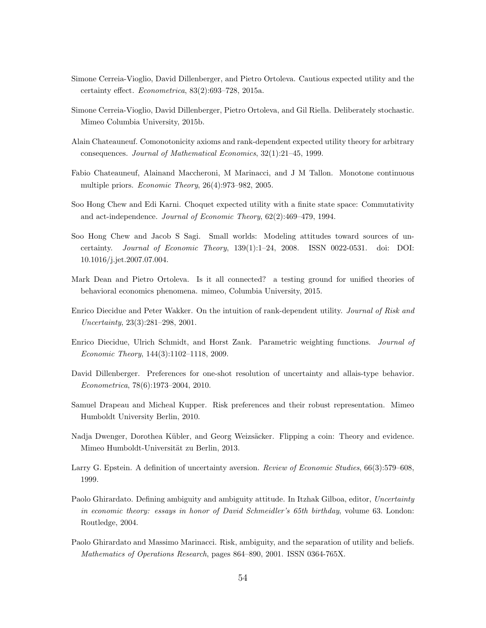- Simone Cerreia-Vioglio, David Dillenberger, and Pietro Ortoleva. Cautious expected utility and the certainty effect. Econometrica, 83(2):693–728, 2015a.
- Simone Cerreia-Vioglio, David Dillenberger, Pietro Ortoleva, and Gil Riella. Deliberately stochastic. Mimeo Columbia University, 2015b.
- Alain Chateauneuf. Comonotonicity axioms and rank-dependent expected utility theory for arbitrary consequences. Journal of Mathematical Economics, 32(1):21–45, 1999.
- Fabio Chateauneuf, Alainand Maccheroni, M Marinacci, and J M Tallon. Monotone continuous multiple priors. Economic Theory, 26(4):973–982, 2005.
- Soo Hong Chew and Edi Karni. Choquet expected utility with a finite state space: Commutativity and act-independence. Journal of Economic Theory, 62(2):469–479, 1994.
- Soo Hong Chew and Jacob S Sagi. Small worlds: Modeling attitudes toward sources of uncertainty. Journal of Economic Theory, 139(1):1–24, 2008. ISSN 0022-0531. doi: DOI: 10.1016/j.jet.2007.07.004.
- Mark Dean and Pietro Ortoleva. Is it all connected? a testing ground for unified theories of behavioral economics phenomena. mimeo, Columbia University, 2015.
- Enrico Diecidue and Peter Wakker. On the intuition of rank-dependent utility. Journal of Risk and Uncertainty, 23(3):281–298, 2001.
- Enrico Diecidue, Ulrich Schmidt, and Horst Zank. Parametric weighting functions. Journal of Economic Theory, 144(3):1102–1118, 2009.
- David Dillenberger. Preferences for one-shot resolution of uncertainty and allais-type behavior. Econometrica, 78(6):1973–2004, 2010.
- Samuel Drapeau and Micheal Kupper. Risk preferences and their robust representation. Mimeo Humboldt University Berlin, 2010.
- Nadja Dwenger, Dorothea Kübler, and Georg Weizsäcker. Flipping a coin: Theory and evidence. Mimeo Humboldt-Universität zu Berlin, 2013.
- Larry G. Epstein. A definition of uncertainty aversion. Review of Economic Studies, 66(3):579–608, 1999.
- Paolo Ghirardato. Defining ambiguity and ambiguity attitude. In Itzhak Gilboa, editor, Uncertainty in economic theory: essays in honor of David Schmeidler's 65th birthday, volume 63. London: Routledge, 2004.
- Paolo Ghirardato and Massimo Marinacci. Risk, ambiguity, and the separation of utility and beliefs. Mathematics of Operations Research, pages 864–890, 2001. ISSN 0364-765X.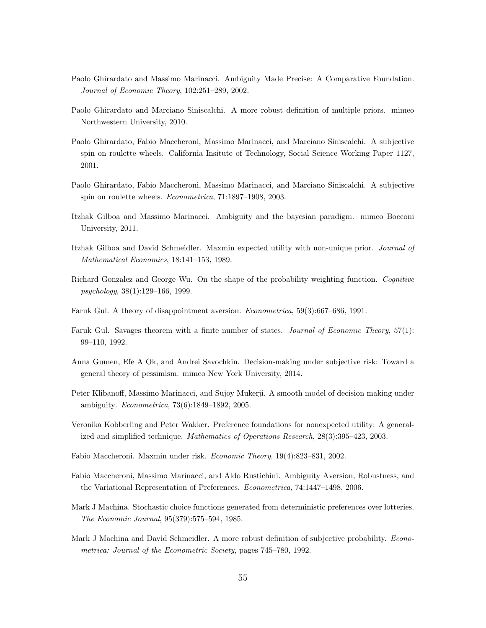- Paolo Ghirardato and Massimo Marinacci. Ambiguity Made Precise: A Comparative Foundation. Journal of Economic Theory, 102:251–289, 2002.
- Paolo Ghirardato and Marciano Siniscalchi. A more robust definition of multiple priors. mimeo Northwestern University, 2010.
- Paolo Ghirardato, Fabio Maccheroni, Massimo Marinacci, and Marciano Siniscalchi. A subjective spin on roulette wheels. California Insitute of Technology, Social Science Working Paper 1127, 2001.
- Paolo Ghirardato, Fabio Maccheroni, Massimo Marinacci, and Marciano Siniscalchi. A subjective spin on roulette wheels. Econometrica, 71:1897–1908, 2003.
- Itzhak Gilboa and Massimo Marinacci. Ambiguity and the bayesian paradigm. mimeo Bocconi University, 2011.
- Itzhak Gilboa and David Schmeidler. Maxmin expected utility with non-unique prior. Journal of Mathematical Economics, 18:141–153, 1989.
- Richard Gonzalez and George Wu. On the shape of the probability weighting function. Cognitive psychology, 38(1):129–166, 1999.
- Faruk Gul. A theory of disappointment aversion. Econometrica, 59(3):667–686, 1991.
- Faruk Gul. Savages theorem with a finite number of states. Journal of Economic Theory, 57(1): 99–110, 1992.
- Anna Gumen, Efe A Ok, and Andrei Savochkin. Decision-making under subjective risk: Toward a general theory of pessimism. mimeo New York University, 2014.
- Peter Klibanoff, Massimo Marinacci, and Sujoy Mukerji. A smooth model of decision making under ambiguity. Econometrica, 73(6):1849–1892, 2005.
- Veronika Kobberling and Peter Wakker. Preference foundations for nonexpected utility: A generalized and simplified technique. Mathematics of Operations Research, 28(3):395–423, 2003.
- Fabio Maccheroni. Maxmin under risk. Economic Theory, 19(4):823–831, 2002.
- Fabio Maccheroni, Massimo Marinacci, and Aldo Rustichini. Ambiguity Aversion, Robustness, and the Variational Representation of Preferences. Econometrica, 74:1447–1498, 2006.
- Mark J Machina. Stochastic choice functions generated from deterministic preferences over lotteries. The Economic Journal, 95(379):575–594, 1985.
- Mark J Machina and David Schmeidler. A more robust definition of subjective probability. *Econo*metrica: Journal of the Econometric Society, pages 745–780, 1992.